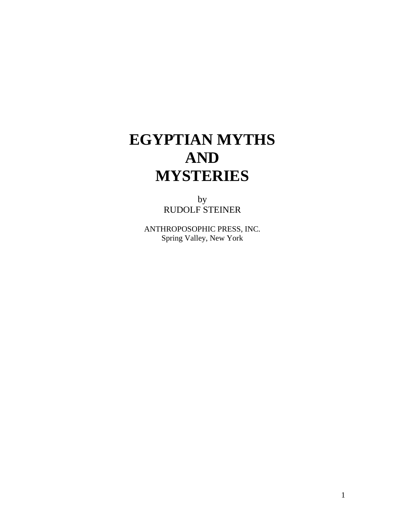# **EGYPTIAN MYTHS AND MYSTERIES**

by RUDOLF STEINER

ANTHROPOSOPHIC PRESS, INC. Spring Valley, New York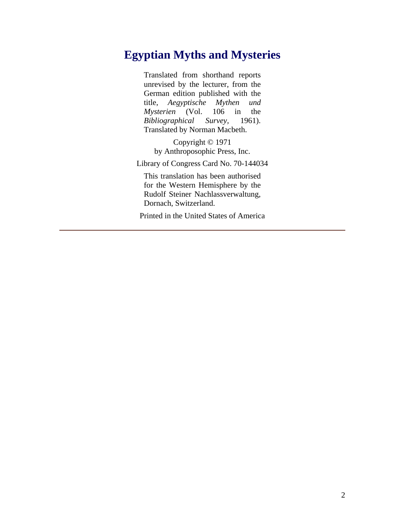Translated from shorthand reports unrevised by the lecturer, from the German edition published with the title, *Aegyptische Mythen und Mysterien* (Vol. 106 in the *Bibliographical Survey,* 1961). Translated by Norman Macbeth.

Copyright © 1971 by Anthroposophic Press, Inc.

Library of Congress Card No. 70-144034

This translation has been authorised for the Western Hemisphere by the Rudolf Steiner Nachlassverwaltung, Dornach, Switzerland.

Printed in the United States of America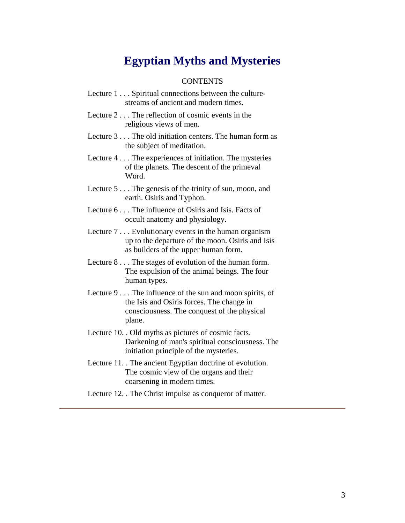#### **CONTENTS**

- Lecture 1 . . . Spiritual connections between the culturestreams of ancient and modern times.
- Lecture 2 . . . The reflection of cosmic events in the religious views of men.
- Lecture 3 . . . The old initiation centers. The human form as the subject of meditation.
- Lecture 4 . . . The experiences of initiation. The mysteries of the planets. The descent of the primeval Word.
- Lecture 5 . . . The genesis of the trinity of sun, moon, and earth. Osiris and Typhon.
- Lecture 6 . . . The influence of Osiris and Isis. Facts of occult anatomy and physiology.
- Lecture 7 . . . Evolutionary events in the human organism up to the departure of the moon. Osiris and Isis as builders of the upper human form.
- Lecture 8 . . . The stages of evolution of the human form. The expulsion of the animal beings. The four human types.
- Lecture 9 . . . The influence of the sun and moon spirits, of the Isis and Osiris forces. The change in consciousness. The conquest of the physical plane.
- Lecture 10. . Old myths as pictures of cosmic facts. Darkening of man's spiritual consciousness. The initiation principle of the mysteries.
- Lecture 11. . The ancient Egyptian doctrine of evolution. The cosmic view of the organs and their coarsening in modern times.
- Lecture 12. . The Christ impulse as conqueror of matter.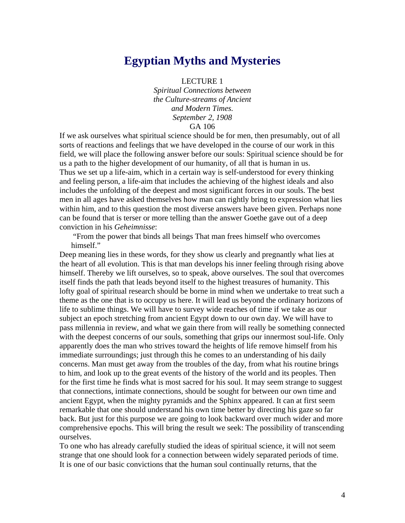LECTURE 1

*Spiritual Connections between the Culture-streams of Ancient and Modern Times. September 2, 1908* GA 106

If we ask ourselves what spiritual science should be for men, then presumably, out of all sorts of reactions and feelings that we have developed in the course of our work in this field, we will place the following answer before our souls: Spiritual science should be for us a path to the higher development of our humanity, of all that is human in us. Thus we set up a life-aim, which in a certain way is self-understood for every thinking and feeling person, a life-aim that includes the achieving of the highest ideals and also includes the unfolding of the deepest and most significant forces in our souls. The best men in all ages have asked themselves how man can rightly bring to expression what lies within him, and to this question the most diverse answers have been given. Perhaps none can be found that is terser or more telling than the answer Goethe gave out of a deep conviction in his *Geheimnisse*:

"From the power that binds all beings That man frees himself who overcomes himself."

Deep meaning lies in these words, for they show us clearly and pregnantly what lies at the heart of all evolution. This is that man develops his inner feeling through rising above himself. Thereby we lift ourselves, so to speak, above ourselves. The soul that overcomes itself finds the path that leads beyond itself to the highest treasures of humanity. This lofty goal of spiritual research should be borne in mind when we undertake to treat such a theme as the one that is to occupy us here. It will lead us beyond the ordinary horizons of life to sublime things. We will have to survey wide reaches of time if we take as our subject an epoch stretching from ancient Egypt down to our own day. We will have to pass millennia in review, and what we gain there from will really be something connected with the deepest concerns of our souls, something that grips our innermost soul-life. Only apparently does the man who strives toward the heights of life remove himself from his immediate surroundings; just through this he comes to an understanding of his daily concerns. Man must get away from the troubles of the day, from what his routine brings to him, and look up to the great events of the history of the world and its peoples. Then for the first time he finds what is most sacred for his soul. It may seem strange to suggest that connections, intimate connections, should be sought for between our own time and ancient Egypt, when the mighty pyramids and the Sphinx appeared. It can at first seem remarkable that one should understand his own time better by directing his gaze so far back. But just for this purpose we are going to look backward over much wider and more comprehensive epochs. This will bring the result we seek: The possibility of transcending ourselves.

To one who has already carefully studied the ideas of spiritual science, it will not seem strange that one should look for a connection between widely separated periods of time. It is one of our basic convictions that the human soul continually returns, that the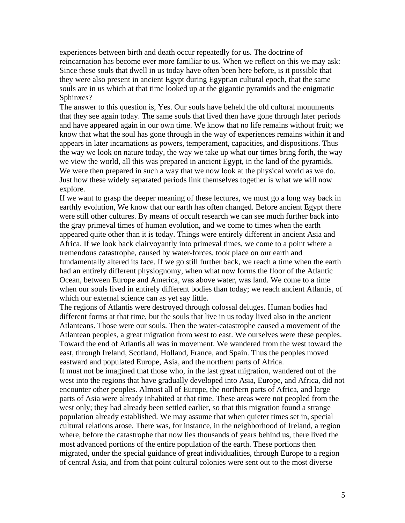experiences between birth and death occur repeatedly for us. The doctrine of reincarnation has become ever more familiar to us. When we reflect on this we may ask: Since these souls that dwell in us today have often been here before, is it possible that they were also present in ancient Egypt during Egyptian cultural epoch, that the same souls are in us which at that time looked up at the gigantic pyramids and the enigmatic Sphinxes?

The answer to this question is, Yes. Our souls have beheld the old cultural monuments that they see again today. The same souls that lived then have gone through later periods and have appeared again in our own time. We know that no life remains without fruit; we know that what the soul has gone through in the way of experiences remains within it and appears in later incarnations as powers, temperament, capacities, and dispositions. Thus the way we look on nature today, the way we take up what our times bring forth, the way we view the world, all this was prepared in ancient Egypt, in the land of the pyramids. We were then prepared in such a way that we now look at the physical world as we do. Just how these widely separated periods link themselves together is what we will now explore.

If we want to grasp the deeper meaning of these lectures, we must go a long way back in earthly evolution, We know that our earth has often changed. Before ancient Egypt there were still other cultures. By means of occult research we can see much further back into the gray primeval times of human evolution, and we come to times when the earth appeared quite other than it is today. Things were entirely different in ancient Asia and Africa. If we look back clairvoyantly into primeval times, we come to a point where a tremendous catastrophe, caused by water-forces, took place on our earth and fundamentally altered its face. If we go still further back, we reach a time when the earth had an entirely different physiognomy, when what now forms the floor of the Atlantic Ocean, between Europe and America, was above water, was land. We come to a time when our souls lived in entirely different bodies than today; we reach ancient Atlantis, of which our external science can as yet say little.

The regions of Atlantis were destroyed through colossal deluges. Human bodies had different forms at that time, but the souls that live in us today lived also in the ancient Atlanteans. Those were our souls. Then the water-catastrophe caused a movement of the Atlantean peoples, a great migration from west to east. We ourselves were these peoples. Toward the end of Atlantis all was in movement. We wandered from the west toward the east, through Ireland, Scotland, Holland, France, and Spain. Thus the peoples moved eastward and populated Europe, Asia, and the northern parts of Africa.

It must not be imagined that those who, in the last great migration, wandered out of the west into the regions that have gradually developed into Asia, Europe, and Africa, did not encounter other peoples. Almost all of Europe, the northern parts of Africa, and large parts of Asia were already inhabited at that time. These areas were not peopled from the west only; they had already been settled earlier, so that this migration found a strange population already established. We may assume that when quieter times set in, special cultural relations arose. There was, for instance, in the neighborhood of Ireland, a region where, before the catastrophe that now lies thousands of years behind us, there lived the most advanced portions of the entire population of the earth. These portions then migrated, under the special guidance of great individualities, through Europe to a region of central Asia, and from that point cultural colonies were sent out to the most diverse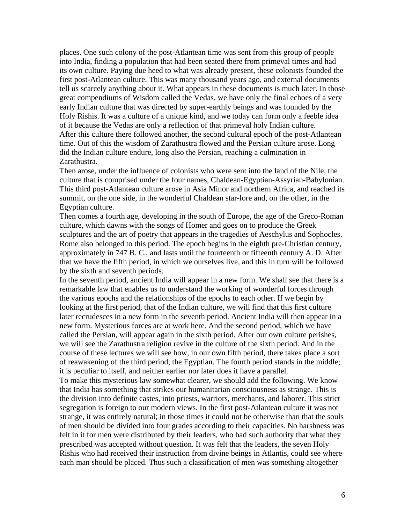places. One such colony of the post-Atlantean time was sent from this group of people into India, finding a population that had been seated there from primeval times and had its own culture. Paying due heed to what was already present, these colonists founded the first post-Atlantean culture. This was many thousand years ago, and external documents tell us scarcely anything about it. What appears in these documents is much later. In those great compendiums of Wisdom called the Vedas, we have only the final echoes of a very early Indian culture that was directed by super-earthly beings and was founded by the Holy Rishis. It was a culture of a unique kind, and we today can form only a feeble idea of it because the Vedas are only a reflection of that primeval holy Indian culture. After this culture there followed another, the second cultural epoch of the post-Atlantean time. Out of this the wisdom of Zarathustra flowed and the Persian culture arose. Long did the Indian culture endure, long also the Persian, reaching a culmination in Zarathustra.

Then arose, under the influence of colonists who were sent into the land of the Nile, the culture that is comprised under the four names, Chaldean-Egyptian-Assyrian-Babylonian. This third post-Atlantean culture arose in Asia Minor and northern Africa, and reached its summit, on the one side, in the wonderful Chaldean star-lore and, on the other, in the Egyptian culture.

Then comes a fourth age, developing in the south of Europe, the age of the Greco-Roman culture, which dawns with the songs of Homer and goes on to produce the Greek sculptures and the art of poetry that appears in the tragedies of Aeschylus and Sophocles. Rome also belonged to this period. The epoch begins in the eighth pre-Christian century, approximately in 747 B. C., and lasts until the fourteenth or fifteenth century A. D. After that we have the fifth period, in which we ourselves live, and this in turn will be followed by the sixth and seventh periods.

In the seventh period, ancient India will appear in a new form. We shall see that there is a remarkable law that enables us to understand the working of wonderful forces through the various epochs and the relationships of the epochs to each other. If we begin by looking at the first period, that of the Indian culture, we will find that this first culture later recrudesces in a new form in the seventh period. Ancient India will then appear in a new form. Mysterious forces are at work here. And the second period, which we have called the Persian, will appear again in the sixth period. After our own culture perishes, we will see the Zarathustra religion revive in the culture of the sixth period. And in the course of these lectures we will see how, in our own fifth period, there takes place a sort of reawakening of the third period, the Egyptian. The fourth period stands in the middle; it is peculiar to itself, and neither earlier nor later does it have a parallel.

To make this mysterious law somewhat clearer, we should add the following. We know that India has something that strikes our humanitarian consciousness as strange. This is the division into definite castes, into priests, warriors, merchants, and laborer. This strict segregation is foreign to our modern views. In the first post-Atlantean culture it was not strange, it was entirely natural; in those times it could not be otherwise than that the souls of men should be divided into four grades according to their capacities. No harshness was felt in it for men were distributed by their leaders, who had such authority that what they prescribed was accepted without question. It was felt that the leaders, the seven Holy Rishis who had received their instruction from divine beings in Atlantis, could see where each man should be placed. Thus such a classification of men was something altogether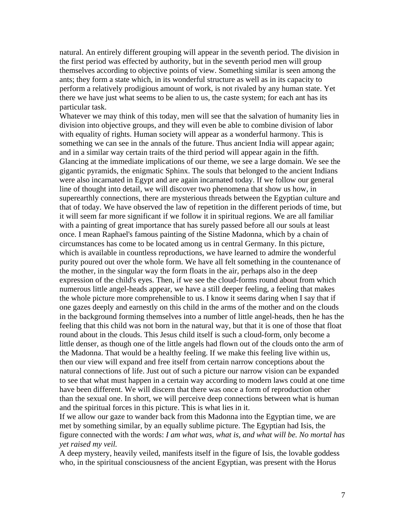natural. An entirely different grouping will appear in the seventh period. The division in the first period was effected by authority, but in the seventh period men will group themselves according to objective points of view. Something similar is seen among the ants; they form a state which, in its wonderful structure as well as in its capacity to perform a relatively prodigious amount of work, is not rivaled by any human state. Yet there we have just what seems to be alien to us, the caste system; for each ant has its particular task.

Whatever we may think of this today, men will see that the salvation of humanity lies in division into objective groups, and they will even be able to combine division of labor with equality of rights. Human society will appear as a wonderful harmony. This is something we can see in the annals of the future. Thus ancient India will appear again; and in a similar way certain traits of the third period will appear again in the fifth. Glancing at the immediate implications of our theme, we see a large domain. We see the gigantic pyramids, the enigmatic Sphinx. The souls that belonged to the ancient Indians were also incarnated in Egypt and are again incarnated today. If we follow our general line of thought into detail, we will discover two phenomena that show us how, in superearthly connections, there are mysterious threads between the Egyptian culture and that of today. We have observed the law of repetition in the different periods of time, but it will seem far more significant if we follow it in spiritual regions. We are all familiar with a painting of great importance that has surely passed before all our souls at least once. I mean Raphael's famous painting of the Sistine Madonna, which by a chain of circumstances has come to be located among us in central Germany. In this picture, which is available in countless reproductions, we have learned to admire the wonderful purity poured out over the whole form. We have all felt something in the countenance of the mother, in the singular way the form floats in the air, perhaps also in the deep expression of the child's eyes. Then, if we see the cloud-forms round about from which numerous little angel-heads appear, we have a still deeper feeling, a feeling that makes the whole picture more comprehensible to us. I know it seems daring when I say that if one gazes deeply and earnestly on this child in the arms of the mother and on the clouds in the background forming themselves into a number of little angel-heads, then he has the feeling that this child was not born in the natural way, but that it is one of those that float round about in the clouds. This Jesus child itself is such a cloud-form, only become a little denser, as though one of the little angels had flown out of the clouds onto the arm of the Madonna. That would be a healthy feeling. If we make this feeling live within us, then our view will expand and free itself from certain narrow conceptions about the natural connections of life. Just out of such a picture our narrow vision can be expanded to see that what must happen in a certain way according to modern laws could at one time have been different. We will discern that there was once a form of reproduction other than the sexual one. In short, we will perceive deep connections between what is human and the spiritual forces in this picture. This is what lies in it.

If we allow our gaze to wander back from this Madonna into the Egyptian time, we are met by something similar, by an equally sublime picture. The Egyptian had Isis, the figure connected with the words: *I am what was, what is, and what will be. No mortal has yet raised my veil.*

A deep mystery, heavily veiled, manifests itself in the figure of Isis, the lovable goddess who, in the spiritual consciousness of the ancient Egyptian, was present with the Horus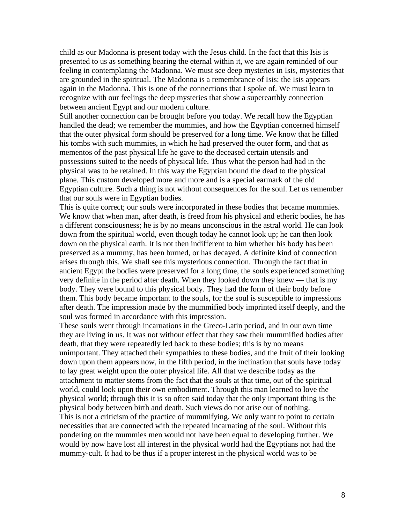child as our Madonna is present today with the Jesus child. In the fact that this Isis is presented to us as something bearing the eternal within it, we are again reminded of our feeling in contemplating the Madonna. We must see deep mysteries in Isis, mysteries that are grounded in the spiritual. The Madonna is a remembrance of Isis: the Isis appears again in the Madonna. This is one of the connections that I spoke of. We must learn to recognize with our feelings the deep mysteries that show a superearthly connection between ancient Egypt and our modern culture.

Still another connection can be brought before you today. We recall how the Egyptian handled the dead; we remember the mummies, and how the Egyptian concerned himself that the outer physical form should be preserved for a long time. We know that he filled his tombs with such mummies, in which he had preserved the outer form, and that as mementos of the past physical life he gave to the deceased certain utensils and possessions suited to the needs of physical life. Thus what the person had had in the physical was to be retained. In this way the Egyptian bound the dead to the physical plane. This custom developed more and more and is a special earmark of the old Egyptian culture. Such a thing is not without consequences for the soul. Let us remember that our souls were in Egyptian bodies.

This is quite correct; our souls were incorporated in these bodies that became mummies. We know that when man, after death, is freed from his physical and etheric bodies, he has a different consciousness; he is by no means unconscious in the astral world. He can look down from the spiritual world, even though today he cannot look up; he can then look down on the physical earth. It is not then indifferent to him whether his body has been preserved as a mummy, has been burned, or has decayed. A definite kind of connection arises through this. We shall see this mysterious connection. Through the fact that in ancient Egypt the bodies were preserved for a long time, the souls experienced something very definite in the period after death. When they looked down they knew — that is my body. They were bound to this physical body. They had the form of their body before them. This body became important to the souls, for the soul is susceptible to impressions after death. The impression made by the mummified body imprinted itself deeply, and the soul was formed in accordance with this impression.

These souls went through incarnations in the Greco-Latin period, and in our own time they are living in us. It was not without effect that they saw their mummified bodies after death, that they were repeatedly led back to these bodies; this is by no means unimportant. They attached their sympathies to these bodies, and the fruit of their looking down upon them appears now, in the fifth period, in the inclination that souls have today to lay great weight upon the outer physical life. All that we describe today as the attachment to matter stems from the fact that the souls at that time, out of the spiritual world, could look upon their own embodiment. Through this man learned to love the physical world; through this it is so often said today that the only important thing is the physical body between birth and death. Such views do not arise out of nothing. This is not a criticism of the practice of mummifying. We only want to point to certain necessities that are connected with the repeated incarnating of the soul. Without this pondering on the mummies men would not have been equal to developing further. We would by now have lost all interest in the physical world had the Egyptians not had the mummy-cult. It had to be thus if a proper interest in the physical world was to be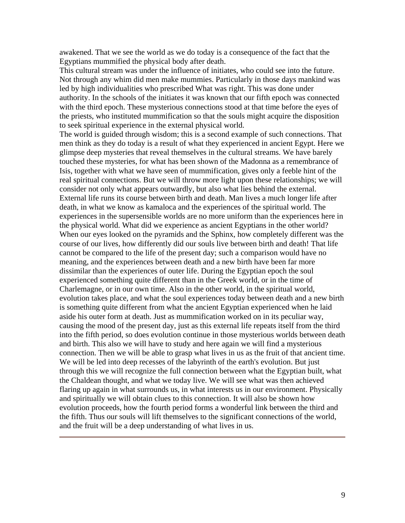awakened. That we see the world as we do today is a consequence of the fact that the Egyptians mummified the physical body after death.

This cultural stream was under the influence of initiates, who could see into the future. Not through any whim did men make mummies. Particularly in those days mankind was led by high individualities who prescribed What was right. This was done under authority. In the schools of the initiates it was known that our fifth epoch was connected with the third epoch. These mysterious connections stood at that time before the eyes of the priests, who instituted mummification so that the souls might acquire the disposition to seek spiritual experience in the external physical world.

The world is guided through wisdom; this is a second example of such connections. That men think as they do today is a result of what they experienced in ancient Egypt. Here we glimpse deep mysteries that reveal themselves in the cultural streams. We have barely touched these mysteries, for what has been shown of the Madonna as a remembrance of Isis, together with what we have seen of mummification, gives only a feeble hint of the real spiritual connections. But we will throw more light upon these relationships; we will consider not only what appears outwardly, but also what lies behind the external. External life runs its course between birth and death. Man lives a much longer life after death, in what we know as kamaloca and the experiences of the spiritual world. The experiences in the supersensible worlds are no more uniform than the experiences here in the physical world. What did we experience as ancient Egyptians in the other world? When our eyes looked on the pyramids and the Sphinx, how completely different was the course of our lives, how differently did our souls live between birth and death! That life cannot be compared to the life of the present day; such a comparison would have no meaning, and the experiences between death and a new birth have been far more dissimilar than the experiences of outer life. During the Egyptian epoch the soul experienced something quite different than in the Greek world, or in the time of Charlemagne, or in our own time. Also in the other world, in the spiritual world, evolution takes place, and what the soul experiences today between death and a new birth is something quite different from what the ancient Egyptian experienced when he laid aside his outer form at death. Just as mummification worked on in its peculiar way, causing the mood of the present day, just as this external life repeats itself from the third into the fifth period, so does evolution continue in those mysterious worlds between death and birth. This also we will have to study and here again we will find a mysterious connection. Then we will be able to grasp what lives in us as the fruit of that ancient time. We will be led into deep recesses of the labyrinth of the earth's evolution. But just through this we will recognize the full connection between what the Egyptian built, what the Chaldean thought, and what we today live. We will see what was then achieved flaring up again in what surrounds us, in what interests us in our environment. Physically and spiritually we will obtain clues to this connection. It will also be shown how evolution proceeds, how the fourth period forms a wonderful link between the third and the fifth. Thus our souls will lift themselves to the significant connections of the world, and the fruit will be a deep understanding of what lives in us.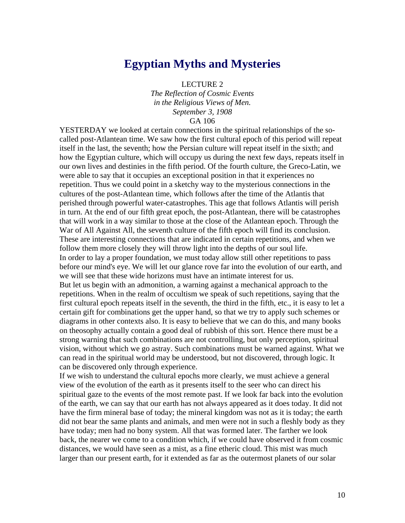LECTURE 2 *The Reflection of Cosmic Events in the Religious Views of Men. September 3, 1908* GA 106

YESTERDAY we looked at certain connections in the spiritual relationships of the socalled post-Atlantean time. We saw how the first cultural epoch of this period will repeat itself in the last, the seventh; how the Persian culture will repeat itself in the sixth; and how the Egyptian culture, which will occupy us during the next few days, repeats itself in our own lives and destinies in the fifth period. Of the fourth culture, the Greco-Latin, we were able to say that it occupies an exceptional position in that it experiences no repetition. Thus we could point in a sketchy way to the mysterious connections in the cultures of the post-Atlantean time, which follows after the time of the Atlantis that perished through powerful water-catastrophes. This age that follows Atlantis will perish in turn. At the end of our fifth great epoch, the post-Atlantean, there will be catastrophes that will work in a way similar to those at the close of the Atlantean epoch. Through the War of All Against All, the seventh culture of the fifth epoch will find its conclusion. These are interesting connections that are indicated in certain repetitions, and when we follow them more closely they will throw light into the depths of our soul life. In order to lay a proper foundation, we must today allow still other repetitions to pass before our mind's eye. We will let our glance rove far into the evolution of our earth, and we will see that these wide horizons must have an intimate interest for us. But let us begin with an admonition, a warning against a mechanical approach to the repetitions. When in the realm of occultism we speak of such repetitions, saying that the first cultural epoch repeats itself in the seventh, the third in the fifth, etc., it is easy to let a certain gift for combinations get the upper hand, so that we try to apply such schemes or diagrams in other contexts also. It is easy to believe that we can do this, and many books on theosophy actually contain a good deal of rubbish of this sort. Hence there must be a strong warning that such combinations are not controlling, but only perception, spiritual vision, without which we go astray. Such combinations must be warned against. What we can read in the spiritual world may be understood, but not discovered, through logic. It can be discovered only through experience.

If we wish to understand the cultural epochs more clearly, we must achieve a general view of the evolution of the earth as it presents itself to the seer who can direct his spiritual gaze to the events of the most remote past. If we look far back into the evolution of the earth, we can say that our earth has not always appeared as it does today. It did not have the firm mineral base of today; the mineral kingdom was not as it is today; the earth did not bear the same plants and animals, and men were not in such a fleshly body as they have today; men had no bony system. All that was formed later. The farther we look back, the nearer we come to a condition which, if we could have observed it from cosmic distances, we would have seen as a mist, as a fine etheric cloud. This mist was much larger than our present earth, for it extended as far as the outermost planets of our solar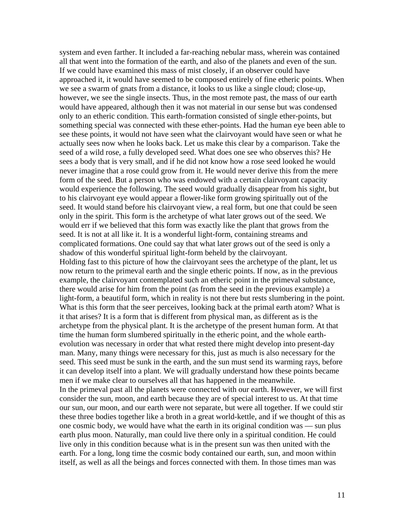system and even farther. It included a far-reaching nebular mass, wherein was contained all that went into the formation of the earth, and also of the planets and even of the sun. If we could have examined this mass of mist closely, if an observer could have approached it, it would have seemed to be composed entirely of fine etheric points. When we see a swarm of gnats from a distance, it looks to us like a single cloud; close-up, however, we see the single insects. Thus, in the most remote past, the mass of our earth would have appeared, although then it was not material in our sense but was condensed only to an etheric condition. This earth-formation consisted of single ether-points, but something special was connected with these ether-points. Had the human eye been able to see these points, it would not have seen what the clairvoyant would have seen or what he actually sees now when he looks back. Let us make this clear by a comparison. Take the seed of a wild rose, a fully developed seed. What does one see who observes this? He sees a body that is very small, and if he did not know how a rose seed looked he would never imagine that a rose could grow from it. He would never derive this from the mere form of the seed. But a person who was endowed with a certain clairvoyant capacity would experience the following. The seed would gradually disappear from his sight, but to his clairvoyant eye would appear a flower-like form growing spiritually out of the seed. It would stand before his clairvoyant view, a real form, but one that could be seen only in the spirit. This form is the archetype of what later grows out of the seed. We would err if we believed that this form was exactly like the plant that grows from the seed. It is not at all like it. It is a wonderful light-form, containing streams and complicated formations. One could say that what later grows out of the seed is only a shadow of this wonderful spiritual light-form beheld by the clairvoyant. Holding fast to this picture of how the clairvoyant sees the archetype of the plant, let us now return to the primeval earth and the single etheric points. If now, as in the previous example, the clairvoyant contemplated such an etheric point in the primeval substance, there would arise for him from the point (as from the seed in the previous example) a light-form, a beautiful form, which in reality is not there but rests slumbering in the point. What is this form that the seer perceives, looking back at the primal earth atom? What is it that arises? It is a form that is different from physical man, as different as is the archetype from the physical plant. It is the archetype of the present human form. At that time the human form slumbered spiritually in the etheric point, and the whole earthevolution was necessary in order that what rested there might develop into present-day man. Many, many things were necessary for this, just as much is also necessary for the seed. This seed must be sunk in the earth, and the sun must send its warming rays, before it can develop itself into a plant. We will gradually understand how these points became men if we make clear to ourselves all that has happened in the meanwhile. In the primeval past all the planets were connected with our earth. However, we will first consider the sun, moon, and earth because they are of special interest to us. At that time our sun, our moon, and our earth were not separate, but were all together. If we could stir these three bodies together like a broth in a great world-kettle, and if we thought of this as one cosmic body, we would have what the earth in its original condition was — sun plus earth plus moon. Naturally, man could live there only in a spiritual condition. He could live only in this condition because what is in the present sun was then united with the earth. For a long, long time the cosmic body contained our earth, sun, and moon within itself, as well as all the beings and forces connected with them. In those times man was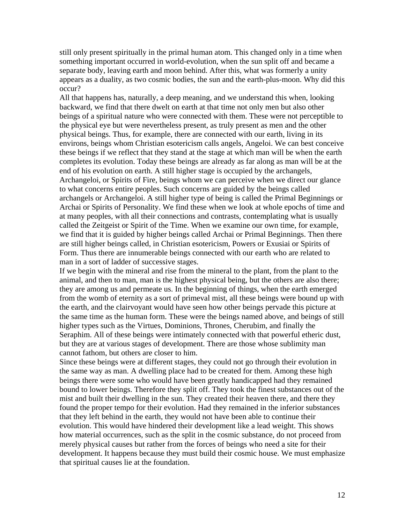still only present spiritually in the primal human atom. This changed only in a time when something important occurred in world-evolution, when the sun split off and became a separate body, leaving earth and moon behind. After this, what was formerly a unity appears as a duality, as two cosmic bodies, the sun and the earth-plus-moon. Why did this occur?

All that happens has, naturally, a deep meaning, and we understand this when, looking backward, we find that there dwelt on earth at that time not only men but also other beings of a spiritual nature who were connected with them. These were not perceptible to the physical eye but were nevertheless present, as truly present as men and the other physical beings. Thus, for example, there are connected with our earth, living in its environs, beings whom Christian esotericism calls angels, Angeloi. We can best conceive these beings if we reflect that they stand at the stage at which man will be when the earth completes its evolution. Today these beings are already as far along as man will be at the end of his evolution on earth. A still higher stage is occupied by the archangels, Archangeloi, or Spirits of Fire, beings whom we can perceive when we direct our glance to what concerns entire peoples. Such concerns are guided by the beings called archangels or Archangeloi. A still higher type of being is called the Primal Beginnings or Archai or Spirits of Personality. We find these when we look at whole epochs of time and at many peoples, with all their connections and contrasts, contemplating what is usually called the Zeitgeist or Spirit of the Time. When we examine our own time, for example, we find that it is guided by higher beings called Archai or Primal Beginnings. Then there are still higher beings called, in Christian esotericism, Powers or Exusiai or Spirits of Form. Thus there are innumerable beings connected with our earth who are related to man in a sort of ladder of successive stages.

If we begin with the mineral and rise from the mineral to the plant, from the plant to the animal, and then to man, man is the highest physical being, but the others are also there; they are among us and permeate us. In the beginning of things, when the earth emerged from the womb of eternity as a sort of primeval mist, all these beings were bound up with the earth, and the clairvoyant would have seen how other beings pervade this picture at the same time as the human form. These were the beings named above, and beings of still higher types such as the Virtues, Dominions, Thrones, Cherubim, and finally the Seraphim. All of these beings were intimately connected with that powerful etheric dust, but they are at various stages of development. There are those whose sublimity man cannot fathom, but others are closer to him.

Since these beings were at different stages, they could not go through their evolution in the same way as man. A dwelling place had to be created for them. Among these high beings there were some who would have been greatly handicapped had they remained bound to lower beings. Therefore they split off. They took the finest substances out of the mist and built their dwelling in the sun. They created their heaven there, and there they found the proper tempo for their evolution. Had they remained in the inferior substances that they left behind in the earth, they would not have been able to continue their evolution. This would have hindered their development like a lead weight. This shows how material occurrences, such as the split in the cosmic substance, do not proceed from merely physical causes but rather from the forces of beings who need a site for their development. It happens because they must build their cosmic house. We must emphasize that spiritual causes lie at the foundation.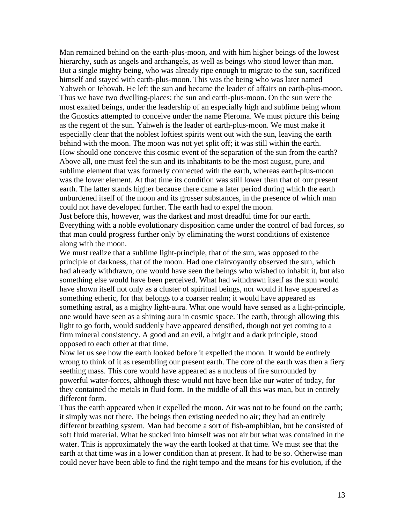Man remained behind on the earth-plus-moon, and with him higher beings of the lowest hierarchy, such as angels and archangels, as well as beings who stood lower than man. But a single mighty being, who was already ripe enough to migrate to the sun, sacrificed himself and stayed with earth-plus-moon. This was the being who was later named Yahweh or Jehovah. He left the sun and became the leader of affairs on earth-plus-moon. Thus we have two dwelling-places: the sun and earth-plus-moon. On the sun were the most exalted beings, under the leadership of an especially high and sublime being whom the Gnostics attempted to conceive under the name Pleroma. We must picture this being as the regent of the sun. Yahweh is the leader of earth-plus-moon. We must make it especially clear that the noblest loftiest spirits went out with the sun, leaving the earth behind with the moon. The moon was not yet split off; it was still within the earth. How should one conceive this cosmic event of the separation of the sun from the earth? Above all, one must feel the sun and its inhabitants to be the most august, pure, and sublime element that was formerly connected with the earth, whereas earth-plus-moon was the lower element. At that time its condition was still lower than that of our present earth. The latter stands higher because there came a later period during which the earth unburdened itself of the moon and its grosser substances, in the presence of which man could not have developed further. The earth had to expel the moon.

Just before this, however, was the darkest and most dreadful time for our earth. Everything with a noble evolutionary disposition came under the control of bad forces, so that man could progress further only by eliminating the worst conditions of existence along with the moon.

We must realize that a sublime light-principle, that of the sun, was opposed to the principle of darkness, that of the moon. Had one clairvoyantly observed the sun, which had already withdrawn, one would have seen the beings who wished to inhabit it, but also something else would have been perceived. What had withdrawn itself as the sun would have shown itself not only as a cluster of spiritual beings, nor would it have appeared as something etheric, for that belongs to a coarser realm; it would have appeared as something astral, as a mighty light-aura. What one would have sensed as a light-principle, one would have seen as a shining aura in cosmic space. The earth, through allowing this light to go forth, would suddenly have appeared densified, though not yet coming to a firm mineral consistency. A good and an evil, a bright and a dark principle, stood opposed to each other at that time.

Now let us see how the earth looked before it expelled the moon. It would be entirely wrong to think of it as resembling our present earth. The core of the earth was then a fiery seething mass. This core would have appeared as a nucleus of fire surrounded by powerful water-forces, although these would not have been like our water of today, for they contained the metals in fluid form. In the middle of all this was man, but in entirely different form.

Thus the earth appeared when it expelled the moon. Air was not to be found on the earth; it simply was not there. The beings then existing needed no air; they had an entirely different breathing system. Man had become a sort of fish-amphibian, but he consisted of soft fluid material. What he sucked into himself was not air but what was contained in the water. This is approximately the way the earth looked at that time. We must see that the earth at that time was in a lower condition than at present. It had to be so. Otherwise man could never have been able to find the right tempo and the means for his evolution, if the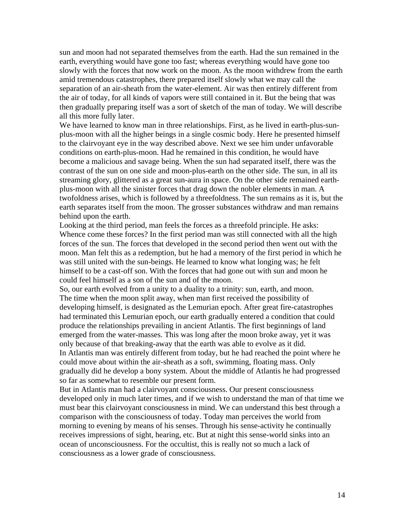sun and moon had not separated themselves from the earth. Had the sun remained in the earth, everything would have gone too fast; whereas everything would have gone too slowly with the forces that now work on the moon. As the moon withdrew from the earth amid tremendous catastrophes, there prepared itself slowly what we may call the separation of an air-sheath from the water-element. Air was then entirely different from the air of today, for all kinds of vapors were still contained in it. But the being that was then gradually preparing itself was a sort of sketch of the man of today. We will describe all this more fully later.

We have learned to know man in three relationships. First, as he lived in earth-plus-sunplus-moon with all the higher beings in a single cosmic body. Here he presented himself to the clairvoyant eye in the way described above. Next we see him under unfavorable conditions on earth-plus-moon. Had he remained in this condition, he would have become a malicious and savage being. When the sun had separated itself, there was the contrast of the sun on one side and moon-plus-earth on the other side. The sun, in all its streaming glory, glittered as a great sun-aura in space. On the other side remained earthplus-moon with all the sinister forces that drag down the nobler elements in man. A twofoldness arises, which is followed by a threefoldness. The sun remains as it is, but the earth separates itself from the moon. The grosser substances withdraw and man remains behind upon the earth.

Looking at the third period, man feels the forces as a threefold principle. He asks: Whence come these forces? In the first period man was still connected with all the high forces of the sun. The forces that developed in the second period then went out with the moon. Man felt this as a redemption, but he had a memory of the first period in which he was still united with the sun-beings. He learned to know what longing was; he felt himself to be a cast-off son. With the forces that had gone out with sun and moon he could feel himself as a son of the sun and of the moon.

So, our earth evolved from a unity to a duality to a trinity: sun, earth, and moon. The time when the moon split away, when man first received the possibility of developing himself, is designated as the Lemurian epoch. After great fire-catastrophes had terminated this Lemurian epoch, our earth gradually entered a condition that could produce the relationships prevailing in ancient Atlantis. The first beginnings of land emerged from the water-masses. This was long after the moon broke away, yet it was only because of that breaking-away that the earth was able to evolve as it did. In Atlantis man was entirely different from today, but he had reached the point where he could move about within the air-sheath as a soft, swimming, floating mass. Only gradually did he develop a bony system. About the middle of Atlantis he had progressed so far as somewhat to resemble our present form.

But in Atlantis man had a clairvoyant consciousness. Our present consciousness developed only in much later times, and if we wish to understand the man of that time we must bear this clairvoyant consciousness in mind. We can understand this best through a comparison with the consciousness of today. Today man perceives the world from morning to evening by means of his senses. Through his sense-activity he continually receives impressions of sight, hearing, etc. But at night this sense-world sinks into an ocean of unconsciousness. For the occultist, this is really not so much a lack of consciousness as a lower grade of consciousness.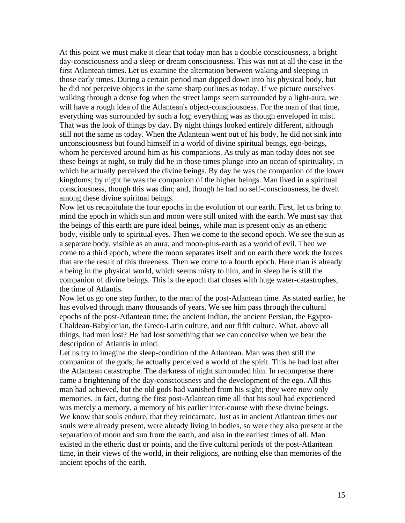At this point we must make it clear that today man has a double consciousness, a bright day-consciousness and a sleep or dream consciousness. This was not at all the case in the first Atlantean times. Let us examine the alternation between waking and sleeping in those early times. During a certain period man dipped down into his physical body, but he did not perceive objects in the same sharp outlines as today. If we picture ourselves walking through a dense fog when the street lamps seem surrounded by a light-aura, we will have a rough idea of the Atlantean's object-consciousness. For the man of that time, everything was surrounded by such a fog; everything was as though enveloped in mist. That was the look of things by day. By night things looked entirely different, although still not the same as today. When the Atlantean went out of his body, he did not sink into unconsciousness but found himself in a world of divine spiritual beings, ego-beings, whom he perceived around him as his companions. As truly as man today does not see these beings at night, so truly did he in those times plunge into an ocean of spirituality, in which he actually perceived the divine beings. By day he was the companion of the lower kingdoms; by night he was the companion of the higher beings. Man lived in a spiritual consciousness, though this was dim; and, though he had no self-consciousness, he dwelt among these divine spiritual beings.

Now let us recapitulate the four epochs in the evolution of our earth. First, let us bring to mind the epoch in which sun and moon were still united with the earth. We must say that the beings of this earth are pure ideal beings, while man is present only as an etheric body, visible only to spiritual eyes. Then we come to the second epoch. We see the sun as a separate body, visible as an aura, and moon-plus-earth as a world of evil. Then we come to a third epoch, where the moon separates itself and on earth there work the forces that are the result of this threeness. Then we come to a fourth epoch. Here man is already a being in the physical world, which seems misty to him, and in sleep he is still the companion of divine beings. This is the epoch that closes with huge water-catastrophes, the time of Atlantis.

Now let us go one step further, to the man of the post-Atlantean time. As stated earlier, he has evolved through many thousands of years. We see him pass through the cultural epochs of the post-Atlantean time; the ancient Indian, the ancient Persian, the Egypto-Chaldean-Babylonian, the Greco-Latin culture, and our fifth culture. What, above all things, had man lost? He had lost something that we can conceive when we bear the description of Atlantis in mind.

Let us try to imagine the sleep-condition of the Atlantean. Man was then still the companion of the gods; he actually perceived a world of the spirit. This he had lost after the Atlantean catastrophe. The darkness of night surrounded him. In recompense there came a brightening of the day-consciousness and the development of the ego. All this man had achieved, but the old gods had vanished from his sight; they were now only memories. In fact, during the first post-Atlantean time all that his soul had experienced was merely a memory, a memory of his earlier inter-course with these divine beings. We know that souls endure, that they reincarnate. Just as in ancient Atlantean times our souls were already present, were already living in bodies, so were they also present at the separation of moon and sun from the earth, and also in the earliest times of all. Man existed in the etheric dust or points, and the five cultural periods of the post-Atlantean time, in their views of the world, in their religions, are nothing else than memories of the ancient epochs of the earth.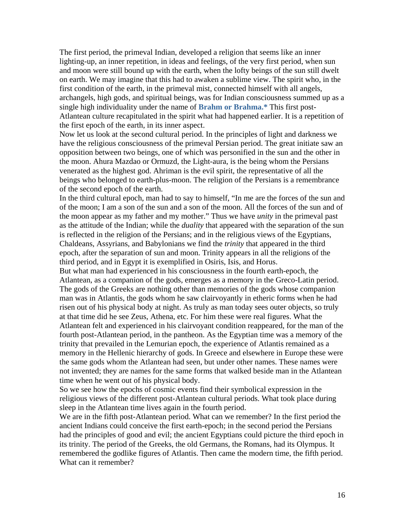The first period, the primeval Indian, developed a religion that seems like an inner lighting-up, an inner repetition, in ideas and feelings, of the very first period, when sun and moon were still bound up with the earth, when the lofty beings of the sun still dwelt on earth. We may imagine that this had to awaken a sublime view. The spirit who, in the first condition of the earth, in the primeval mist, connected himself with all angels, archangels, high gods, and spiritual beings, was for Indian consciousness summed up as a single high individuality under the name of **[Brahm or Brahma.\\*](http://wn.elib.com/Steiner/Lectures/EgyptMyth/#_note1)** This first post-Atlantean culture recapitulated in the spirit what had happened earlier. It is a repetition of the first epoch of the earth, in its inner aspect.

Now let us look at the second cultural period. In the principles of light and darkness we have the religious consciousness of the primeval Persian period. The great initiate saw an opposition between two beings, one of which was personified in the sun and the other in the moon. Ahura Mazdao or Ormuzd, the Light-aura, is the being whom the Persians venerated as the highest god. Ahriman is the evil spirit, the representative of all the beings who belonged to earth-plus-moon. The religion of the Persians is a remembrance of the second epoch of the earth.

In the third cultural epoch, man had to say to himself, "In me are the forces of the sun and of the moon; I am a son of the sun and a son of the moon. All the forces of the sun and of the moon appear as my father and my mother." Thus we have *unity* in the primeval past as the attitude of the Indian; while the *duality* that appeared with the separation of the sun is reflected in the religion of the Persians; and in the religious views of the Egyptians, Chaldeans, Assyrians, and Babylonians we find the *trinity* that appeared in the third epoch, after the separation of sun and moon. Trinity appears in all the religions of the third period, and in Egypt it is exemplified in Osiris, Isis, and Horus.

But what man had experienced in his consciousness in the fourth earth-epoch, the Atlantean, as a companion of the gods, emerges as a memory in the Greco-Latin period. The gods of the Greeks are nothing other than memories of the gods whose companion man was in Atlantis, the gods whom he saw clairvoyantly in etheric forms when he had risen out of his physical body at night. As truly as man today sees outer objects, so truly at that time did he see Zeus, Athena, etc. For him these were real figures. What the Atlantean felt and experienced in his clairvoyant condition reappeared, for the man of the fourth post-Atlantean period, in the pantheon. As the Egyptian time was a memory of the trinity that prevailed in the Lemurian epoch, the experience of Atlantis remained as a memory in the Hellenic hierarchy of gods. In Greece and elsewhere in Europe these were the same gods whom the Atlantean had seen, but under other names. These names were not invented; they are names for the same forms that walked beside man in the Atlantean time when he went out of his physical body.

So we see how the epochs of cosmic events find their symbolical expression in the religious views of the different post-Atlantean cultural periods. What took place during sleep in the Atlantean time lives again in the fourth period.

We are in the fifth post-Atlantean period. What can we remember? In the first period the ancient Indians could conceive the first earth-epoch; in the second period the Persians had the principles of good and evil; the ancient Egyptians could picture the third epoch in its trinity. The period of the Greeks, the old Germans, the Romans, had its Olympus. It remembered the godlike figures of Atlantis. Then came the modern time, the fifth period. What can it remember?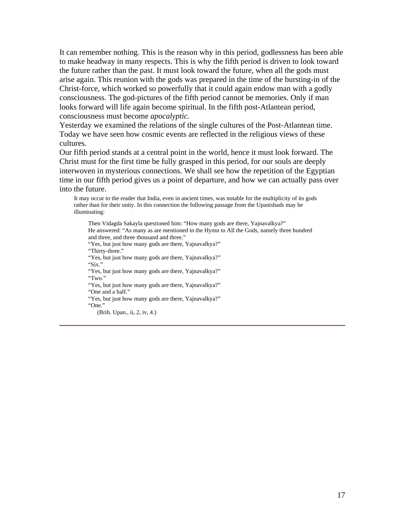It can remember nothing. This is the reason why in this period, godlessness has been able to make headway in many respects. This is why the fifth period is driven to look toward the future rather than the past. It must look toward the future, when all the gods must arise again. This reunion with the gods was prepared in the time of the bursting-in of the Christ-force, which worked so powerfully that it could again endow man with a godly consciousness. The god-pictures of the fifth period cannot be memories. Only if man looks forward will life again become spiritual. In the fifth post-Atlantean period, consciousness must become *apocalyptic.* 

Yesterday we examined the relations of the single cultures of the Post-Atlantean time. Today we have seen how cosmic events are reflected in the religious views of these cultures.

Our fifth period stands at a central point in the world, hence it must look forward. The Christ must for the first time be fully grasped in this period, for our souls are deeply interwoven in mysterious connections. We shall see how the repetition of the Egyptian time in our fifth period gives us a point of departure, and how we can actually pass over into the future.

**\*** It may occur to the reader that India, even in ancient times, was notable for the multiplicity of its gods rather than for their unity. In this connection the following passage from the Upanishads may be illuminating:

Then Vidagda Sakayla questioned him: "How many gods are there, Yajnavalkya?" He answered: "As many as are mentioned in the Hymn to All the Gods, namely three hundred and three, and three thousand and three." "Yes, but just how many gods are there, Yajnavalkya?" "Thirty-three." "Yes, but just how many gods are there, Yajnavalkya?" "Six." "Yes, but just how many gods are there, Yajnavalkya?" "Two." "Yes, but just how many gods are there, Yajnavalkya?" "One and a half." "Yes, but just how many gods are there, Yajnavalkya?" "One." (Brih. Upan., ii, 2, iv, 4.)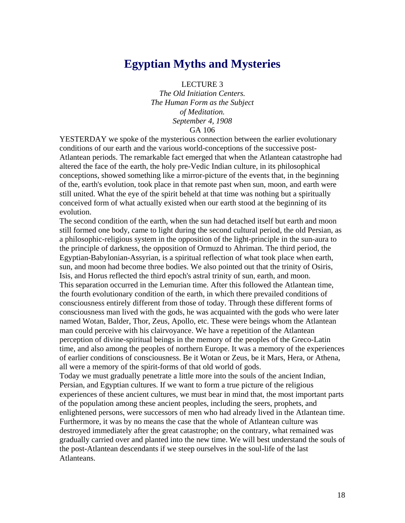LECTURE 3 *The Old Initiation Centers. The Human Form as the Subject of Meditation. September 4, 1908* GA 106

YESTERDAY we spoke of the mysterious connection between the earlier evolutionary conditions of our earth and the various world-conceptions of the successive post-Atlantean periods. The remarkable fact emerged that when the Atlantean catastrophe had altered the face of the earth, the holy pre-Vedic Indian culture, in its philosophical conceptions, showed something like a mirror-picture of the events that, in the beginning of the, earth's evolution, took place in that remote past when sun, moon, and earth were still united. What the eye of the spirit beheld at that time was nothing but a spiritually conceived form of what actually existed when our earth stood at the beginning of its evolution.

The second condition of the earth, when the sun had detached itself but earth and moon still formed one body, came to light during the second cultural period, the old Persian, as a philosophic-religious system in the opposition of the light-principle in the sun-aura to the principle of darkness, the opposition of Ormuzd to Ahriman. The third period, the Egyptian-Babylonian-Assyrian, is a spiritual reflection of what took place when earth, sun, and moon had become three bodies. We also pointed out that the trinity of Osiris, Isis, and Horus reflected the third epoch's astral trinity of sun, earth, and moon. This separation occurred in the Lemurian time. After this followed the Atlantean time, the fourth evolutionary condition of the earth, in which there prevailed conditions of consciousness entirely different from those of today. Through these different forms of consciousness man lived with the gods, he was acquainted with the gods who were later named Wotan, Balder, Thor, Zeus, Apollo, etc. These were beings whom the Atlantean man could perceive with his clairvoyance. We have a repetition of the Atlantean perception of divine-spiritual beings in the memory of the peoples of the Greco-Latin time, and also among the peoples of northern Europe. It was a memory of the experiences of earlier conditions of consciousness. Be it Wotan or Zeus, be it Mars, Hera, or Athena, all were a memory of the spirit-forms of that old world of gods.

Today we must gradually penetrate a little more into the souls of the ancient Indian, Persian, and Egyptian cultures. If we want to form a true picture of the religious experiences of these ancient cultures, we must bear in mind that, the most important parts of the population among these ancient peoples, including the seers, prophets, and enlightened persons, were successors of men who had already lived in the Atlantean time. Furthermore, it was by no means the case that the whole of Atlantean culture was destroyed immediately after the great catastrophe; on the contrary, what remained was gradually carried over and planted into the new time. We will best understand the souls of the post-Atlantean descendants if we steep ourselves in the soul-life of the last Atlanteans.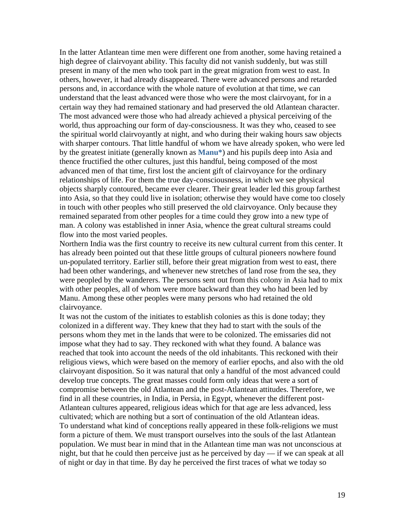In the latter Atlantean time men were different one from another, some having retained a high degree of clairvoyant ability. This faculty did not vanish suddenly, but was still present in many of the men who took part in the great migration from west to east. In others, however, it had already disappeared. There were advanced persons and retarded persons and, in accordance with the whole nature of evolution at that time, we can understand that the least advanced were those who were the most clairvoyant, for in a certain way they had remained stationary and had preserved the old Atlantean character. The most advanced were those who had already achieved a physical perceiving of the world, thus approaching our form of day-consciousness. It was they who, ceased to see the spiritual world clairvoyantly at night, and who during their waking hours saw objects with sharper contours. That little handful of whom we have already spoken, who were led by the greatest initiate (generally known as **[Manu\\*](http://wn.elib.com/Steiner/Lectures/EgyptMyth/#_note1)**) and his pupils deep into Asia and thence fructified the other cultures, just this handful, being composed of the most advanced men of that time, first lost the ancient gift of clairvoyance for the ordinary relationships of life. For them the true day-consciousness, in which we see physical objects sharply contoured, became ever clearer. Their great leader led this group farthest into Asia, so that they could live in isolation; otherwise they would have come too closely in touch with other peoples who still preserved the old clairvoyance. Only because they remained separated from other peoples for a time could they grow into a new type of man. A colony was established in inner Asia, whence the great cultural streams could flow into the most varied peoples.

Northern India was the first country to receive its new cultural current from this center. It has already been pointed out that these little groups of cultural pioneers nowhere found un-populated territory. Earlier still, before their great migration from west to east, there had been other wanderings, and whenever new stretches of land rose from the sea, they were peopled by the wanderers. The persons sent out from this colony in Asia had to mix with other peoples, all of whom were more backward than they who had been led by Manu. Among these other peoples were many persons who had retained the old clairvoyance.

It was not the custom of the initiates to establish colonies as this is done today; they colonized in a different way. They knew that they had to start with the souls of the persons whom they met in the lands that were to be colonized. The emissaries did not impose what they had to say. They reckoned with what they found. A balance was reached that took into account the needs of the old inhabitants. This reckoned with their religious views, which were based on the memory of earlier epochs, and also with the old clairvoyant disposition. So it was natural that only a handful of the most advanced could develop true concepts. The great masses could form only ideas that were a sort of compromise between the old Atlantean and the post-Atlantean attitudes. Therefore, we find in all these countries, in India, in Persia, in Egypt, whenever the different post-Atlantean cultures appeared, religious ideas which for that age are less advanced, less cultivated; which are nothing but a sort of continuation of the old Atlantean ideas. To understand what kind of conceptions really appeared in these folk-religions we must form a picture of them. We must transport ourselves into the souls of the last Atlantean population. We must bear in mind that in the Atlantean time man was not unconscious at night, but that he could then perceive just as he perceived by day — if we can speak at all of night or day in that time. By day he perceived the first traces of what we today so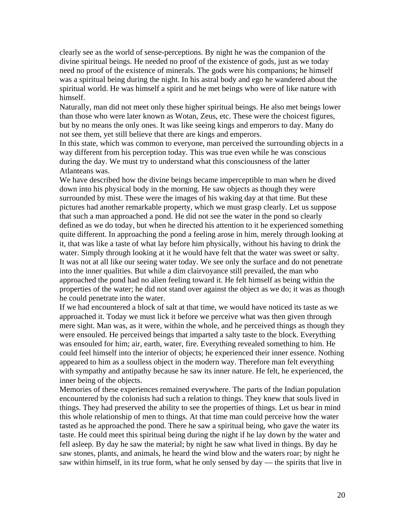clearly see as the world of sense-perceptions. By night he was the companion of the divine spiritual beings. He needed no proof of the existence of gods, just as we today need no proof of the existence of minerals. The gods were his companions; he himself was a spiritual being during the night. In his astral body and ego he wandered about the spiritual world. He was himself a spirit and he met beings who were of like nature with himself.

Naturally, man did not meet only these higher spiritual beings. He also met beings lower than those who were later known as Wotan, Zeus, etc. These were the choicest figures, but by no means the only ones. It was like seeing kings and emperors to day. Many do not see them, yet still believe that there are kings and emperors.

In this state, which was common to everyone, man perceived the surrounding objects in a way different from his perception today. This was true even while he was conscious during the day. We must try to understand what this consciousness of the latter Atlanteans was.

We have described how the divine beings became imperceptible to man when he dived down into his physical body in the morning. He saw objects as though they were surrounded by mist. These were the images of his waking day at that time. But these pictures had another remarkable property, which we must grasp clearly. Let us suppose that such a man approached a pond. He did not see the water in the pond so clearly defined as we do today, but when he directed his attention to it he experienced something quite different. In approaching the pond a feeling arose in him, merely through looking at it, that was like a taste of what lay before him physically, without his having to drink the water. Simply through looking at it he would have felt that the water was sweet or salty. It was not at all like our seeing water today. We see only the surface and do not penetrate into the inner qualities. But while a dim clairvoyance still prevailed, the man who approached the pond had no alien feeling toward it. He felt himself as being within the properties of the water; he did not stand over against the object as we do; it was as though he could penetrate into the water.

If we had encountered a block of salt at that time, we would have noticed its taste as we approached it. Today we must lick it before we perceive what was then given through mere sight. Man was, as it were, within the whole, and he perceived things as though they were ensouled. He perceived beings that imparted a salty taste to the block. Everything was ensouled for him; air, earth, water, fire. Everything revealed something to him. He could feel himself into the interior of objects; he experienced their inner essence. Nothing appeared to him as a soulless object in the modern way. Therefore man felt everything with sympathy and antipathy because he saw its inner nature. He felt, he experienced, the inner being of the objects.

Memories of these experiences remained everywhere. The parts of the Indian population encountered by the colonists had such a relation to things. They knew that souls lived in things. They had preserved the ability to see the properties of things. Let us bear in mind this whole relationship of men to things. At that time man could perceive how the water tasted as he approached the pond. There he saw a spiritual being, who gave the water its taste. He could meet this spiritual being during the night if he lay down by the water and fell asleep. By day he saw the material; by night he saw what lived in things. By day he saw stones, plants, and animals, he heard the wind blow and the waters roar; by night he saw within himself, in its true form, what he only sensed by day — the spirits that live in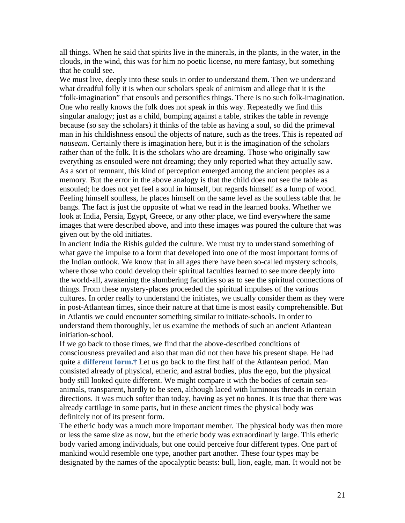all things. When he said that spirits live in the minerals, in the plants, in the water, in the clouds, in the wind, this was for him no poetic license, no mere fantasy, but something that he could see.

We must live, deeply into these souls in order to understand them. Then we understand what dreadful folly it is when our scholars speak of animism and allege that it is the "folk-imagination" that ensouls and personifies things. There is no such folk-imagination. One who really knows the folk does not speak in this way. Repeatedly we find this singular analogy; just as a child, bumping against a table, strikes the table in revenge because (so say the scholars) it thinks of the table as having a soul, so did the primeval man in his childishness ensoul the objects of nature, such as the trees. This is repeated *ad nauseam.* Certainly there is imagination here, but it is the imagination of the scholars rather than of the folk. It is the scholars who are dreaming. Those who originally saw everything as ensouled were not dreaming; they only reported what they actually saw. As a sort of remnant, this kind of perception emerged among the ancient peoples as a memory. But the error in the above analogy is that the child does not see the table as ensouled; he does not yet feel a soul in himself, but regards himself as a lump of wood. Feeling himself soulless, he places himself on the same level as the soulless table that he bangs. The fact is just the opposite of what we read in the learned books. Whether we look at India, Persia, Egypt, Greece, or any other place, we find everywhere the same images that were described above, and into these images was poured the culture that was given out by the old initiates.

In ancient India the Rishis guided the culture. We must try to understand something of what gave the impulse to a form that developed into one of the most important forms of the Indian outlook. We know that in all ages there have been so-called mystery schools, where those who could develop their spiritual faculties learned to see more deeply into the world-all, awakening the slumbering faculties so as to see the spiritual connections of things. From these mystery-places proceeded the spiritual impulses of the various cultures. In order really to understand the initiates, we usually consider them as they were in post-Atlantean times, since their nature at that time is most easily comprehensible. But in Atlantis we could encounter something similar to initiate-schools. In order to understand them thoroughly, let us examine the methods of such an ancient Atlantean initiation-school.

If we go back to those times, we find that the above-described conditions of consciousness prevailed and also that man did not then have his present shape. He had quite a **[different form.†](http://wn.elib.com/Steiner/Lectures/EgyptMyth/#_note2)** Let us go back to the first half of the Atlantean period. Man consisted already of physical, etheric, and astral bodies, plus the ego, but the physical body still looked quite different. We might compare it with the bodies of certain seaanimals, transparent, hardly to be seen, although laced with luminous threads in certain directions. It was much softer than today, having as yet no bones. It is true that there was already cartilage in some parts, but in these ancient times the physical body was definitely not of its present form.

The etheric body was a much more important member. The physical body was then more or less the same size as now, but the etheric body was extraordinarily large. This etheric body varied among individuals, but one could perceive four different types. One part of mankind would resemble one type, another part another. These four types may be designated by the names of the apocalyptic beasts: bull, lion, eagle, man. It would not be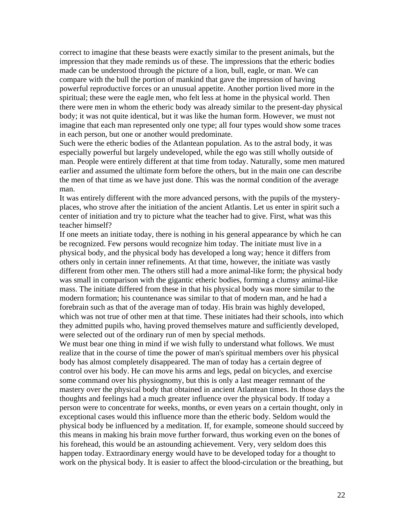correct to imagine that these beasts were exactly similar to the present animals, but the impression that they made reminds us of these. The impressions that the etheric bodies made can be understood through the picture of a lion, bull, eagle, or man. We can compare with the bull the portion of mankind that gave the impression of having powerful reproductive forces or an unusual appetite. Another portion lived more in the spiritual; these were the eagle men, who felt less at home in the physical world. Then there were men in whom the etheric body was already similar to the present-day physical body; it was not quite identical, but it was like the human form. However, we must not imagine that each man represented only one type; all four types would show some traces in each person, but one or another would predominate.

Such were the etheric bodies of the Atlantean population. As to the astral body, it was especially powerful but largely undeveloped, while the ego was still wholly outside of man. People were entirely different at that time from today. Naturally, some men matured earlier and assumed the ultimate form before the others, but in the main one can describe the men of that time as we have just done. This was the normal condition of the average man.

It was entirely different with the more advanced persons, with the pupils of the mysteryplaces, who strove after the initiation of the ancient Atlantis. Let us enter in spirit such a center of initiation and try to picture what the teacher had to give. First, what was this teacher himself?

If one meets an initiate today, there is nothing in his general appearance by which he can be recognized. Few persons would recognize him today. The initiate must live in a physical body, and the physical body has developed a long way; hence it differs from others only in certain inner refinements. At that time, however, the initiate was vastly different from other men. The others still had a more animal-like form; the physical body was small in comparison with the gigantic etheric bodies, forming a clumsy animal-like mass. The initiate differed from these in that his physical body was more similar to the modern formation; his countenance was similar to that of modern man, and he had a forebrain such as that of the average man of today. His brain was highly developed, which was not true of other men at that time. These initiates had their schools, into which they admitted pupils who, having proved themselves mature and sufficiently developed, were selected out of the ordinary run of men by special methods.

We must bear one thing in mind if we wish fully to understand what follows. We must realize that in the course of time the power of man's spiritual members over his physical body has almost completely disappeared. The man of today has a certain degree of control over his body. He can move his arms and legs, pedal on bicycles, and exercise some command over his physiognomy, but this is only a last meager remnant of the mastery over the physical body that obtained in ancient Atlantean times. In those days the thoughts and feelings had a much greater influence over the physical body. If today a person were to concentrate for weeks, months, or even years on a certain thought, only in exceptional cases would this influence more than the etheric body. Seldom would the physical body be influenced by a meditation. If, for example, someone should succeed by this means in making his brain move further forward, thus working even on the bones of his forehead, this would be an astounding achievement. Very, very seldom does this happen today. Extraordinary energy would have to be developed today for a thought to work on the physical body. It is easier to affect the blood-circulation or the breathing, but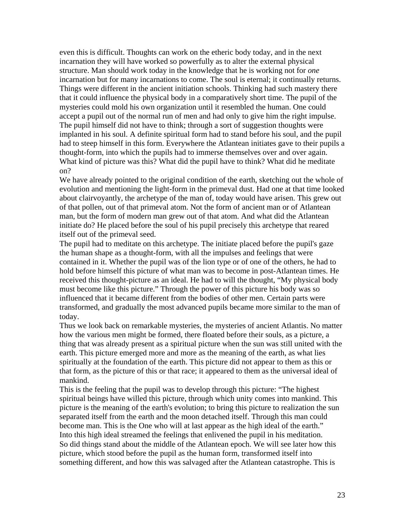even this is difficult. Thoughts can work on the etheric body today, and in the next incarnation they will have worked so powerfully as to alter the external physical structure. Man should work today in the knowledge that he is working not for *one*  incarnation but for many incarnations to come. The soul is eternal; it continually returns. Things were different in the ancient initiation schools. Thinking had such mastery there that it could influence the physical body in a comparatively short time. The pupil of the mysteries could mold his own organization until it resembled the human. One could accept a pupil out of the normal run of men and had only to give him the right impulse. The pupil himself did not have to think; through a sort of suggestion thoughts were implanted in his soul. A definite spiritual form had to stand before his soul, and the pupil had to steep himself in this form. Everywhere the Atlantean initiates gave to their pupils a thought-form, into which the pupils had to immerse themselves over and over again. What kind of picture was this? What did the pupil have to think? What did he meditate on?

We have already pointed to the original condition of the earth, sketching out the whole of evolution and mentioning the light-form in the primeval dust. Had one at that time looked about clairvoyantly, the archetype of the man of, today would have arisen. This grew out of that pollen, out of that primeval atom. Not the form of ancient man or of Atlantean man, but the form of modern man grew out of that atom. And what did the Atlantean initiate do? He placed before the soul of his pupil precisely this archetype that reared itself out of the primeval seed.

The pupil had to meditate on this archetype. The initiate placed before the pupil's gaze the human shape as a thought-form, with all the impulses and feelings that were contained in it. Whether the pupil was of the lion type or of one of the others, he had to hold before himself this picture of what man was to become in post-Atlantean times. He received this thought-picture as an ideal. He had to will the thought, "My physical body must become like this picture." Through the power of this picture his body was so influenced that it became different from the bodies of other men. Certain parts were transformed, and gradually the most advanced pupils became more similar to the man of today.

Thus we look back on remarkable mysteries, the mysteries of ancient Atlantis. No matter how the various men might be formed, there floated before their souls, as a picture, a thing that was already present as a spiritual picture when the sun was still united with the earth. This picture emerged more and more as the meaning of the earth, as what lies spiritually at the foundation of the earth. This picture did not appear to them as this or that form, as the picture of this or that race; it appeared to them as the universal ideal of mankind.

This is the feeling that the pupil was to develop through this picture: "The highest spiritual beings have willed this picture, through which unity comes into mankind. This picture is the meaning of the earth's evolution; to bring this picture to realization the sun separated itself from the earth and the moon detached itself. Through this man could become man. This is the One who will at last appear as the high ideal of the earth." Into this high ideal streamed the feelings that enlivened the pupil in his meditation. So did things stand about the middle of the Atlantean epoch. We will see later how this picture, which stood before the pupil as the human form, transformed itself into something different, and how this was salvaged after the Atlantean catastrophe. This is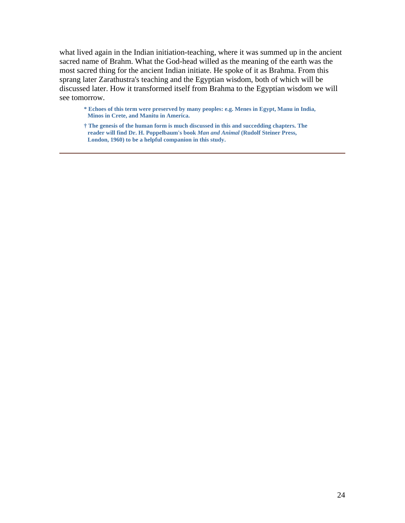what lived again in the Indian initiation-teaching, where it was summed up in the ancient sacred name of Brahm. What the God-head willed as the meaning of the earth was the most sacred thing for the ancient Indian initiate. He spoke of it as Brahma. From this sprang later Zarathustra's teaching and the Egyptian wisdom, both of which will be discussed later. How it transformed itself from Brahma to the Egyptian wisdom we will see tomorrow.

**\* Echoes of this term were preserved by many peoples: e.g. Menes in Egypt, Manu in India, Minos in Crete, and Manitu in America.**

**† The genesis of the human form is much discussed in this and succedding chapters. The reader will find Dr. H. Poppelbaum's book** *Man and Animal* **(Rudolf Steiner Press, London, 1960) to be a helpful companion in this study.**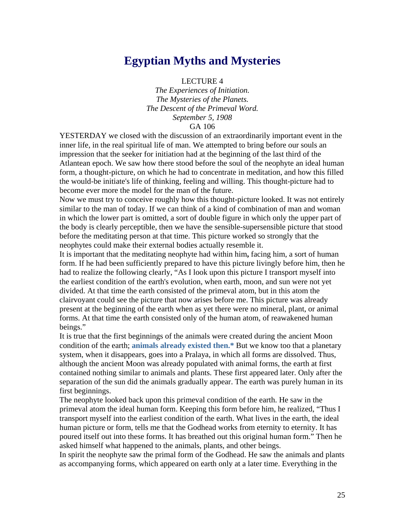LECTURE 4

*The Experiences of Initiation. The Mysteries of the Planets. The Descent of the Primeval Word. September 5, 1908* GA 106

YESTERDAY we closed with the discussion of an extraordinarily important event in the inner life, in the real spiritual life of man. We attempted to bring before our souls an impression that the seeker for initiation had at the beginning of the last third of the Atlantean epoch. We saw how there stood before the soul of the neophyte an ideal human form, a thought-picture, on which he had to concentrate in meditation, and how this filled the would-be initiate's life of thinking, feeling and willing. This thought-picture had to become ever more the model for the man of the future.

Now we must try to conceive roughly how this thought-picture looked. It was not entirely similar to the man of today. If we can think of a kind of combination of man and woman in which the lower part is omitted, a sort of double figure in which only the upper part of the body is clearly perceptible, then we have the sensible-supersensible picture that stood before the meditating person at that time. This picture worked so strongly that the neophytes could make their external bodies actually resemble it.

It is important that the meditating neophyte had within him**,** facing him, a sort of human form. If he had been sufficiently prepared to have this picture livingly before him, then he had to realize the following clearly, "As I look upon this picture I transport myself into the earliest condition of the earth's evolution, when earth, moon, and sun were not yet divided. At that time the earth consisted of the primeval atom, but in this atom the clairvoyant could see the picture that now arises before me. This picture was already present at the beginning of the earth when as yet there were no mineral, plant, or animal forms. At that time the earth consisted only of the human atom, of reawakened human beings."

It is true that the first beginnings of the animals were created during the ancient Moon condition of the earth; **[animals already existed then.\\*](http://wn.elib.com/Steiner/Lectures/EgyptMyth/#_note1)** But we know too that a planetary system, when it disappears, goes into a Pralaya, in which all forms are dissolved. Thus, although the ancient Moon was already populated with animal forms, the earth at first contained nothing similar to animals and plants. These first appeared later. Only after the separation of the sun did the animals gradually appear. The earth was purely human in its first beginnings.

The neophyte looked back upon this primeval condition of the earth. He saw in the primeval atom the ideal human form. Keeping this form before him, he realized, "Thus I transport myself into the earliest condition of the earth. What lives in the earth, the ideal human picture or form, tells me that the Godhead works from eternity to eternity. It has poured itself out into these forms. It has breathed out this original human form." Then he asked himself what happened to the animals, plants, and other beings.

In spirit the neophyte saw the primal form of the Godhead. He saw the animals and plants as accompanying forms, which appeared on earth only at a later time. Everything in the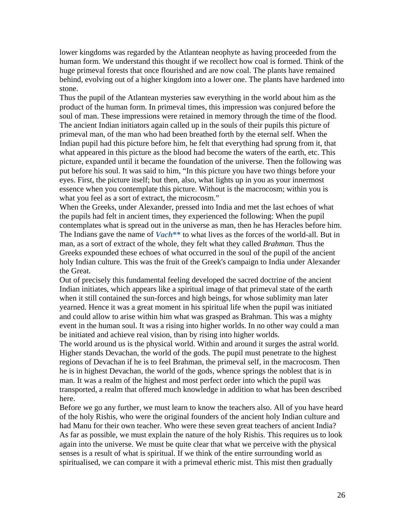lower kingdoms was regarded by the Atlantean neophyte as having proceeded from the human form. We understand this thought if we recollect how coal is formed. Think of the huge primeval forests that once flourished and are now coal. The plants have remained behind, evolving out of a higher kingdom into a lower one. The plants have hardened into stone.

Thus the pupil of the Atlantean mysteries saw everything in the world about him as the product of the human form. In primeval times, this impression was conjured before the soul of man. These impressions were retained in memory through the time of the flood. The ancient Indian initiators again called up in the souls of their pupils this picture of primeval man, of the man who had been breathed forth by the eternal self. When the Indian pupil had this picture before him, he felt that everything had sprung from it, that what appeared in this picture as the blood had become the waters of the earth, etc. This picture, expanded until it became the foundation of the universe. Then the following was put before his soul. It was said to him, "In this picture you have two things before your eyes. First, the picture itself; but then, also, what lights up in you as your innermost essence when you contemplate this picture. Without is the macrocosm; within you is what you feel as a sort of extract, the microcosm."

When the Greeks, under Alexander, pressed into India and met the last echoes of what the pupils had felt in ancient times, they experienced the following: When the pupil contemplates what is spread out in the universe as man, then he has Heracles before him. The Indians gave the name of *[Vach](http://wn.elib.com/Steiner/Lectures/EgyptMyth/#_note2)*<sup>\*\*</sup> to what lives as the forces of the world-all. But in man, as a sort of extract of the whole, they felt what they called *Brahman.* Thus the Greeks expounded these echoes of what occurred in the soul of the pupil of the ancient holy Indian culture. This was the fruit of the Greek's campaign to India under Alexander the Great.

Out of precisely this fundamental feeling developed the sacred doctrine of the ancient Indian initiates, which appears like a spiritual image of that primeval state of the earth when it still contained the sun-forces and high beings, for whose sublimity man later yearned. Hence it was a great moment in his spiritual life when the pupil was initiated and could allow to arise within him what was grasped as Brahman. This was a mighty event in the human soul. It was a rising into higher worlds. In no other way could a man be initiated and achieve real vision, than by rising into higher worlds.

The world around us is the physical world. Within and around it surges the astral world. Higher stands Devachan, the world of the gods. The pupil must penetrate to the highest regions of Devachan if he is to feel Brahman, the primeval self, in the macrocosm. Then he is in highest Devachan, the world of the gods, whence springs the noblest that is in man. It was a realm of the highest and most perfect order into which the pupil was transported, a realm that offered much knowledge in addition to what has been described here.

Before we go any further, we must learn to know the teachers also. All of you have heard of the holy Rishis, who were the original founders of the ancient holy Indian culture and had Manu for their own teacher. Who were these seven great teachers of ancient India? As far as possible, we must explain the nature of the holy Rishis. This requires us to look again into the universe. We must be quite clear that what we perceive with the physical senses is a result of what is spiritual. If we think of the entire surrounding world as spiritualised, we can compare it with a primeval etheric mist. This mist then gradually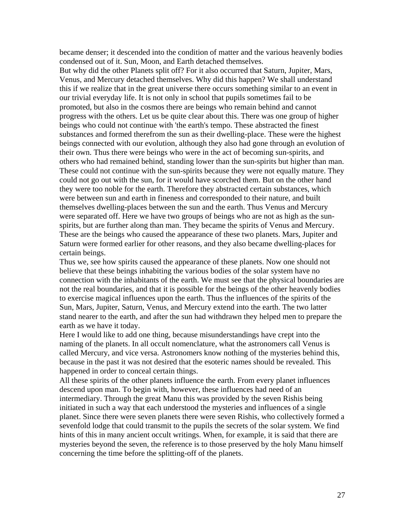became denser; it descended into the condition of matter and the various heavenly bodies condensed out of it. Sun, Moon, and Earth detached themselves.

But why did the other Planets split off? For it also occurred that Saturn, Jupiter, Mars, Venus, and Mercury detached themselves. Why did this happen? We shall understand this if we realize that in the great universe there occurs something similar to an event in our trivial everyday life. It is not only in school that pupils sometimes fail to be promoted, but also in the cosmos there are beings who remain behind and cannot progress with the others. Let us be quite clear about this. There was one group of higher beings who could not continue with 'the earth's tempo. These abstracted the finest substances and formed therefrom the sun as their dwelling-place. These were the highest beings connected with our evolution, although they also had gone through an evolution of their own. Thus there were beings who were in the act of becoming sun-spirits, and others who had remained behind, standing lower than the sun-spirits but higher than man. These could not continue with the sun-spirits because they were not equally mature. They could not go out with the sun, for it would have scorched them. But on the other hand they were too noble for the earth. Therefore they abstracted certain substances, which were between sun and earth in fineness and corresponded to their nature, and built themselves dwelling-places between the sun and the earth. Thus Venus and Mercury were separated off. Here we have two groups of beings who are not as high as the sunspirits, but are further along than man. They became the spirits of Venus and Mercury. These are the beings who caused the appearance of these two planets. Mars, Jupiter and Saturn were formed earlier for other reasons, and they also became dwelling-places for certain beings.

Thus we, see how spirits caused the appearance of these planets. Now one should not believe that these beings inhabiting the various bodies of the solar system have no connection with the inhabitants of the earth. We must see that the physical boundaries are not the real boundaries, and that it is possible for the beings of the other heavenly bodies to exercise magical influences upon the earth. Thus the influences of the spirits of the Sun, Mars, Jupiter, Saturn, Venus, and Mercury extend into the earth. The two latter stand nearer to the earth, and after the sun had withdrawn they helped men to prepare the earth as we have it today.

Here I would like to add one thing, because misunderstandings have crept into the naming of the planets. In all occult nomenclature, what the astronomers call Venus is called Mercury, and vice versa. Astronomers know nothing of the mysteries behind this, because in the past it was not desired that the esoteric names should be revealed. This happened in order to conceal certain things.

All these spirits of the other planets influence the earth. From every planet influences descend upon man. To begin with, however, these influences had need of an intermediary. Through the great Manu this was provided by the seven Rishis being initiated in such a way that each understood the mysteries and influences of a single planet. Since there were seven planets there were seven Rishis, who collectively formed a sevenfold lodge that could transmit to the pupils the secrets of the solar system. We find hints of this in many ancient occult writings. When, for example, it is said that there are mysteries beyond the seven, the reference is to those preserved by the holy Manu himself concerning the time before the splitting-off of the planets.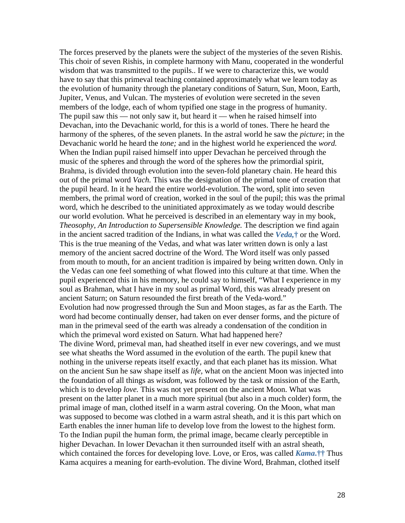The forces preserved by the planets were the subject of the mysteries of the seven Rishis. This choir of seven Rishis, in complete harmony with Manu, cooperated in the wonderful wisdom that was transmitted to the pupils.. If we were to characterize this, we would have to say that this primeval teaching contained approximately what we learn today as the evolution of humanity through the planetary conditions of Saturn, Sun, Moon, Earth, Jupiter, Venus, and Vulcan. The mysteries of evolution were secreted in the seven members of the lodge, each of whom typified one stage in the progress of humanity. The pupil saw this — not only saw it, but heard it — when he raised himself into Devachan, into the Devachanic world, for this is a world of tones. There he heard the harmony of the spheres, of the seven planets. In the astral world he saw the *picture*; in the Devachanic world he heard the *tone;* and in the highest world he experienced the *word.*  When the Indian pupil raised himself into upper Devachan he perceived through the music of the spheres and through the word of the spheres how the primordial spirit, Brahma, is divided through evolution into the seven-fold planetary chain. He heard this out of the primal word *Vach.* This was the designation of the primal tone of creation that the pupil heard. In it he heard the entire world-evolution. The word, split into seven members, the primal word of creation, worked in the soul of the pupil; this was the primal word, which he described to the uninitiated approximately as we today would describe our world evolution. What he perceived is described in an elementary way in my book, *Theosophy, An Introduction to Supersensible Knowledge.* The description we find again in the ancient sacred tradition of the Indians, in what was called the *[Veda,](http://wn.elib.com/Steiner/Lectures/EgyptMyth/#_note3)***†** or the Word. This is the true meaning of the Vedas, and what was later written down is only a last memory of the ancient sacred doctrine of the Word. The Word itself was only passed from mouth to mouth, for an ancient tradition is impaired by being written down. Only in the Vedas can one feel something of what flowed into this culture at that time. When the pupil experienced this in his memory, he could say to himself, "What I experience in my soul as Brahman, what I have in my soul as primal Word, this was already present on ancient Saturn; on Saturn resounded the first breath of the Veda-word." Evolution had now progressed through the Sun and Moon stages, as far as the Earth. The word had become continually denser, had taken on ever denser forms, and the picture of man in the primeval seed of the earth was already a condensation of the condition in which the primeval word existed on Saturn. What had happened here? The divine Word, primeval man, had sheathed itself in ever new coverings, and we must see what sheaths the Word assumed in the evolution of the earth. The pupil knew that nothing in the universe repeats itself exactly, and that each planet has its mission. What on the ancient Sun he saw shape itself as *life,* what on the ancient Moon was injected into the foundation of all things as *wisdom,* was followed by the task or mission of the Earth, which is to develop *love.* This was not yet present on the ancient Moon. What was present on the latter planet in a much more spiritual (but also in a much colder) form, the primal image of man, clothed itself in a warm astral covering. On the Moon, what man was supposed to become was clothed in a warm astral sheath, and it is this part which on Earth enables the inner human life to develop love from the lowest to the highest form. To the Indian pupil the human form, the primal image, became clearly perceptible in higher Devachan. In lower Devachan it then surrounded itself with an astral sheath, which contained the forces for developing love. Love, or Eros, was called *[Kama](http://wn.elib.com/Steiner/Lectures/EgyptMyth/#_note4)***.††** Thus Kama acquires a meaning for earth-evolution. The divine Word, Brahman, clothed itself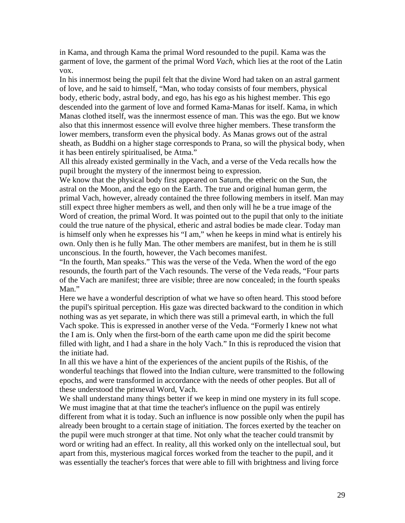in Kama, and through Kama the primal Word resounded to the pupil. Kama was the garment of love, the garment of the primal Word *Vach,* which lies at the root of the Latin vox.

In his innermost being the pupil felt that the divine Word had taken on an astral garment of love, and he said to himself, "Man, who today consists of four members, physical body, etheric body, astral body, and ego, has his ego as his highest member. This ego descended into the garment of love and formed Kama-Manas for itself. Kama, in which Manas clothed itself, was the innermost essence of man. This was the ego. But we know also that this innermost essence will evolve three higher members. These transform the lower members, transform even the physical body. As Manas grows out of the astral sheath, as Buddhi on a higher stage corresponds to Prana, so will the physical body, when it has been entirely spiritualised, be Atma."

All this already existed germinally in the Vach, and a verse of the Veda recalls how the pupil brought the mystery of the innermost being to expression.

We know that the physical body first appeared on Saturn, the etheric on the Sun, the astral on the Moon, and the ego on the Earth. The true and original human germ, the primal Vach, however, already contained the three following members in itself. Man may still expect three higher members as well, and then only will he be a true image of the Word of creation, the primal Word. It was pointed out to the pupil that only to the initiate could the true nature of the physical, etheric and astral bodies be made clear. Today man is himself only when he expresses his "I am," when he keeps in mind what is entirely his own. Only then is he fully Man. The other members are manifest, but in them he is still unconscious. In the fourth, however, the Vach becomes manifest.

"In the fourth, Man speaks." This was the verse of the Veda. When the word of the ego resounds, the fourth part of the Vach resounds. The verse of the Veda reads, "Four parts of the Vach are manifest; three are visible; three are now concealed; in the fourth speaks Man."

Here we have a wonderful description of what we have so often heard. This stood before the pupil's spiritual perception. His gaze was directed backward to the condition in which nothing was as yet separate, in which there was still a primeval earth, in which the full Vach spoke. This is expressed in another verse of the Veda. "Formerly I knew not what the I am is. Only when the first-born of the earth came upon me did the spirit become filled with light, and I had a share in the holy Vach." In this is reproduced the vision that the initiate had.

In all this we have a hint of the experiences of the ancient pupils of the Rishis, of the wonderful teachings that flowed into the Indian culture, were transmitted to the following epochs, and were transformed in accordance with the needs of other peoples. But all of these understood the primeval Word, Vach.

We shall understand many things better if we keep in mind one mystery in its full scope. We must imagine that at that time the teacher's influence on the pupil was entirely different from what it is today. Such an influence is now possible only when the pupil has already been brought to a certain stage of initiation. The forces exerted by the teacher on the pupil were much stronger at that time. Not only what the teacher could transmit by word or writing had an effect. In reality, all this worked only on the intellectual soul, but apart from this, mysterious magical forces worked from the teacher to the pupil, and it was essentially the teacher's forces that were able to fill with brightness and living force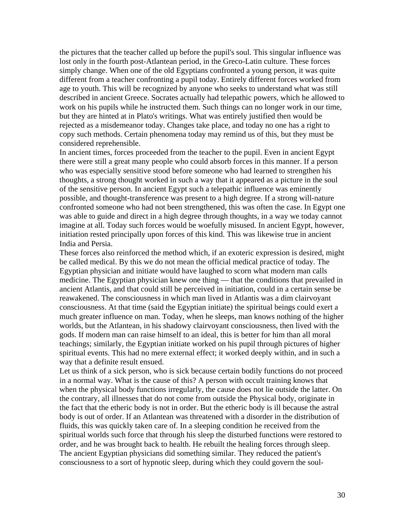the pictures that the teacher called up before the pupil's soul. This singular influence was lost only in the fourth post-Atlantean period, in the Greco-Latin culture. These forces simply change. When one of the old Egyptians confronted a young person, it was quite different from a teacher confronting a pupil today. Entirely different forces worked from age to youth. This will be recognized by anyone who seeks to understand what was still described in ancient Greece. Socrates actually had telepathic powers, which he allowed to work on his pupils while he instructed them. Such things can no longer work in our time, but they are hinted at in Plato's writings. What was entirely justified then would be rejected as a misdemeanor today. Changes take place, and today no one has a right to copy such methods. Certain phenomena today may remind us of this, but they must be considered reprehensible.

In ancient times, forces proceeded from the teacher to the pupil. Even in ancient Egypt there were still a great many people who could absorb forces in this manner. If a person who was especially sensitive stood before someone who had learned to strengthen his thoughts, a strong thought worked in such a way that it appeared as a picture in the soul of the sensitive person. In ancient Egypt such a telepathic influence was eminently possible, and thought-transference was present to a high degree. If a strong will-nature confronted someone who had not been strengthened, this was often the case. In Egypt one was able to guide and direct in a high degree through thoughts, in a way we today cannot imagine at all. Today such forces would be woefully misused. In ancient Egypt, however, initiation rested principally upon forces of this kind. This was likewise true in ancient India and Persia.

These forces also reinforced the method which, if an exoteric expression is desired, might be called medical. By this we do not mean the official medical practice of today. The Egyptian physician and initiate would have laughed to scorn what modern man calls medicine. The Egyptian physician knew one thing — that the conditions that prevailed in ancient Atlantis, and that could still be perceived in initiation, could in a certain sense be reawakened. The consciousness in which man lived in Atlantis was a dim clairvoyant consciousness. At that time (said the Egyptian initiate) the spiritual beings could exert a much greater influence on man. Today, when he sleeps, man knows nothing of the higher worlds, but the Atlantean, in his shadowy clairvoyant consciousness, then lived with the gods. If modern man can raise himself to an ideal, this is better for him than all moral teachings; similarly, the Egyptian initiate worked on his pupil through pictures of higher spiritual events. This had no mere external effect; it worked deeply within, and in such a way that a definite result ensued.

Let us think of a sick person, who is sick because certain bodily functions do not proceed in a normal way. What is the cause of this? A person with occult training knows that when the physical body functions irregularly, the cause does not lie outside the latter. On the contrary, all illnesses that do not come from outside the Physical body, originate in the fact that the etheric body is not in order. But the etheric body is ill because the astral body is out of order. If an Atlantean was threatened with a disorder in the distribution of fluids, this was quickly taken care of. In a sleeping condition he received from the spiritual worlds such force that through his sleep the disturbed functions were restored to order, and he was brought back to health. He rebuilt the healing forces through sleep. The ancient Egyptian physicians did something similar. They reduced the patient's consciousness to a sort of hypnotic sleep, during which they could govern the soul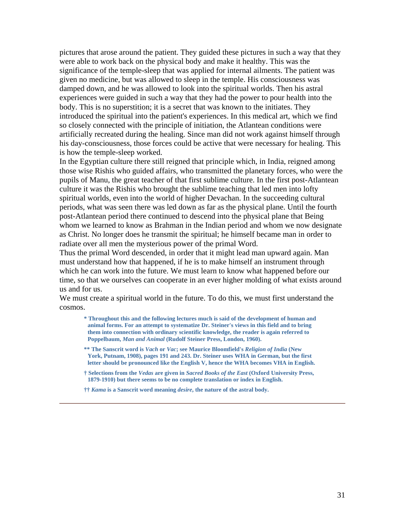pictures that arose around the patient. They guided these pictures in such a way that they were able to work back on the physical body and make it healthy. This was the significance of the temple-sleep that was applied for internal ailments. The patient was given no medicine, but was allowed to sleep in the temple. His consciousness was damped down, and he was allowed to look into the spiritual worlds. Then his astral experiences were guided in such a way that they had the power to pour health into the body. This is no superstition; it is a secret that was known to the initiates. They introduced the spiritual into the patient's experiences. In this medical art, which we find so closely connected with the principle of initiation, the Atlantean conditions were artificially recreated during the healing. Since man did not work against himself through his day-consciousness, those forces could be active that were necessary for healing. This is how the temple-sleep worked.

In the Egyptian culture there still reigned that principle which, in India, reigned among those wise Rishis who guided affairs, who transmitted the planetary forces, who were the pupils of Manu, the great teacher of that first sublime culture. In the first post-Atlantean culture it was the Rishis who brought the sublime teaching that led men into lofty spiritual worlds, even into the world of higher Devachan. In the succeeding cultural periods, what was seen there was led down as far as the physical plane. Until the fourth post-Atlantean period there continued to descend into the physical plane that Being whom we learned to know as Brahman in the Indian period and whom we now designate as Christ. No longer does he transmit the spiritual; he himself became man in order to radiate over all men the mysterious power of the primal Word.

Thus the primal Word descended, in order that it might lead man upward again. Man must understand how that happened, if he is to make himself an instrument through which he can work into the future. We must learn to know what happened before our time, so that we ourselves can cooperate in an ever higher molding of what exists around us and for us.

We must create a spiritual world in the future. To do this, we must first understand the cosmos.

- **\* Throughout this and the following lectures much is said of the development of human and animal forms. For an attempt to systematize Dr. Steiner's views in this field and to bring them into connection with ordinary scientific knowledge, the reader is again referred to Poppelbaum,** *Man and Animal* **(Rudolf Steiner Press, London, 1960).**
- **\*\* The Sanscrit word is** *Vach* **or** *Vac***; see Maurice Bloomfield's** *Religion of India* **(New York, Putnam, 1908), pages 191 and 243. Dr. Steiner uses WHA in German, but the first letter should be pronounced like the English V, hence the WHA becomes VHA in English.**
- **† Selections from the** *Vedas* **are given in** *Sacred Books of the East* **(Oxford University Press, 1879-1910) but there seems to be no complete translation or index in English.**
- **††** *Kama* **is a Sanscrit word meaning** *desire***, the nature of the astral body.**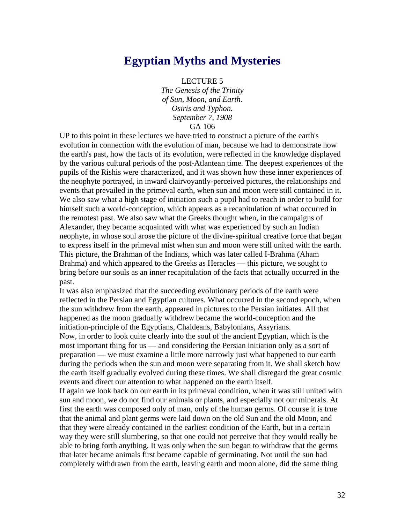LECTURE 5

*The Genesis of the Trinity of Sun, Moon, and Earth. Osiris and Typhon. September 7, 1908* GA 106

UP to this point in these lectures we have tried to construct a picture of the earth's evolution in connection with the evolution of man, because we had to demonstrate how the earth's past, how the facts of its evolution, were reflected in the knowledge displayed by the various cultural periods of the post-Atlantean time. The deepest experiences of the pupils of the Rishis were characterized, and it was shown how these inner experiences of the neophyte portrayed, in inward clairvoyantly-perceived pictures, the relationships and events that prevailed in the primeval earth, when sun and moon were still contained in it. We also saw what a high stage of initiation such a pupil had to reach in order to build for himself such a world-conception, which appears as a recapitulation of what occurred in the remotest past. We also saw what the Greeks thought when, in the campaigns of Alexander, they became acquainted with what was experienced by such an Indian neophyte, in whose soul arose the picture of the divine-spiritual creative force that began to express itself in the primeval mist when sun and moon were still united with the earth. This picture, the Brahman of the Indians, which was later called I-Brahma (Aham Brahma) and which appeared to the Greeks as Heracles — this picture, we sought to bring before our souls as an inner recapitulation of the facts that actually occurred in the past.

It was also emphasized that the succeeding evolutionary periods of the earth were reflected in the Persian and Egyptian cultures. What occurred in the second epoch, when the sun withdrew from the earth, appeared in pictures to the Persian initiates. All that happened as the moon gradually withdrew became the world-conception and the initiation-principle of the Egyptians, Chaldeans, Babylonians, Assyrians.

Now, in order to look quite clearly into the soul of the ancient Egyptian, which is the most important thing for us — and considering the Persian initiation only as a sort of preparation — we must examine a little more narrowly just what happened to our earth during the periods when the sun and moon were separating from it. We shall sketch how the earth itself gradually evolved during these times. We shall disregard the great cosmic events and direct our attention to what happened on the earth itself.

If again we look back on our earth in its primeval condition, when it was still united with sun and moon, we do not find our animals or plants, and especially not our minerals. At first the earth was composed only of man, only of the human germs. Of course it is true that the animal and plant germs were laid down on the old Sun and the old Moon, and that they were already contained in the earliest condition of the Earth, but in a certain way they were still slumbering, so that one could not perceive that they would really be able to bring forth anything. It was only when the sun began to withdraw that the germs that later became animals first became capable of germinating. Not until the sun had completely withdrawn from the earth, leaving earth and moon alone, did the same thing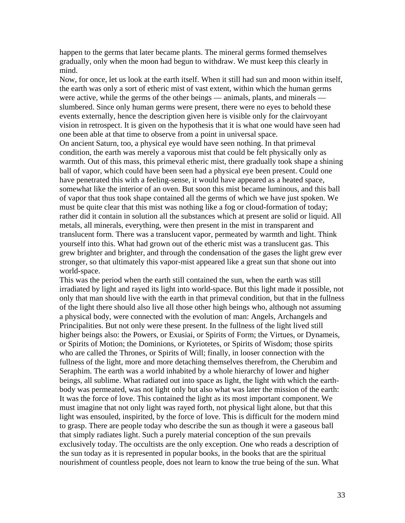happen to the germs that later became plants. The mineral germs formed themselves gradually, only when the moon had begun to withdraw. We must keep this clearly in mind.

Now, for once, let us look at the earth itself. When it still had sun and moon within itself, the earth was only a sort of etheric mist of vast extent, within which the human germs were active, while the germs of the other beings — animals, plants, and minerals slumbered. Since only human germs were present, there were no eyes to behold these events externally, hence the description given here is visible only for the clairvoyant vision in retrospect. It is given on the hypothesis that it is what one would have seen had one been able at that time to observe from a point in universal space.

On ancient Saturn, too, a physical eye would have seen nothing. In that primeval condition, the earth was merely a vaporous mist that could be felt physically only as warmth. Out of this mass, this primeval etheric mist, there gradually took shape a shining ball of vapor, which could have been seen had a physical eye been present. Could one have penetrated this with a feeling-sense, it would have appeared as a heated space, somewhat like the interior of an oven. But soon this mist became luminous, and this ball of vapor that thus took shape contained all the germs of which we have just spoken. We must be quite clear that this mist was nothing like a fog or cloud-formation of today; rather did it contain in solution all the substances which at present are solid or liquid. All metals, all minerals, everything, were then present in the mist in transparent and translucent form. There was a translucent vapor, permeated by warmth and light. Think yourself into this. What had grown out of the etheric mist was a translucent gas. This grew brighter and brighter, and through the condensation of the gases the light grew ever stronger, so that ultimately this vapor-mist appeared like a great sun that shone out into world-space.

This was the period when the earth still contained the sun, when the earth was still irradiated by light and rayed its light into world-space. But this light made it possible, not only that man should live with the earth in that primeval condition, but that in the fullness of the light there should also live all those other high beings who, although not assuming a physical body, were connected with the evolution of man: Angels, Archangels and Principalities. But not only were these present. In the fullness of the light lived still higher beings also: the Powers, or Exusiai, or Spirits of Form; the Virtues, or Dynameis, or Spirits of Motion; the Dominions, or Kyriotetes, or Spirits of Wisdom; those spirits who are called the Thrones, or Spirits of Will; finally, in looser connection with the fullness of the light, more and more detaching themselves therefrom, the Cherubim and Seraphim. The earth was a world inhabited by a whole hierarchy of lower and higher beings, all sublime. What radiated out into space as light, the light with which the earthbody was permeated, was not light only but also what was later the mission of the earth: It was the force of love. This contained the light as its most important component. We must imagine that not only light was rayed forth, not physical light alone, but that this light was ensouled, inspirited, by the force of love. This is difficult for the modern mind to grasp. There are people today who describe the sun as though it were a gaseous ball that simply radiates light. Such a purely material conception of the sun prevails exclusively today. The occultists are the only exception. One who reads a description of the sun today as it is represented in popular books, in the books that are the spiritual nourishment of countless people, does not learn to know the true being of the sun. What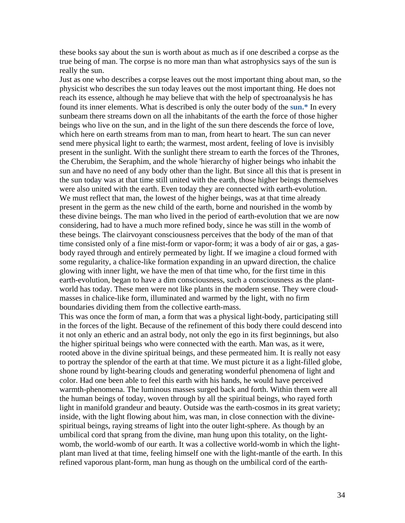these books say about the sun is worth about as much as if one described a corpse as the true being of man. The corpse is no more man than what astrophysics says of the sun is really the sun.

Just as one who describes a corpse leaves out the most important thing about man, so the physicist who describes the sun today leaves out the most important thing. He does not reach its essence, although he may believe that with the help of spectroanalysis he has found its inner elements. What is described is only the outer body of the **[sun.\\*](http://wn.elib.com/Steiner/Lectures/EgyptMyth/#_note1)** In every sunbeam there streams down on all the inhabitants of the earth the force of those higher beings who live on the sun, and in the light of the sun there descends the force of love, which here on earth streams from man to man, from heart to heart. The sun can never send mere physical light to earth; the warmest, most ardent, feeling of love is invisibly present in the sunlight. With the sunlight there stream to earth the forces of the Thrones, the Cherubim, the Seraphim, and the whole 'hierarchy of higher beings who inhabit the sun and have no need of any body other than the light. But since all this that is present in the sun today was at that time still united with the earth, those higher beings themselves were also united with the earth. Even today they are connected with earth-evolution. We must reflect that man, the lowest of the higher beings, was at that time already present in the germ as the new child of the earth, borne and nourished in the womb by these divine beings. The man who lived in the period of earth-evolution that we are now considering, had to have a much more refined body, since he was still in the womb of these beings. The clairvoyant consciousness perceives that the body of the man of that time consisted only of a fine mist-form or vapor-form; it was a body of air or gas, a gasbody rayed through and entirely permeated by light. If we imagine a cloud formed with some regularity, a chalice-like formation expanding in an upward direction, the chalice glowing with inner light, we have the men of that time who, for the first time in this earth-evolution, began to have a dim consciousness, such a consciousness as the plantworld has today. These men were not like plants in the modern sense. They were cloudmasses in chalice-like form, illuminated and warmed by the light, with no firm boundaries dividing them from the collective earth-mass.

This was once the form of man, a form that was a physical light-body, participating still in the forces of the light. Because of the refinement of this body there could descend into it not only an etheric and an astral body, not only the ego in its first beginnings, but also the higher spiritual beings who were connected with the earth. Man was, as it were, rooted above in the divine spiritual beings, and these permeated him. It is really not easy to portray the splendor of the earth at that time. We must picture it as a light-filled globe, shone round by light-bearing clouds and generating wonderful phenomena of light and color. Had one been able to feel this earth with his hands, he would have perceived warmth-phenomena. The luminous masses surged back and forth. Within them were all the human beings of today, woven through by all the spiritual beings, who rayed forth light in manifold grandeur and beauty. Outside was the earth-cosmos in its great variety; inside, with the light flowing about him, was man, in close connection with the divinespiritual beings, raying streams of light into the outer light-sphere. As though by an umbilical cord that sprang from the divine, man hung upon this totality, on the lightwomb, the world-womb of our earth. It was a collective world-womb in which the lightplant man lived at that time, feeling himself one with the light-mantle of the earth. In this refined vaporous plant-form, man hung as though on the umbilical cord of the earth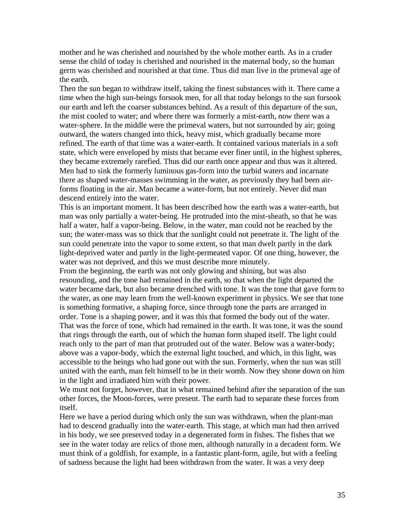mother and he was cherished and nourished by the whole mother earth. As in a cruder sense the child of today is cherished and nourished in the maternal body, so the human germ was cherished and nourished at that time. Thus did man live in the primeval age of the earth.

Then the sun began to withdraw itself, taking the finest substances with it. There came a time when the high sun-beings forsook men, for all that today belongs to the sun forsook our earth and left the coarser substances behind. As a result of this departure of the sun, the mist cooled to water; and where there was formerly a mist-earth, now there was a water-sphere. In the middle were the primeval waters, but not surrounded by air; going outward, the waters changed into thick, heavy mist, which gradually became more refined. The earth of that time was a water-earth. It contained various materials in a soft state, which were enveloped by mists that became ever finer until, in the highest spheres, they became extremely rarefied. Thus did our earth once appear and thus was it altered. Men had to sink the formerly luminous gas-form into the turbid waters and incarnate there as shaped water-masses swimming in the water, as previously they had been airforms floating in the air. Man became a water-form, but not entirely. Never did man descend entirely into the water.

This is an important moment. It has been described how the earth was a water-earth, but man was only partially a water-being. He protruded into the mist-sheath, so that he was half a water, half a vapor-being. Below, in the water, man could not be reached by the sun; the water-mass was so thick that the sunlight could not penetrate it. The light of the sun could penetrate into the vapor to some extent, so that man dwelt partly in the dark light-deprived water and partly in the light-permeated vapor. Of one thing, however, the water was not deprived, and this we must describe more minutely.

From the beginning, the earth was not only glowing and shining, but was also resounding, and the tone had remained in the earth, so that when the light departed the water became dark, but also became drenched with tone. It was the tone that gave form to the water, as one may learn from the well-known experiment in physics. We see that tone is something formative, a shaping force, since through tone the parts are arranged in order. Tone is a shaping power, and it was this that formed the body out of the water. That was the force of tone, which had remained in the earth. It was tone, it was the sound that rings through the earth, out of which the human form shaped itself. The light could reach only to the part of man that protruded out of the water. Below was a water-body; above was a vapor-body, which the external light touched, and which, in this light, was accessible to the beings who had gone out with the sun. Formerly, when the sun was still united with the earth, man felt himself to be in their womb. Now they shone down on him in the light and irradiated him with their power.

We must not forget, however, that in what remained behind after the separation of the sun other forces, the Moon-forces, were present. The earth had to separate these forces from itself.

Here we have a period during which only the sun was withdrawn, when the plant-man had to descend gradually into the water-earth. This stage, at which man had then arrived in his body, we see preserved today in a degenerated form in fishes. The fishes that we see in the water today are relics of those men, although naturally in a decadent form. We must think of a goldfish, for example, in a fantastic plant-form, agile, but with a feeling of sadness because the light had been withdrawn from the water. It was a very deep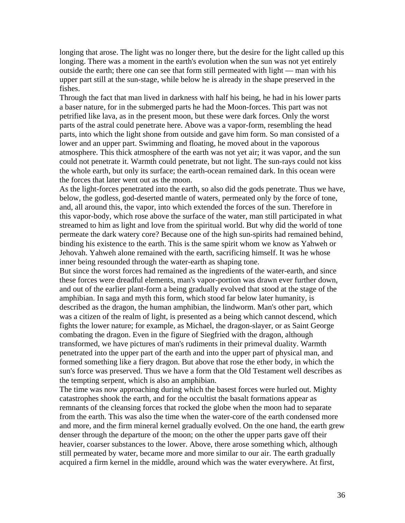longing that arose. The light was no longer there, but the desire for the light called up this longing. There was a moment in the earth's evolution when the sun was not yet entirely outside the earth; there one can see that form still permeated with light — man with his upper part still at the sun-stage, while below he is already in the shape preserved in the fishes.

Through the fact that man lived in darkness with half his being, he had in his lower parts a baser nature, for in the submerged parts he had the Moon-forces. This part was not petrified like lava, as in the present moon, but these were dark forces. Only the worst parts of the astral could penetrate here. Above was a vapor-form, resembling the head parts, into which the light shone from outside and gave him form. So man consisted of a lower and an upper part. Swimming and floating, he moved about in the vaporous atmosphere. This thick atmosphere of the earth was not yet air; it was vapor, and the sun could not penetrate it. Warmth could penetrate, but not light. The sun-rays could not kiss the whole earth, but only its surface; the earth-ocean remained dark. In this ocean were the forces that later went out as the moon.

As the light-forces penetrated into the earth, so also did the gods penetrate. Thus we have, below, the godless, god-deserted mantle of waters, permeated only by the force of tone, and, all around this, the vapor, into which extended the forces of the sun. Therefore in this vapor-body, which rose above the surface of the water, man still participated in what streamed to him as light and love from the spiritual world. But why did the world of tone permeate the dark watery core? Because one of the high sun-spirits had remained behind, binding his existence to the earth. This is the same spirit whom we know as Yahweh or Jehovah. Yahweh alone remained with the earth, sacrificing himself. It was he whose inner being resounded through the water-earth as shaping tone.

But since the worst forces had remained as the ingredients of the water-earth, and since these forces were dreadful elements, man's vapor-portion was drawn ever further down, and out of the earlier plant-form a being gradually evolved that stood at the stage of the amphibian. In saga and myth this form, which stood far below later humanity, is described as the dragon, the human amphibian, the lindworm. Man's other part, which was a citizen of the realm of light, is presented as a being which cannot descend, which fights the lower nature; for example, as Michael, the dragon-slayer, or as Saint George combating the dragon. Even in the figure of Siegfried with the dragon, although transformed, we have pictures of man's rudiments in their primeval duality. Warmth penetrated into the upper part of the earth and into the upper part of physical man, and formed something like a fiery dragon. But above that rose the ether body, in which the sun's force was preserved. Thus we have a form that the Old Testament well describes as the tempting serpent, which is also an amphibian.

The time was now approaching during which the basest forces were hurled out. Mighty catastrophes shook the earth, and for the occultist the basalt formations appear as remnants of the cleansing forces that rocked the globe when the moon had to separate from the earth. This was also the time when the water-core of the earth condensed more and more, and the firm mineral kernel gradually evolved. On the one hand, the earth grew denser through the departure of the moon; on the other the upper parts gave off their heavier, coarser substances to the lower. Above, there arose something which, although still permeated by water, became more and more similar to our air. The earth gradually acquired a firm kernel in the middle, around which was the water everywhere. At first,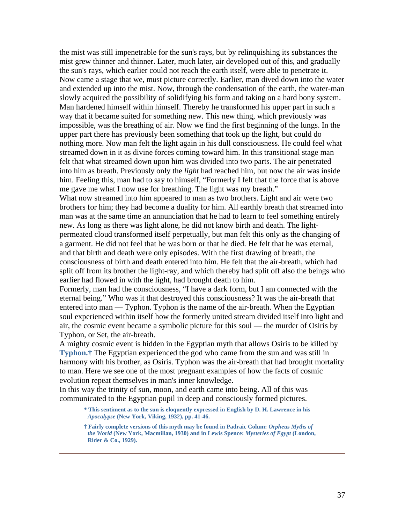the mist was still impenetrable for the sun's rays, but by relinquishing its substances the mist grew thinner and thinner. Later, much later, air developed out of this, and gradually the sun's rays, which earlier could not reach the earth itself, were able to penetrate it. Now came a stage that we, must picture correctly. Earlier, man dived down into the water and extended up into the mist. Now, through the condensation of the earth, the water-man slowly acquired the possibility of solidifying his form and taking on a hard bony system. Man hardened himself within himself. Thereby he transformed his upper part in such a way that it became suited for something new. This new thing, which previously was impossible, was the breathing of air. Now we find the first beginning of the lungs. In the upper part there has previously been something that took up the light, but could do nothing more. Now man felt the light again in his dull consciousness. He could feel what streamed down in it as divine forces coming toward him. In this transitional stage man felt that what streamed down upon him was divided into two parts. The air penetrated into him as breath. Previously only the *light* had reached him, but now the air was inside him. Feeling this, man had to say to himself, "Formerly I felt that the force that is above me gave me what I now use for breathing. The light was my breath."

What now streamed into him appeared to man as two brothers. Light and air were two brothers for him; they had become a duality for him. All earthly breath that streamed into man was at the same time an annunciation that he had to learn to feel something entirely new. As long as there was light alone, he did not know birth and death. The lightpermeated cloud transformed itself perpetually, but man felt this only as the changing of a garment. He did not feel that he was born or that he died. He felt that he was eternal, and that birth and death were only episodes. With the first drawing of breath, the consciousness of birth and death entered into him. He felt that the air-breath, which had split off from its brother the light-ray, and which thereby had split off also the beings who earlier had flowed in with the light, had brought death to him.

Formerly, man had the consciousness, "I have a dark form, but I am connected with the eternal being." Who was it that destroyed this consciousness? It was the air-breath that entered into man — Typhon. Typhon is the name of the air-breath. When the Egyptian soul experienced within itself how the formerly united stream divided itself into light and air, the cosmic event became a symbolic picture for this soul — the murder of Osiris by Typhon, or Set, the air-breath.

A mighty cosmic event is hidden in the Egyptian myth that allows Osiris to be killed by **[Typhon.†](http://wn.elib.com/Steiner/Lectures/EgyptMyth/#_note2)** The Egyptian experienced the god who came from the sun and was still in harmony with his brother, as Osiris. Typhon was the air-breath that had brought mortality to man. Here we see one of the most pregnant examples of how the facts of cosmic evolution repeat themselves in man's inner knowledge.

In this way the trinity of sun, moon, and earth came into being. All of this was communicated to the Egyptian pupil in deep and consciously formed pictures.

- **\* This sentiment as to the sun is eloquently expressed in English by D. H. Lawrence in his**  *Apocalypse* **(New York, Viking, 1932), pp. 41-46.**
- **† Fairly complete versions of this myth may be found in Padraic Colum:** *Orpheus Myths of the World* **(New York, Macmillan, 1930) and in Lewis Spence:** *Mysteries of Egypt* **(London, Rider & Co., 1929).**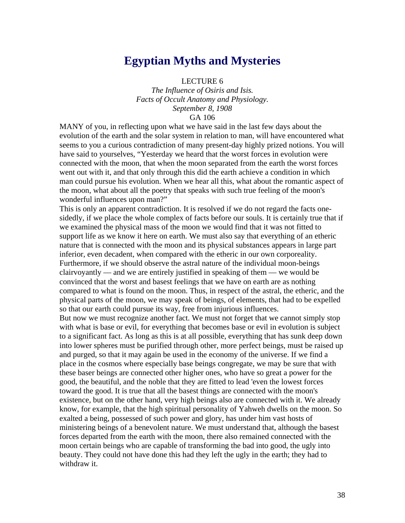# **Egyptian Myths and Mysteries**

LECTURE 6

*The Influence of Osiris and Isis. Facts of Occult Anatomy and Physiology. September 8, 1908* GA 106

MANY of you, in reflecting upon what we have said in the last few days about the evolution of the earth and the solar system in relation to man, will have encountered what seems to you a curious contradiction of many present-day highly prized notions. You will have said to yourselves, "Yesterday we heard that the worst forces in evolution were connected with the moon, that when the moon separated from the earth the worst forces went out with it, and that only through this did the earth achieve a condition in which man could pursue his evolution. When we hear all this, what about the romantic aspect of the moon, what about all the poetry that speaks with such true feeling of the moon's wonderful influences upon man?"

This is only an apparent contradiction. It is resolved if we do not regard the facts onesidedly, if we place the whole complex of facts before our souls. It is certainly true that if we examined the physical mass of the moon we would find that it was not fitted to support life as we know it here on earth. We must also say that everything of an etheric nature that is connected with the moon and its physical substances appears in large part inferior, even decadent, when compared with the etheric in our own corporeality. Furthermore, if we should observe the astral nature of the individual moon-beings clairvoyantly — and we are entirely justified in speaking of them — we would be convinced that the worst and basest feelings that we have on earth are as nothing compared to what is found on the moon. Thus, in respect of the astral, the etheric, and the physical parts of the moon, we may speak of beings, of elements, that had to be expelled so that our earth could pursue its way, free from injurious influences.

But now we must recognize another fact. We must not forget that we cannot simply stop with what is base or evil, for everything that becomes base or evil in evolution is subject to a significant fact. As long as this is at all possible, everything that has sunk deep down into lower spheres must be purified through other, more perfect beings, must be raised up and purged, so that it may again be used in the economy of the universe. If we find a place in the cosmos where especially base beings congregate, we may be sure that with these baser beings are connected other higher ones, who have so great a power for the good, the beautiful, and the noble that they are fitted to lead 'even the lowest forces toward the good. It is true that all the basest things are connected with the moon's existence, but on the other hand, very high beings also are connected with it. We already know, for example, that the high spiritual personality of Yahweh dwells on the moon. So exalted a being, possessed of such power and glory, has under him vast hosts of ministering beings of a benevolent nature. We must understand that, although the basest forces departed from the earth with the moon, there also remained connected with the moon certain beings who are capable of transforming the bad into good, the ugly into beauty. They could not have done this had they left the ugly in the earth; they had to withdraw it.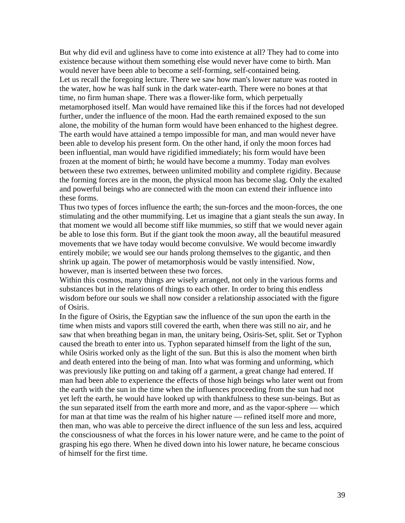But why did evil and ugliness have to come into existence at all? They had to come into existence because without them something else would never have come to birth. Man would never have been able to become a self-forming, self-contained being. Let us recall the foregoing lecture. There we saw how man's lower nature was rooted in the water, how he was half sunk in the dark water-earth. There were no bones at that time, no firm human shape. There was a flower-like form, which perpetually metamorphosed itself. Man would have remained like this if the forces had not developed further, under the influence of the moon. Had the earth remained exposed to the sun alone, the mobility of the human form would have been enhanced to the highest degree. The earth would have attained a tempo impossible for man, and man would never have been able to develop his present form. On the other hand, if only the moon forces had been influential, man would have rigidified immediately; his form would have been frozen at the moment of birth; he would have become a mummy. Today man evolves between these two extremes, between unlimited mobility and complete rigidity. Because the forming forces are in the moon, the physical moon has become slag. Only the exalted and powerful beings who are connected with the moon can extend their influence into these forms.

Thus two types of forces influence the earth; the sun-forces and the moon-forces, the one stimulating and the other mummifying. Let us imagine that a giant steals the sun away. In that moment we would all become stiff like mummies, so stiff that we would never again be able to lose this form. But if the giant took the moon away, all the beautiful measured movements that we have today would become convulsive. We would become inwardly entirely mobile; we would see our hands prolong themselves to the gigantic, and then shrink up again. The power of metamorphosis would be vastly intensified. Now, however, man is inserted between these two forces.

Within this cosmos, many things are wisely arranged, not only in the various forms and substances but in the relations of things to each other. In order to bring this endless wisdom before our souls we shall now consider a relationship associated with the figure of Osiris.

In the figure of Osiris, the Egyptian saw the influence of the sun upon the earth in the time when mists and vapors still covered the earth, when there was still no air, and he saw that when breathing began in man, the unitary being, Osiris-Set, split. Set or Typhon caused the breath to enter into us. Typhon separated himself from the light of the sun, while Osiris worked only as the light of the sun. But this is also the moment when birth and death entered into the being of man. Into what was forming and unforming, which was previously like putting on and taking off a garment, a great change had entered. If man had been able to experience the effects of those high beings who later went out from the earth with the sun in the time when the influences proceeding from the sun had not yet left the earth, he would have looked up with thankfulness to these sun-beings. But as the sun separated itself from the earth more and more, and as the vapor-sphere — which for man at that time was the realm of his higher nature — refined itself more and more, then man, who was able to perceive the direct influence of the sun less and less, acquired the consciousness of what the forces in his lower nature were, and he came to the point of grasping his ego there. When he dived down into his lower nature, he became conscious of himself for the first time.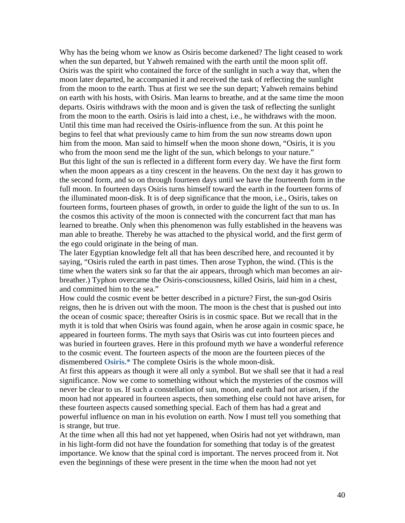Why has the being whom we know as Osiris become darkened? The light ceased to work when the sun departed, but Yahweh remained with the earth until the moon split off. Osiris was the spirit who contained the force of the sunlight in such a way that, when the moon later departed, he accompanied it and received the task of reflecting the sunlight from the moon to the earth. Thus at first we see the sun depart; Yahweh remains behind on earth with his hosts, with Osiris. Man learns to breathe, and at the same time the moon departs. Osiris withdraws with the moon and is given the task of reflecting the sunlight from the moon to the earth. Osiris is laid into a chest, i.e., he withdraws with the moon. Until this time man had received the Osiris-influence from the sun. At this point he begins to feel that what previously came to him from the sun now streams down upon him from the moon. Man said to himself when the moon shone down, "Osiris, it is you who from the moon send me the light of the sun, which belongs to your nature." But this light of the sun is reflected in a different form every day. We have the first form when the moon appears as a tiny crescent in the heavens. On the next day it has grown to the second form, and so on through fourteen days until we have the fourteenth form in the full moon. In fourteen days Osiris turns himself toward the earth in the fourteen forms of the illuminated moon-disk. It is of deep significance that the moon, i.e., Osiris, takes on fourteen forms, fourteen phases of growth, in order to guide the light of the sun to us. In the cosmos this activity of the moon is connected with the concurrent fact that man has learned to breathe. Only when this phenomenon was fully established in the heavens was man able to breathe. Thereby he was attached to the physical world, and the first germ of the ego could originate in the being of man.

The later Egyptian knowledge felt all that has been described here, and recounted it by saying, "Osiris ruled the earth in past times. Then arose Typhon, the wind. (This is the time when the waters sink so far that the air appears, through which man becomes an airbreather.) Typhon overcame the Osiris-consciousness, killed Osiris, laid him in a chest, and committed him to the sea."

How could the cosmic event be better described in a picture? First, the sun-god Osiris reigns, then he is driven out with the moon. The moon is the chest that is pushed out into the ocean of cosmic space; thereafter Osiris is in cosmic space. But we recall that in the myth it is told that when Osiris was found again, when he arose again in cosmic space, he appeared in fourteen forms. The myth says that Osiris was cut into fourteen pieces and was buried in fourteen graves. Here in this profound myth we have a wonderful reference to the cosmic event. The fourteen aspects of the moon are the fourteen pieces of the dismembered **[Osiris.\\*](http://wn.elib.com/Steiner/Lectures/EgyptMyth/#_note1)** The complete Osiris is the whole moon-disk.

At first this appears as though it were all only a symbol. But we shall see that it had a real significance. Now we come to something without which the mysteries of the cosmos will never be clear to us. If such a constellation of sun, moon, and earth had not arisen, if the moon had not appeared in fourteen aspects, then something else could not have arisen, for these fourteen aspects caused something special. Each of them has had a great and powerful influence on man in his evolution on earth. Now I must tell you something that is strange, but true.

At the time when all this had not yet happened, when Osiris had not yet withdrawn, man in his light-form did not have the foundation for something that today is of the greatest importance. We know that the spinal cord is important. The nerves proceed from it. Not even the beginnings of these were present in the time when the moon had not yet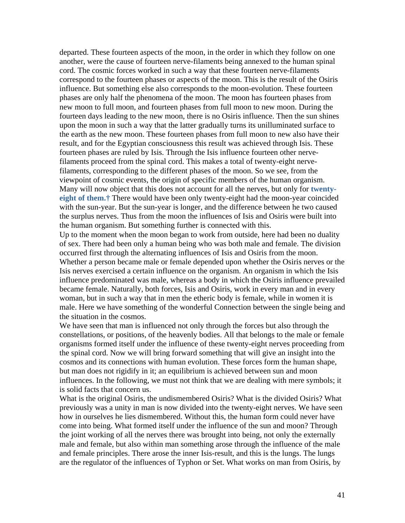departed. These fourteen aspects of the moon, in the order in which they follow on one another, were the cause of fourteen nerve-filaments being annexed to the human spinal cord. The cosmic forces worked in such a way that these fourteen nerve-filaments correspond to the fourteen phases or aspects of the moon. This is the result of the Osiris influence. But something else also corresponds to the moon-evolution. These fourteen phases are only half the phenomena of the moon. The moon has fourteen phases from new moon to full moon, and fourteen phases from full moon to new moon. During the fourteen days leading to the new moon, there is no Osiris influence. Then the sun shines upon the moon in such a way that the latter gradually turns its unilluminated surface to the earth as the new moon. These fourteen phases from full moon to new also have their result, and for the Egyptian consciousness this result was achieved through Isis. These fourteen phases are ruled by Isis. Through the Isis influence fourteen other nervefilaments proceed from the spinal cord. This makes a total of twenty-eight nervefilaments, corresponding to the different phases of the moon. So we see, from the viewpoint of cosmic events, the origin of specific members of the human organism. Many will now object that this does not account for all the nerves, but only for **[twenty](http://wn.elib.com/Steiner/Lectures/EgyptMyth/#_note2)[eight of them.†](http://wn.elib.com/Steiner/Lectures/EgyptMyth/#_note2)** There would have been only twenty-eight had the moon-year coincided with the sun-year. But the sun-year is longer, and the difference between he two caused the surplus nerves. Thus from the moon the influences of Isis and Osiris were built into the human organism. But something further is connected with this.

Up to the moment when the moon began to work from outside, here had been no duality of sex. There had been only a human being who was both male and female. The division occurred first through the alternating influences of Isis and Osiris from the moon. Whether a person became male or female depended upon whether the Osiris nerves or the Isis nerves exercised a certain influence on the organism. An organism in which the Isis influence predominated was male, whereas a body in which the Osiris influence prevailed became female. Naturally, both forces, Isis and Osiris, work in every man and in every woman, but in such a way that in men the etheric body is female, while in women it is male. Here we have something of the wonderful Connection between the single being and the situation in the cosmos.

We have seen that man is influenced not only through the forces but also through the constellations, or positions, of the heavenly bodies. All that belongs to the male or female organisms formed itself under the influence of these twenty-eight nerves proceeding from the spinal cord. Now we will bring forward something that will give an insight into the cosmos and its connections with human evolution. These forces form the human shape, but man does not rigidify in it; an equilibrium is achieved between sun and moon influences. In the following, we must not think that we are dealing with mere symbols; it is solid facts that concern us.

What is the original Osiris, the undismembered Osiris? What is the divided Osiris? What previously was a unity in man is now divided into the twenty-eight nerves. We have seen how in ourselves he lies dismembered. Without this, the human form could never have come into being. What formed itself under the influence of the sun and moon? Through the joint working of all the nerves there was brought into being, not only the externally male and female, but also within man something arose through the influence of the male and female principles. There arose the inner Isis-result, and this is the lungs. The lungs are the regulator of the influences of Typhon or Set. What works on man from Osiris, by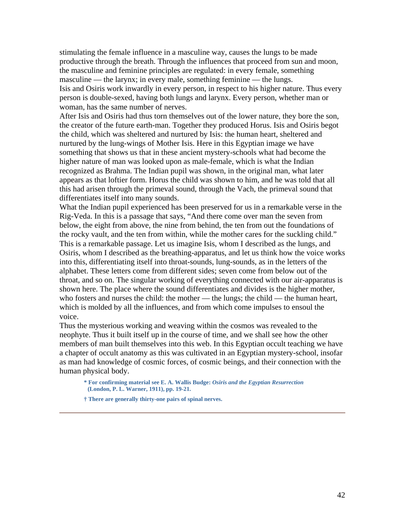stimulating the female influence in a masculine way, causes the lungs to be made productive through the breath. Through the influences that proceed from sun and moon, the masculine and feminine principles are regulated: in every female, something masculine — the larynx; in every male, something feminine — the lungs. Isis and Osiris work inwardly in every person, in respect to his higher nature. Thus every person is double-sexed, having both lungs and larynx. Every person, whether man or woman, has the same number of nerves.

After Isis and Osiris had thus torn themselves out of the lower nature, they bore the son, the creator of the future earth-man. Together they produced Horus. Isis and Osiris begot the child, which was sheltered and nurtured by Isis: the human heart, sheltered and nurtured by the lung-wings of Mother Isis. Here in this Egyptian image we have something that shows us that in these ancient mystery-schools what had become the higher nature of man was looked upon as male-female, which is what the Indian recognized as Brahma. The Indian pupil was shown, in the original man, what later appears as that loftier form. Horus the child was shown to him, and he was told that all this had arisen through the primeval sound, through the Vach, the primeval sound that differentiates itself into many sounds.

What the Indian pupil experienced has been preserved for us in a remarkable verse in the Rig-Veda. In this is a passage that says, "And there come over man the seven from below, the eight from above, the nine from behind, the ten from out the foundations of the rocky vault, and the ten from within, while the mother cares for the suckling child." This is a remarkable passage. Let us imagine Isis, whom I described as the lungs, and Osiris, whom I described as the breathing-apparatus, and let us think how the voice works into this, differentiating itself into throat-sounds, lung-sounds, as in the letters of the alphabet. These letters come from different sides; seven come from below out of the throat, and so on. The singular working of everything connected with our air-apparatus is shown here. The place where the sound differentiates and divides is the higher mother, who fosters and nurses the child: the mother — the lungs; the child — the human heart, which is molded by all the influences, and from which come impulses to ensoul the voice.

Thus the mysterious working and weaving within the cosmos was revealed to the neophyte. Thus it built itself up in the course of time, and we shall see how the other members of man built themselves into this web. In this Egyptian occult teaching we have a chapter of occult anatomy as this was cultivated in an Egyptian mystery-school, insofar as man had knowledge of cosmic forces, of cosmic beings, and their connection with the human physical body.

- **\* For confirming material see E. A. Wallis Budge:** *Osiris and the Egyptian Resurrection* **(London, P. L. Warner, 1911), pp. 19-21.**
- **† There are generally thirty-one pairs of spinal nerves.**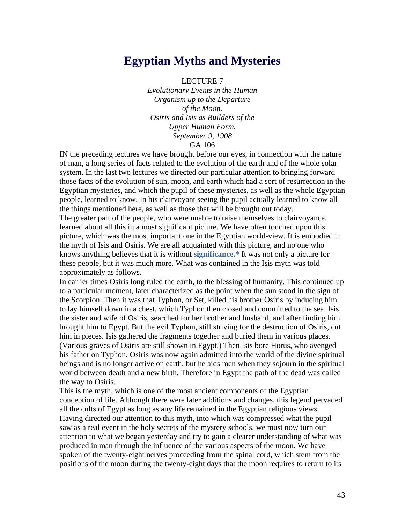# **Egyptian Myths and Mysteries**

LECTURE 7

*Evolutionary Events in the Human Organism up to the Departure of the Moon. Osiris and Isis as Builders of the Upper Human Form. September 9, 1908* GA 106

IN the preceding lectures we have brought before our eyes, in connection with the nature of man, a long series of facts related to the evolution of the earth and of the whole solar system. In the last two lectures we directed our particular attention to bringing forward those facts of the evolution of sun, moon, and earth which had a sort of resurrection in the Egyptian mysteries, and which the pupil of these mysteries, as well as the whole Egyptian people, learned to know. In his clairvoyant seeing the pupil actually learned to know all the things mentioned here, as well as those that will be brought out today.

The greater part of the people, who were unable to raise themselves to clairvoyance, learned about all this in a most significant picture. We have often touched upon this picture, which was the most important one in the Egyptian world-view. It is embodied in the myth of Isis and Osiris. We are all acquainted with this picture, and no one who knows anything believes that it is without **[significance.\\*](http://wn.elib.com/Steiner/Lectures/EgyptMyth/#_note1)** It was not only a picture for these people, but it was much more. What was contained in the Isis myth was told approximately as follows.

In earlier times Osiris long ruled the earth, to the blessing of humanity. This continued up to a particular moment, later characterized as the point when the sun stood in the sign of the Scorpion. Then it was that Typhon, or Set, killed his brother Osiris by inducing him to lay himself down in a chest, which Typhon then closed and committed to the sea. Isis, the sister and wife of Osiris, searched for her brother and husband, and after finding him brought him to Egypt. But the evil Typhon, still striving for the destruction of Osiris, cut him in pieces. Isis gathered the fragments together and buried them in various places. (Various graves of Osiris are still shown in Egypt.) Then Isis bore Horus, who avenged his father on Typhon. Osiris was now again admitted into the world of the divine spiritual beings and is no longer active on earth, but he aids men when they sojourn in the spiritual world between death and a new birth. Therefore in Egypt the path of the dead was called the way to Osiris.

This is the myth, which is one of the most ancient components of the Egyptian conception of life. Although there were later additions and changes, this legend pervaded all the cults of Egypt as long as any life remained in the Egyptian religious views. Having directed our attention to this myth, into which was compressed what the pupil saw as a real event in the holy secrets of the mystery schools, we must now turn our attention to what we began yesterday and try to gain a clearer understanding of what was produced in man through the influence of the various aspects of the moon. We have spoken of the twenty-eight nerves proceeding from the spinal cord, which stem from the positions of the moon during the twenty-eight days that the moon requires to return to its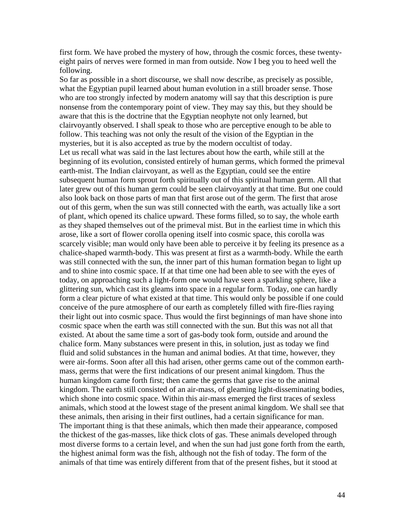first form. We have probed the mystery of how, through the cosmic forces, these twentyeight pairs of nerves were formed in man from outside. Now I beg you to heed well the following.

So far as possible in a short discourse, we shall now describe, as precisely as possible, what the Egyptian pupil learned about human evolution in a still broader sense. Those who are too strongly infected by modern anatomy will say that this description is pure nonsense from the contemporary point of view. They may say this, but they should be aware that this is the doctrine that the Egyptian neophyte not only learned, but clairvoyantly observed. I shall speak to those who are perceptive enough to be able to follow. This teaching was not only the result of the vision of the Egyptian in the mysteries, but it is also accepted as true by the modern occultist of today. Let us recall what was said in the last lectures about how the earth, while still at the beginning of its evolution, consisted entirely of human germs, which formed the primeval earth-mist. The Indian clairvoyant, as well as the Egyptian, could see the entire subsequent human form sprout forth spiritually out of this spiritual human germ. All that later grew out of this human germ could be seen clairvoyantly at that time. But one could also look back on those parts of man that first arose out of the germ. The first that arose out of this germ, when the sun was still connected with the earth, was actually like a sort of plant, which opened its chalice upward. These forms filled, so to say, the whole earth as they shaped themselves out of the primeval mist. But in the earliest time in which this arose, like a sort of flower corolla opening itself into cosmic space, this corolla was scarcely visible; man would only have been able to perceive it by feeling its presence as a chalice-shaped warmth-body. This was present at first as a warmth-body. While the earth was still connected with the sun, the inner part of this human formation began to light up and to shine into cosmic space. If at that time one had been able to see with the eyes of today, on approaching such a light-form one would have seen a sparkling sphere, like a glittering sun, which cast its gleams into space in a regular form. Today, one can hardly form a clear picture of what existed at that time. This would only be possible if one could conceive of the pure atmosphere of our earth as completely filled with fire-flies raying their light out into cosmic space. Thus would the first beginnings of man have shone into cosmic space when the earth was still connected with the sun. But this was not all that existed. At about the same time a sort of gas-body took form, outside and around the chalice form. Many substances were present in this, in solution, just as today we find fluid and solid substances in the human and animal bodies. At that time, however, they were air-forms. Soon after all this had arisen, other germs came out of the common earthmass, germs that were the first indications of our present animal kingdom. Thus the human kingdom came forth first; then came the germs that gave rise to the animal kingdom. The earth still consisted of an air-mass, of gleaming light-disseminating bodies, which shone into cosmic space. Within this air-mass emerged the first traces of sexless animals, which stood at the lowest stage of the present animal kingdom. We shall see that these animals, then arising in their first outlines, had a certain significance for man. The important thing is that these animals, which then made their appearance, composed the thickest of the gas-masses, like thick clots of gas. These animals developed through most diverse forms to a certain level, and when the sun had just gone forth from the earth, the highest animal form was the fish, although not the fish of today. The form of the animals of that time was entirely different from that of the present fishes, but it stood at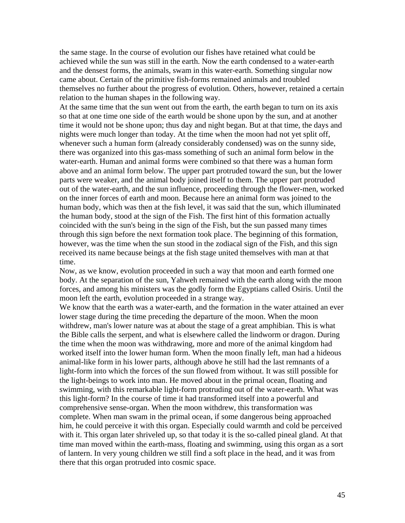the same stage. In the course of evolution our fishes have retained what could be achieved while the sun was still in the earth. Now the earth condensed to a water-earth and the densest forms, the animals, swam in this water-earth. Something singular now came about. Certain of the primitive fish-forms remained animals and troubled themselves no further about the progress of evolution. Others, however, retained a certain relation to the human shapes in the following way.

At the same time that the sun went out from the earth, the earth began to turn on its axis so that at one time one side of the earth would be shone upon by the sun, and at another time it would not be shone upon; thus day and night began. But at that time, the days and nights were much longer than today. At the time when the moon had not yet split off, whenever such a human form (already considerably condensed) was on the sunny side, there was organized into this gas-mass something of such an animal form below in the water-earth. Human and animal forms were combined so that there was a human form above and an animal form below. The upper part protruded toward the sun, but the lower parts were weaker, and the animal body joined itself to them. The upper part protruded out of the water-earth, and the sun influence, proceeding through the flower-men, worked on the inner forces of earth and moon. Because here an animal form was joined to the human body, which was then at the fish level, it was said that the sun, which illuminated the human body, stood at the sign of the Fish. The first hint of this formation actually coincided with the sun's being in the sign of the Fish, but the sun passed many times through this sign before the next formation took place. The beginning of this formation, however, was the time when the sun stood in the zodiacal sign of the Fish, and this sign received its name because beings at the fish stage united themselves with man at that time.

Now, as we know, evolution proceeded in such a way that moon and earth formed one body. At the separation of the sun, Yahweh remained with the earth along with the moon forces, and among his ministers was the godly form the Egyptians called Osiris. Until the moon left the earth, evolution proceeded in a strange way.

We know that the earth was a water-earth, and the formation in the water attained an ever lower stage during the time preceding the departure of the moon. When the moon withdrew, man's lower nature was at about the stage of a great amphibian. This is what the Bible calls the serpent, and what is elsewhere called the lindworm or dragon. During the time when the moon was withdrawing, more and more of the animal kingdom had worked itself into the lower human form. When the moon finally left, man had a hideous animal-like form in his lower parts, although above he still had the last remnants of a light-form into which the forces of the sun flowed from without. It was still possible for the light-beings to work into man. He moved about in the primal ocean, floating and swimming, with this remarkable light-form protruding out of the water-earth. What was this light-form? In the course of time it had transformed itself into a powerful and comprehensive sense-organ. When the moon withdrew, this transformation was complete. When man swam in the primal ocean, if some dangerous being approached him, he could perceive it with this organ. Especially could warmth and cold be perceived with it. This organ later shriveled up, so that today it is the so-called pineal gland. At that time man moved within the earth-mass, floating and swimming, using this organ as a sort of lantern. In very young children we still find a soft place in the head, and it was from there that this organ protruded into cosmic space.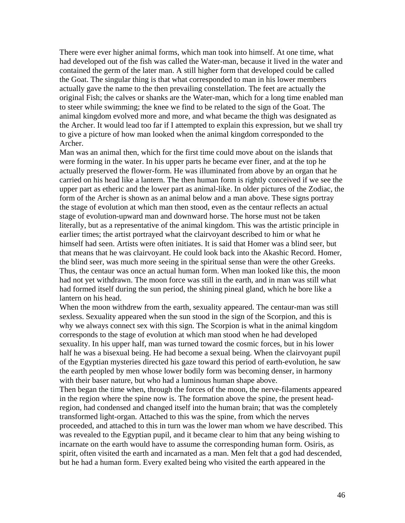There were ever higher animal forms, which man took into himself. At one time, what had developed out of the fish was called the Water-man, because it lived in the water and contained the germ of the later man. A still higher form that developed could be called the Goat. The singular thing is that what corresponded to man in his lower members actually gave the name to the then prevailing constellation. The feet are actually the original Fish; the calves or shanks are the Water-man, which for a long time enabled man to steer while swimming; the knee we find to be related to the sign of the Goat. The animal kingdom evolved more and more, and what became the thigh was designated as the Archer. It would lead too far if I attempted to explain this expression, but we shall try to give a picture of how man looked when the animal kingdom corresponded to the Archer.

Man was an animal then, which for the first time could move about on the islands that were forming in the water. In his upper parts he became ever finer, and at the top he actually preserved the flower-form. He was illuminated from above by an organ that he carried on his head like a lantern. The then human form is rightly conceived if we see the upper part as etheric and the lower part as animal-like. In older pictures of the Zodiac, the form of the Archer is shown as an animal below and a man above. These signs portray the stage of evolution at which man then stood, even as the centaur reflects an actual stage of evolution-upward man and downward horse. The horse must not be taken literally, but as a representative of the animal kingdom. This was the artistic principle in earlier times; the artist portrayed what the clairvoyant described to him or what he himself had seen. Artists were often initiates. It is said that Homer was a blind seer, but that means that he was clairvoyant. He could look back into the Akashic Record. Homer, the blind seer, was much more seeing in the spiritual sense than were the other Greeks. Thus, the centaur was once an actual human form. When man looked like this, the moon had not yet withdrawn. The moon force was still in the earth, and in man was still what had formed itself during the sun period, the shining pineal gland, which he bore like a lantern on his head.

When the moon withdrew from the earth, sexuality appeared. The centaur-man was still sexless. Sexuality appeared when the sun stood in the sign of the Scorpion, and this is why we always connect sex with this sign. The Scorpion is what in the animal kingdom corresponds to the stage of evolution at which man stood when he had developed sexuality. In his upper half, man was turned toward the cosmic forces, but in his lower half he was a bisexual being. He had become a sexual being. When the clairvoyant pupil of the Egyptian mysteries directed his gaze toward this period of earth-evolution, he saw the earth peopled by men whose lower bodily form was becoming denser, in harmony with their baser nature, but who had a luminous human shape above.

Then began the time when, through the forces of the moon, the nerve-filaments appeared in the region where the spine now is. The formation above the spine, the present headregion, had condensed and changed itself into the human brain; that was the completely transformed light-organ. Attached to this was the spine, from which the nerves proceeded, and attached to this in turn was the lower man whom we have described. This was revealed to the Egyptian pupil, and it became clear to him that any being wishing to incarnate on the earth would have to assume the corresponding human form. Osiris, as spirit, often visited the earth and incarnated as a man. Men felt that a god had descended, but he had a human form. Every exalted being who visited the earth appeared in the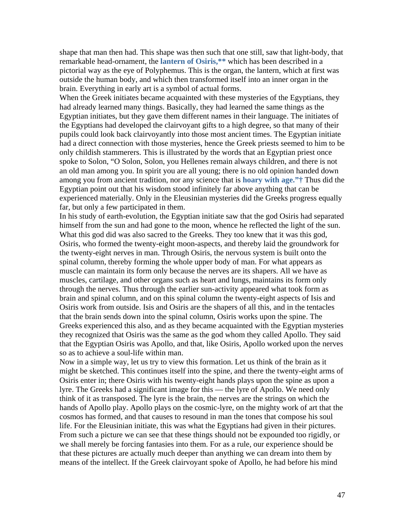shape that man then had. This shape was then such that one still, saw that light-body, that remarkable head-ornament, the **[lantern of Osiris,\\*\\*](http://wn.elib.com/Steiner/Lectures/EgyptMyth/#_note2)** which has been described in a pictorial way as the eye of Polyphemus. This is the organ, the lantern, which at first was outside the human body, and which then transformed itself into an inner organ in the brain. Everything in early art is a symbol of actual forms.

When the Greek initiates became acquainted with these mysteries of the Egyptians, they had already learned many things. Basically, they had learned the same things as the Egyptian initiates, but they gave them different names in their language. The initiates of the Egyptians had developed the clairvoyant gifts to a high degree, so that many of their pupils could look back clairvoyantly into those most ancient times. The Egyptian initiate had a direct connection with those mysteries, hence the Greek priests seemed to him to be only childish stammerers. This is illustrated by the words that an Egyptian priest once spoke to Solon, "O Solon, Solon, you Hellenes remain always children, and there is not an old man among you. In spirit you are all young; there is no old opinion handed down among you from ancient tradition, nor any science that is **hoary with age.**<sup>7</sup><sup>+</sup> Thus did the Egyptian point out that his wisdom stood infinitely far above anything that can be experienced materially. Only in the Eleusinian mysteries did the Greeks progress equally far, but only a few participated in them.

In his study of earth-evolution, the Egyptian initiate saw that the god Osiris had separated himself from the sun and had gone to the moon, whence he reflected the light of the sun. What this god did was also sacred to the Greeks. They too knew that it was this god, Osiris, who formed the twenty-eight moon-aspects, and thereby laid the groundwork for the twenty-eight nerves in man. Through Osiris, the nervous system is built onto the spinal column, thereby forming the whole upper body of man. For what appears as muscle can maintain its form only because the nerves are its shapers. All we have as muscles, cartilage, and other organs such as heart and lungs, maintains its form only through the nerves. Thus through the earlier sun-activity appeared what took form as brain and spinal column, and on this spinal column the twenty-eight aspects of Isis and Osiris work from outside. Isis and Osiris are the shapers of all this, and in the tentacles that the brain sends down into the spinal column, Osiris works upon the spine. The Greeks experienced this also, and as they became acquainted with the Egyptian mysteries they recognized that Osiris was the same as the god whom they called Apollo. They said that the Egyptian Osiris was Apollo, and that, like Osiris, Apollo worked upon the nerves so as to achieve a soul-life within man.

Now in a simple way, let us try to view this formation. Let us think of the brain as it might be sketched. This continues itself into the spine, and there the twenty-eight arms of Osiris enter in; there Osiris with his twenty-eight hands plays upon the spine as upon a lyre. The Greeks had a significant image for this — the lyre of Apollo. We need only think of it as transposed. The lyre is the brain, the nerves are the strings on which the hands of Apollo play. Apollo plays on the cosmic-lyre, on the mighty work of art that the cosmos has formed, and that causes to resound in man the tones that compose his soul life. For the Eleusinian initiate, this was what the Egyptians had given in their pictures. From such a picture we can see that these things should not be expounded too rigidly, or we shall merely be forcing fantasies into them. For as a rule, our experience should be that these pictures are actually much deeper than anything we can dream into them by means of the intellect. If the Greek clairvoyant spoke of Apollo, he had before his mind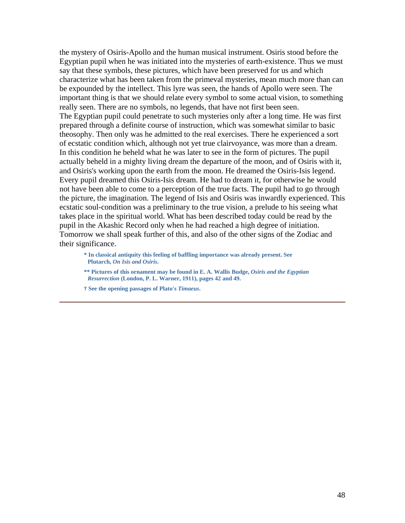the mystery of Osiris-Apollo and the human musical instrument. Osiris stood before the Egyptian pupil when he was initiated into the mysteries of earth-existence. Thus we must say that these symbols, these pictures, which have been preserved for us and which characterize what has been taken from the primeval mysteries, mean much more than can be expounded by the intellect. This lyre was seen, the hands of Apollo were seen. The important thing is that we should relate every symbol to some actual vision, to something really seen. There are no symbols, no legends, that have not first been seen. The Egyptian pupil could penetrate to such mysteries only after a long time. He was first prepared through a definite course of instruction, which was somewhat similar to basic theosophy. Then only was he admitted to the real exercises. There he experienced a sort of ecstatic condition which, although not yet true clairvoyance, was more than a dream. In this condition he beheld what he was later to see in the form of pictures. The pupil actually beheld in a mighty living dream the departure of the moon, and of Osiris with it, and Osiris's working upon the earth from the moon. He dreamed the Osiris-Isis legend. Every pupil dreamed this Osiris-Isis dream. He had to dream it, for otherwise he would not have been able to come to a perception of the true facts. The pupil had to go through the picture, the imagination. The legend of Isis and Osiris was inwardly experienced. This ecstatic soul-condition was a preliminary to the true vision, a prelude to his seeing what takes place in the spiritual world. What has been described today could be read by the pupil in the Akashic Record only when he had reached a high degree of initiation. Tomorrow we shall speak further of this, and also of the other signs of the Zodiac and their significance.

**\* In classical antiquity this feeling of baffling importance was already present. See Plutarch,** *On Isis and Osiris***.**

**\*\* Pictures of this ornament may be found in E. A. Wallis Budge,** *Osiris and the Egyptian Resurrection* **(London, P. L. Warner, 1911), pages 42 and 49.**

**† See the opening passages of Plato's** *Timaeus***.**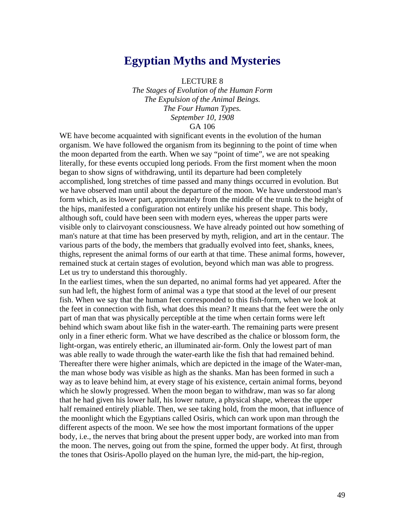### **Egyptian Myths and Mysteries**

LECTURE 8

*The Stages of Evolution of the Human Form The Expulsion of the Animal Beings. The Four Human Types. September 10, 1908* GA 106

WE have become acquainted with significant events in the evolution of the human organism. We have followed the organism from its beginning to the point of time when the moon departed from the earth. When we say "point of time", we are not speaking literally, for these events occupied long periods. From the first moment when the moon began to show signs of withdrawing, until its departure had been completely accomplished, long stretches of time passed and many things occurred in evolution. But we have observed man until about the departure of the moon. We have understood man's form which, as its lower part, approximately from the middle of the trunk to the height of the hips, manifested a configuration not entirely unlike his present shape. This body, although soft, could have been seen with modern eyes, whereas the upper parts were visible only to clairvoyant consciousness. We have already pointed out how something of man's nature at that time has been preserved by myth, religion, and art in the centaur. The various parts of the body, the members that gradually evolved into feet, shanks, knees, thighs, represent the animal forms of our earth at that time. These animal forms, however, remained stuck at certain stages of evolution, beyond which man was able to progress. Let us try to understand this thoroughly.

In the earliest times, when the sun departed, no animal forms had yet appeared. After the sun had left, the highest form of animal was a type that stood at the level of our present fish. When we say that the human feet corresponded to this fish-form, when we look at the feet in connection with fish, what does this mean? It means that the feet were the only part of man that was physically perceptible at the time when certain forms were left behind which swam about like fish in the water-earth. The remaining parts were present only in a finer etheric form. What we have described as the chalice or blossom form, the light-organ, was entirely etheric, an illuminated air-form. Only the lowest part of man was able really to wade through the water-earth like the fish that had remained behind. Thereafter there were higher animals, which are depicted in the image of the Water-man, the man whose body was visible as high as the shanks. Man has been formed in such a way as to leave behind him, at every stage of his existence, certain animal forms, beyond which he slowly progressed. When the moon began to withdraw, man was so far along that he had given his lower half, his lower nature, a physical shape, whereas the upper half remained entirely pliable. Then, we see taking hold, from the moon, that influence of the moonlight which the Egyptians called Osiris, which can work upon man through the different aspects of the moon. We see how the most important formations of the upper body, i.e., the nerves that bring about the present upper body, are worked into man from the moon. The nerves, going out from the spine, formed the upper body. At first, through the tones that Osiris-Apollo played on the human lyre, the mid-part, the hip-region,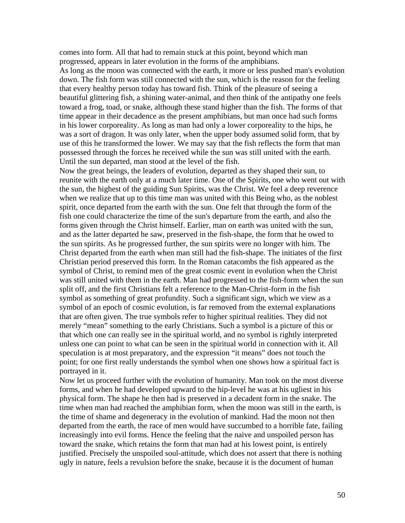comes into form. All that had to remain stuck at this point, beyond which man progressed, appears in later evolution in the forms of the amphibians.

As long as the moon was connected with the earth, it more or less pushed man's evolution down. The fish form was still connected with the sun, which is the reason for the feeling that every healthy person today has toward fish. Think of the pleasure of seeing a beautiful glittering fish, a shining water-animal, and then think of the antipathy one feels toward a frog, toad, or snake, although these stand higher than the fish. The forms of that time appear in their decadence as the present amphibians, but man once had such forms in his lower corporeality. As long as man had only a lower corporeality to the hips, he was a sort of dragon. It was only later, when the upper body assumed solid form, that by use of this he transformed the lower. We may say that the fish reflects the form that man possessed through the forces he received while the sun was still united with the earth. Until the sun departed, man stood at the level of the fish.

Now the great beings, the leaders of evolution, departed as they shaped their sun, to reunite with the earth only at a much later time. One of the Spirits, one who went out with the sun, the highest of the guiding Sun Spirits, was the Christ. We feel a deep reverence when we realize that up to this time man was united with this Being who, as the noblest spirit, once departed from the earth with the sun. One felt that through the form of the fish one could characterize the time of the sun's departure from the earth, and also the forms given through the Christ himself. Earlier, man on earth was united with the sun, and as the latter departed he saw, preserved in the fish-shape, the form that he owed to the sun spirits. As he progressed further, the sun spirits were no longer with him. The Christ departed from the earth when man still had the fish-shape. The initiates of the first Christian period preserved this form. In the Roman catacombs the fish appeared as the symbol of Christ, to remind men of the great cosmic event in evolution when the Christ was still united with them in the earth. Man had progressed to the fish-form when the sun split off, and the first Christians felt a reference to the Man-Christ-form in the fish symbol as something of great profundity. Such a significant sign, which we view as a symbol of an epoch of cosmic evolution, is far removed from the external explanations that are often given. The true symbols refer to higher spiritual realities. They did not merely "mean" something to the early Christians. Such a symbol is a picture of this or that which one can really see in the spiritual world, and no symbol is rightly interpreted unless one can point to what can be seen in the spiritual world in connection with it. All speculation is at most preparatory, and the expression "it means" does not touch the point; for one first really understands the symbol when one shows how a spiritual fact is portrayed in it.

Now let us proceed further with the evolution of humanity. Man took on the most diverse forms, and when he had developed upward to the hip-level he was at his ugliest in his physical form. The shape he then had is preserved in a decadent form in the snake. The time when man had reached the amphibian form, when the moon was still in the earth, is the time of shame and degeneracy in the evolution of mankind. Had the moon not then departed from the earth, the race of men would have succumbed to a horrible fate, failing increasingly into evil forms. Hence the feeling that the naive and unspoiled person has toward the snake, which retains the form that man had at his lowest point, is entirely justified. Precisely the unspoiled soul-attitude, which does not assert that there is nothing ugly in nature, feels a revulsion before the snake, because it is the document of human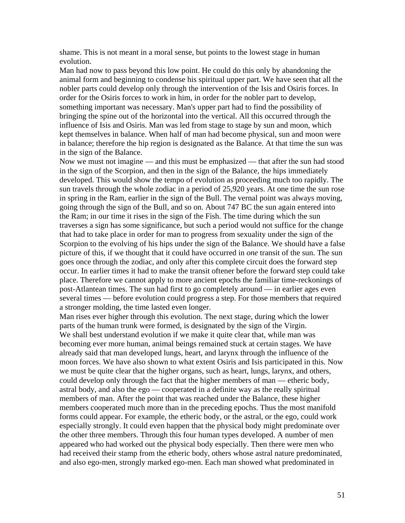shame. This is not meant in a moral sense, but points to the lowest stage in human evolution.

Man had now to pass beyond this low point. He could do this only by abandoning the animal form and beginning to condense his spiritual upper part. We have seen that all the nobler parts could develop only through the intervention of the Isis and Osiris forces. In order for the Osiris forces to work in him, in order for the nobler part to develop, something important was necessary. Man's upper part had to find the possibility of bringing the spine out of the horizontal into the vertical. All this occurred through the influence of Isis and Osiris. Man was led from stage to stage by sun and moon, which kept themselves in balance. When half of man had become physical, sun and moon were in balance; therefore the hip region is designated as the Balance. At that time the sun was in the sign of the Balance.

Now we must not imagine — and this must be emphasized — that after the sun had stood in the sign of the Scorpion, and then in the sign of the Balance, the hips immediately developed. This would show the tempo of evolution as proceeding much too rapidly. The sun travels through the whole zodiac in a period of 25,920 years. At one time the sun rose in spring in the Ram, earlier in the sign of the Bull. The vernal point was always moving, going through the sign of the Bull, and so on. About 747 BC the sun again entered into the Ram; in our time it rises in the sign of the Fish. The time during which the sun traverses a sign has some significance, but such a period would not suffice for the change that had to take place in order for man to progress from sexuality under the sign of the Scorpion to the evolving of his hips under the sign of the Balance. We should have a false picture of this, if we thought that it could have occurred in *one* transit of the sun. The sun goes once through the zodiac, and only after this complete circuit does the forward step occur. In earlier times it had to make the transit oftener before the forward step could take place. Therefore we cannot apply to more ancient epochs the familiar time-reckonings of post-Atlantean times. The sun had first to go completely around — in earlier ages even several times — before evolution could progress a step. For those members that required a stronger molding, the time lasted even longer.

Man rises ever higher through this evolution. The next stage, during which the lower parts of the human trunk were formed, is designated by the sign of the Virgin. We shall best understand evolution if we make it quite clear that, while man was becoming ever more human, animal beings remained stuck at certain stages. We have already said that man developed lungs, heart, and larynx through the influence of the moon forces. We have also shown to what extent Osiris and Isis participated in this. Now we must be quite clear that the higher organs, such as heart, lungs, larynx, and others, could develop only through the fact that the higher members of man — etheric body, astral body, and also the ego — cooperated in a definite way as the really spiritual members of man. After the point that was reached under the Balance, these higher members cooperated much more than in the preceding epochs. Thus the most manifold forms could appear. For example, the etheric body, or the astral, or the ego, could work especially strongly. It could even happen that the physical body might predominate over the other three members. Through this four human types developed. A number of men appeared who had worked out the physical body especially. Then there were men who had received their stamp from the etheric body, others whose astral nature predominated, and also ego-men, strongly marked ego-men. Each man showed what predominated in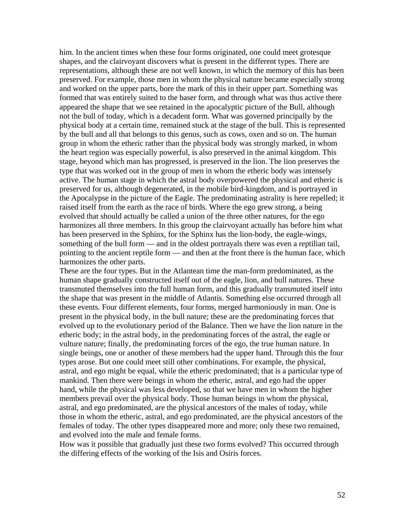him. In the ancient times when these four forms originated, one could meet grotesque shapes, and the clairvoyant discovers what is present in the different types. There are representations, although these are not well known, in which the memory of this has been preserved. For example, those men in whom the physical nature became especially strong and worked on the upper parts, bore the mark of this in their upper part. Something was formed that was entirely suited to the baser form, and through what was thus active there appeared the shape that we see retained in the apocalyptic picture of the Bull, although not the bull of today, which is a decadent form. What was governed principally by the physical body at a certain time, remained stuck at the stage of the bull. This is represented by the bull and all that belongs to this genus, such as cows, oxen and so on. The human group in whom the etheric rather than the physical body was strongly marked, in whom the heart region was especially powerful, is also preserved in the animal kingdom. This stage, beyond which man has progressed, is preserved in the lion. The lion preserves the type that was worked out in the group of men in whom the etheric body was intensely active. The human stage in which the astral body overpowered the physical and etheric is preserved for us, although degenerated, in the mobile bird-kingdom, and is portrayed in the Apocalypse in the picture of the Eagle. The predominating astrality is here repelled; it raised itself from the earth as the race of birds. Where the ego grew strong, a being evolved that should actually be called a union of the three other natures, for the ego harmonizes all three members. In this group the clairvoyant actually has before him what has been preserved in the Sphinx, for the Sphinx has the lion-body, the eagle-wings, something of the bull form — and in the oldest portrayals there was even a reptilian tail, pointing to the ancient reptile form — and then at the front there is the human face, which harmonizes the other parts.

These are the four types. But in the Atlantean time the man-form predominated, as the human shape gradually constructed itself out of the eagle, lion, and bull natures. These transmuted themselves into the full human form, and this gradually transmuted itself into the shape that was present in the middle of Atlantis. Something else occurred through all these events. Four different elements, four forms, merged harmoniously in man. One is present in the physical body, in the bull nature; these are the predominating forces that evolved up to the evolutionary period of the Balance. Then we have the lion nature in the etheric body; in the astral body, in the predominating forces of the astral, the eagle or vulture nature; finally, the predominating forces of the ego, the true human nature. In single beings, one or another of these members had the upper hand. Through this the four types arose. But one could meet still other combinations. For example, the physical, astral, and ego might be equal, while the etheric predominated; that is a particular type of mankind. Then there were beings in whom the etheric, astral, and ego had the upper hand, while the physical was less developed, so that we have men in whom the higher members prevail over the physical body. Those human beings in whom the physical, astral, and ego predominated, are the physical ancestors of the males of today, while those in whom the etheric, astral, and ego predominated, are the physical ancestors of the females of today. The other types disappeared more and more; only these two remained, and evolved into the male and female forms.

How was it possible that gradually just these two forms evolved? This occurred through the differing effects of the working of the Isis and Osiris forces.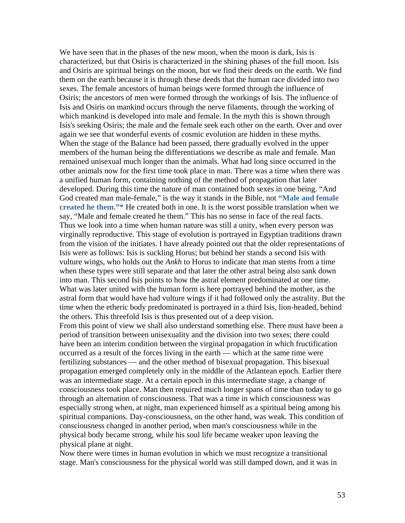We have seen that in the phases of the new moon, when the moon is dark, Isis is characterized, but that Osiris is characterized in the shining phases of the full moon. Isis and Osiris are spiritual beings on the moon, but we find their deeds on the earth. We find them on the earth because it is through these deeds that the human race divided into two sexes. The female ancestors of human beings were formed through the influence of Osiris; the ancestors of men were formed through the workings of Isis. The influence of Isis and Osiris on mankind occurs through the nerve filaments, through the working of which mankind is developed into male and female. In the myth this is shown through Isis's seeking Osiris; the male and the female seek each other on the earth. Over and over again we see that wonderful events of cosmic evolution are hidden in these myths. When the stage of the Balance had been passed, there gradually evolved in the upper members of the human being the differentiations we describe as male and female. Man remained unisexual much longer than the animals. What had long since occurred in the other animals now for the first time took place in man. There was a time when there was a unified human form, containing nothing of the method of propagation that later developed. During this time the nature of man contained both sexes in one being. "And God created man male-female," is the way it stands in the Bible, not **["Male and female](http://wn.elib.com/Steiner/Lectures/EgyptMyth/#_note1)  [created he them."\\*](http://wn.elib.com/Steiner/Lectures/EgyptMyth/#_note1)** He created both in one. It is the worst possible translation when we say, "Male and female created he them." This has no sense in face of the real facts. Thus we look into a time when human nature was still a unity, when every person was virginally reproductive. This stage of evolution is portrayed in Egyptian traditions drawn from the vision of the initiates. I have already pointed out that the older representations of Isis were as follows: Isis is suckling Horus; but behind her stands a second Isis with vulture wings, who holds out the *Ankh* to Horus to indicate that man stems from a time when these types were still separate and that later the other astral being also sank down into man. This second Isis points to how the astral element predominated at one time. What was later united with the human form is here portrayed behind the mother, as the astral form that would have had vulture wings if it had followed only the astrality. But the time when the etheric body predominated is portrayed in a third Isis, lion-headed, behind the others. This threefold Isis is thus presented out of a deep vision. From this point of view we shall also understand something else. There must have been a period of transition between unisexuality and the division into two sexes; there could have been an interim condition between the virginal propagation in which fructification occurred as a result of the forces living in the earth — which at the same time were fertilizing substances — and the other method of bisexual propagation. This bisexual propagation emerged completely only in the middle of the Atlantean epoch. Earlier there was an intermediate stage. At a certain epoch in this intermediate stage, a change of consciousness took place. Man then required much longer spans of time than today to go through an alternation of consciousness. That was a time in which consciousness was especially strong when, at night, man experienced himself as a spiritual being among his spiritual companions. Day-consciousness, on the other hand, was weak. This condition of consciousness changed in another period, when man's consciousness while in the physical body became strong, while his soul life became weaker upon leaving the

#### physical plane at night.

Now there were times in human evolution in which we must recognize a transitional stage. Man's consciousness for the physical world was still damped down, and it was in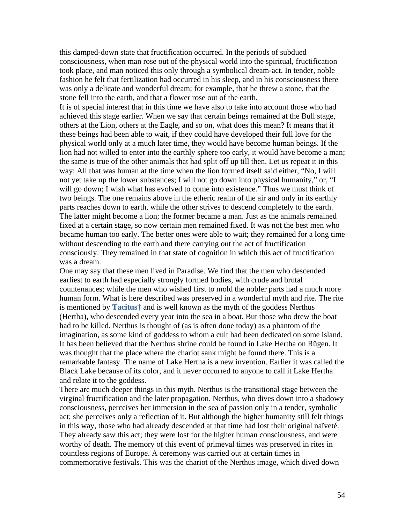this damped-down state that fructification occurred. In the periods of subdued consciousness, when man rose out of the physical world into the spiritual, fructification took place, and man noticed this only through a symbolical dream-act. In tender, noble fashion he felt that fertilization had occurred in his sleep, and in his consciousness there was only a delicate and wonderful dream; for example, that he threw a stone, that the stone fell into the earth, and that a flower rose out of the earth.

It is of special interest that in this time we have also to take into account those who had achieved this stage earlier. When we say that certain beings remained at the Bull stage, others at the Lion, others at the Eagle, and so on, what does this mean? It means that if these beings had been able to wait, if they could have developed their full love for the physical world only at a much later time, they would have become human beings. If the lion had not willed to enter into the earthly sphere too early, it would have become a man; the same is true of the other animals that had split off up till then. Let us repeat it in this way: All that was human at the time when the lion formed itself said either, "No, I will not yet take up the lower substances; I will not go down into physical humanity," or, "I will go down; I wish what has evolved to come into existence." Thus we must think of two beings. The one remains above in the etheric realm of the air and only in its earthly parts reaches down to earth, while the other strives to descend completely to the earth. The latter might become a lion; the former became a man. Just as the animals remained fixed at a certain stage, so now certain men remained fixed. It was not the best men who became human too early. The better ones were able to wait; they remained for a long time without descending to the earth and there carrying out the act of fructification consciously. They remained in that state of cognition in which this act of fructification was a dream.

One may say that these men lived in Paradise. We find that the men who descended earliest to earth had especially strongly formed bodies, with crude and brutal countenances; while the men who wished first to mold the nobler parts had a much more human form. What is here described was preserved in a wonderful myth and rite. The rite is mentioned by **[Tacitus†](http://wn.elib.com/Steiner/Lectures/EgyptMyth/#_note2)** and is well known as the myth of the goddess Nerthus (Hertha), who descended every year into the sea in a boat. But those who drew the boat had to be killed. Nerthus is thought of (as is often done today) as a phantom of the imagination, as some kind of goddess to whom a cult had been dedicated on some island. It has been believed that the Nerthus shrine could be found in Lake Hertha on Rügen. It was thought that the place where the chariot sank might be found there. This is a remarkable fantasy. The name of Lake Hertha is a new invention. Earlier it was called the Black Lake because of its color, and it never occurred to anyone to call it Lake Hertha and relate it to the goddess.

There are much deeper things in this myth. Nerthus is the transitional stage between the virginal fructification and the later propagation. Nerthus, who dives down into a shadowy consciousness, perceives her immersion in the sea of passion only in a tender, symbolic act; she perceives only a reflection of it. But although the higher humanity still felt things in this way, those who had already descended at that time had lost their original naïveté. They already saw this act; they were lost for the higher human consciousness, and were worthy of death. The memory of this event of primeval times was preserved in rites in countless regions of Europe. A ceremony was carried out at certain times in commemorative festivals. This was the chariot of the Nerthus image, which dived down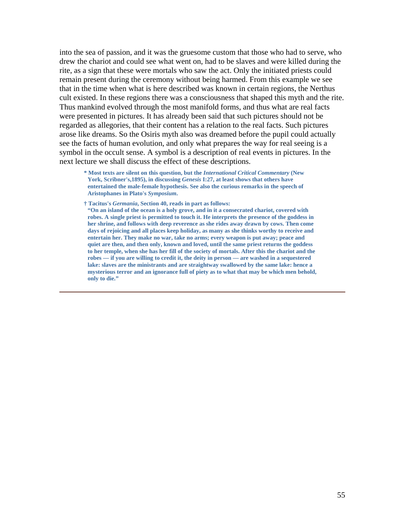into the sea of passion, and it was the gruesome custom that those who had to serve, who drew the chariot and could see what went on, had to be slaves and were killed during the rite, as a sign that these were mortals who saw the act. Only the initiated priests could remain present during the ceremony without being harmed. From this example we see that in the time when what is here described was known in certain regions, the Nerthus cult existed. In these regions there was a consciousness that shaped this myth and the rite. Thus mankind evolved through the most manifold forms, and thus what are real facts were presented in pictures. It has already been said that such pictures should not be regarded as allegories, that their content has a relation to the real facts. Such pictures arose like dreams. So the Osiris myth also was dreamed before the pupil could actually see the facts of human evolution, and only what prepares the way for real seeing is a symbol in the occult sense. A symbol is a description of real events in pictures. In the next lecture we shall discuss the effect of these descriptions.

**\* Most texts are silent on this question, but the** *International Critical Commentary* **(New York, Scribner's,1895), in discussing** *Genesis* **I:27, at least shows that others have entertained the male-female hypothesis. See also the curious remarks in the speech of Aristophanes in Plato's** *Symposium***.**

**† Tacitus's** *Germania***, Section 40, reads in part as follows:** 

**"On an island of the ocean is a holy grove, and in it a consecrated chariot, covered with robes. A single priest is permitted to touch it. He interprets the presence of the goddess in her shrine, and follows with deep reverence as she rides away drawn by cows. Then come days of rejoicing and all places keep holiday, as many as she thinks worthy to receive and entertain her. They make no war, take no arms; every weapon is put away; peace and quiet are then, and then only, known and loved, until the same priest returns the goddess to her temple, when she has her fill of the society of mortals. After this the chariot and the robes — if you are willing to credit it, the deity in person — are washed in a sequestered lake: slaves are the ministrants and are straightway swallowed by the same lake: hence a mysterious terror and an ignorance full of piety as to what that may be which men behold, only to die."**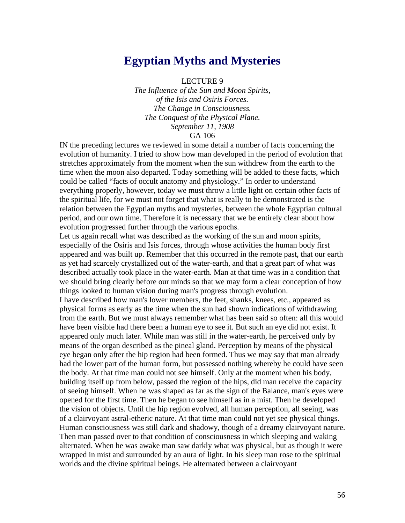### **Egyptian Myths and Mysteries**

LECTURE 9

*The Influence of the Sun and Moon Spirits, of the Isis and Osiris Forces. The Change in Consciousness. The Conquest of the Physical Plane. September 11, 1908* GA 106

IN the preceding lectures we reviewed in some detail a number of facts concerning the evolution of humanity. I tried to show how man developed in the period of evolution that stretches approximately from the moment when the sun withdrew from the earth to the time when the moon also departed. Today something will be added to these facts, which could be called "facts of occult anatomy and physiology." In order to understand everything properly, however, today we must throw a little light on certain other facts of the spiritual life, for we must not forget that what is really to be demonstrated is the relation between the Egyptian myths and mysteries, between the whole Egyptian cultural period, and our own time. Therefore it is necessary that we be entirely clear about how evolution progressed further through the various epochs.

Let us again recall what was described as the working of the sun and moon spirits, especially of the Osiris and Isis forces, through whose activities the human body first appeared and was built up. Remember that this occurred in the remote past, that our earth as yet had scarcely crystallized out of the water-earth, and that a great part of what was described actually took place in the water-earth. Man at that time was in a condition that we should bring clearly before our minds so that we may form a clear conception of how things looked to human vision during man's progress through evolution.

I have described how man's lower members, the feet, shanks, knees, etc., appeared as physical forms as early as the time when the sun had shown indications of withdrawing from the earth. But we must always remember what has been said so often: all this would have been visible had there been a human eye to see it. But such an eye did not exist. It appeared only much later. While man was still in the water-earth, he perceived only by means of the organ described as the pineal gland. Perception by means of the physical eye began only after the hip region had been formed. Thus we may say that man already had the lower part of the human form, but possessed nothing whereby he could have seen the body. At that time man could not see himself. Only at the moment when his body, building itself up from below, passed the region of the hips, did man receive the capacity of seeing himself. When he was shaped as far as the sign of the Balance, man's eyes were opened for the first time. Then he began to see himself as in a mist. Then he developed the vision of objects. Until the hip region evolved, all human perception, all seeing, was of a clairvoyant astral-etheric nature. At that time man could not yet see physical things. Human consciousness was still dark and shadowy, though of a dreamy clairvoyant nature. Then man passed over to that condition of consciousness in which sleeping and waking alternated. When he was awake man saw darkly what was physical, but as though it were wrapped in mist and surrounded by an aura of light. In his sleep man rose to the spiritual worlds and the divine spiritual beings. He alternated between a clairvoyant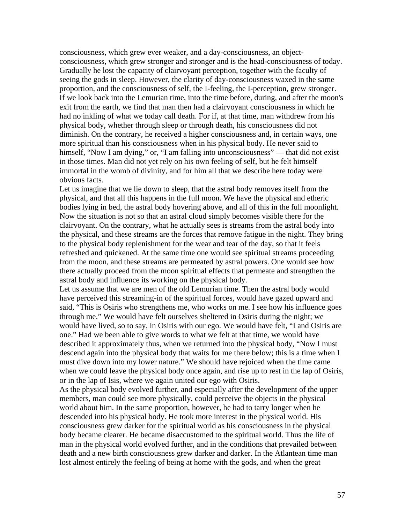consciousness, which grew ever weaker, and a day-consciousness, an objectconsciousness, which grew stronger and stronger and is the head-consciousness of today. Gradually he lost the capacity of clairvoyant perception, together with the faculty of seeing the gods in sleep. However, the clarity of day-consciousness waxed in the same proportion, and the consciousness of self, the I-feeling, the I-perception, grew stronger. If we look back into the Lemurian time, into the time before, during, and after the moon's exit from the earth, we find that man then had a clairvoyant consciousness in which he had no inkling of what we today call death. For if, at that time, man withdrew from his physical body, whether through sleep or through death, his consciousness did not diminish. On the contrary, he received a higher consciousness and, in certain ways, one more spiritual than his consciousness when in his physical body. He never said to himself, "Now I am dying," or, "I am falling into unconsciousness" — that did not exist in those times. Man did not yet rely on his own feeling of self, but he felt himself immortal in the womb of divinity, and for him all that we describe here today were obvious facts.

Let us imagine that we lie down to sleep, that the astral body removes itself from the physical, and that all this happens in the full moon. We have the physical and etheric bodies lying in bed, the astral body hovering above, and all of this in the full moonlight. Now the situation is not so that an astral cloud simply becomes visible there for the clairvoyant. On the contrary, what he actually sees is streams from the astral body into the physical, and these streams are the forces that remove fatigue in the night. They bring to the physical body replenishment for the wear and tear of the day, so that it feels refreshed and quickened. At the same time one would see spiritual streams proceeding from the moon, and these streams are permeated by astral powers. One would see how there actually proceed from the moon spiritual effects that permeate and strengthen the astral body and influence its working on the physical body.

Let us assume that we are men of the old Lemurian time. Then the astral body would have perceived this streaming-in of the spiritual forces, would have gazed upward and said, "This is Osiris who strengthens me, who works on me. I see how his influence goes through me." We would have felt ourselves sheltered in Osiris during the night; we would have lived, so to say, in Osiris with our ego. We would have felt, "I and Osiris are one." Had we been able to give words to what we felt at that time, we would have described it approximately thus, when we returned into the physical body, "Now I must descend again into the physical body that waits for me there below; this is a time when I must dive down into my lower nature." We should have rejoiced when the time came when we could leave the physical body once again, and rise up to rest in the lap of Osiris, or in the lap of Isis, where we again united our ego with Osiris.

As the physical body evolved further, and especially after the development of the upper members, man could see more physically, could perceive the objects in the physical world about him. In the same proportion, however, he had to tarry longer when he descended into his physical body. He took more interest in the physical world. His consciousness grew darker for the spiritual world as his consciousness in the physical body became clearer. He became disaccustomed to the spiritual world. Thus the life of man in the physical world evolved further, and in the conditions that prevailed between death and a new birth consciousness grew darker and darker. In the Atlantean time man lost almost entirely the feeling of being at home with the gods, and when the great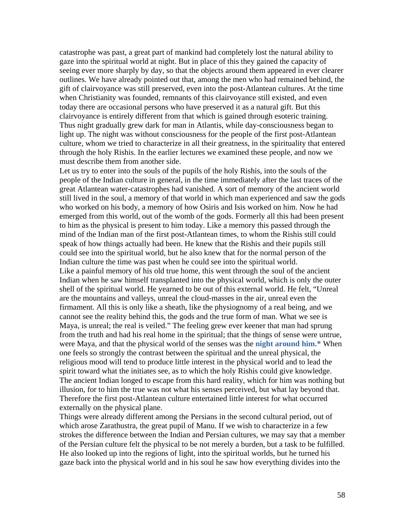catastrophe was past, a great part of mankind had completely lost the natural ability to gaze into the spiritual world at night. But in place of this they gained the capacity of seeing ever more sharply by day, so that the objects around them appeared in ever clearer outlines. We have already pointed out that, among the men who had remained behind, the gift of clairvoyance was still preserved, even into the post-Atlantean cultures. At the time when Christianity was founded, remnants of this clairvoyance still existed, and even today there are occasional persons who have preserved it as a natural gift. But this clairvoyance is entirely different from that which is gained through esoteric training. Thus night gradually grew dark for man in Atlantis, while day-consciousness began to light up. The night was without consciousness for the people of the first post-Atlantean culture, whom we tried to characterize in all their greatness, in the spirituality that entered through the holy Rishis. In the earlier lectures we examined these people, and now we must describe them from another side.

Let us try to enter into the souls of the pupils of the holy Rishis, into the souls of the people of the Indian culture in general, in the time immediately after the last traces of the great Atlantean water-catastrophes had vanished. A sort of memory of the ancient world still lived in the soul, a memory of that world in which man experienced and saw the gods who worked on his body, a memory of how Osiris and Isis worked on him. Now he had emerged from this world, out of the womb of the gods. Formerly all this had been present to him as the physical is present to him today. Like a memory this passed through the mind of the Indian man of the first post-Atlantean times, to whom the Rishis still could speak of how things actually had been. He knew that the Rishis and their pupils still could see into the spiritual world, but he also knew that for the normal person of the Indian culture the time was past when he could see into the spiritual world. Like a painful memory of his old true home, this went through the soul of the ancient Indian when he saw himself transplanted into the physical world, which is only the outer shell of the spiritual world. He yearned to be out of this external world. He felt, "Unreal are the mountains and valleys, unreal the cloud-masses in the air, unreal even the firmament. All this is only like a sheath, like the physiognomy of a real being, and we cannot see the reality behind this, the gods and the true form of man. What we see is Maya, is unreal; the real is veiled." The feeling grew ever keener that man had sprung from the truth and had his real home in the spiritual; that the things of sense were untrue, were Maya, and that the physical world of the senses was the **[night around him.\\*](http://wn.elib.com/Steiner/Lectures/EgyptMyth/#_note1)** When one feels so strongly the contrast between the spiritual and the unreal physical, the religious mood will tend to produce little interest in the physical world and to lead the spirit toward what the initiates see, as to which the holy Rishis could give knowledge. The ancient Indian longed to escape from this hard reality, which for him was nothing but illusion, for to him the true was not what his senses perceived, but what lay beyond that. Therefore the first post-Atlantean culture entertained little interest for what occurred externally on the physical plane.

Things were already different among the Persians in the second cultural period, out of which arose Zarathustra, the great pupil of Manu. If we wish to characterize in a few strokes the difference between the Indian and Persian cultures, we may say that a member of the Persian culture felt the physical to be not merely a burden, but a task to be fulfilled. He also looked up into the regions of light, into the spiritual worlds, but he turned his gaze back into the physical world and in his soul he saw how everything divides into the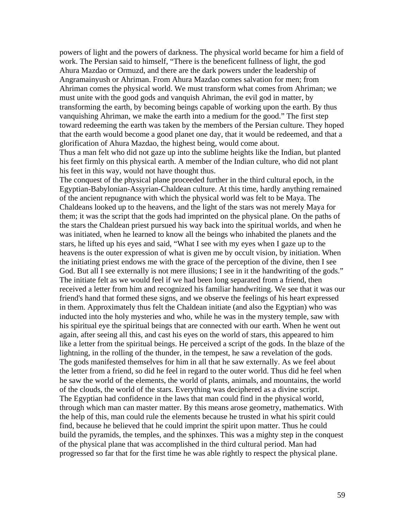powers of light and the powers of darkness. The physical world became for him a field of work. The Persian said to himself, "There is the beneficent fullness of light, the god Ahura Mazdao or Ormuzd, and there are the dark powers under the leadership of Angramainyush or Ahriman. From Ahura Mazdao comes salvation for men; from Ahriman comes the physical world. We must transform what comes from Ahriman; we must unite with the good gods and vanquish Ahriman, the evil god in matter, by transforming the earth, by becoming beings capable of working upon the earth. By thus vanquishing Ahriman, we make the earth into a medium for the good." The first step toward redeeming the earth was taken by the members of the Persian culture. They hoped that the earth would become a good planet one day, that it would be redeemed, and that a glorification of Ahura Mazdao, the highest being, would come about.

Thus a man felt who did not gaze up into the sublime heights like the Indian, but planted his feet firmly on this physical earth. A member of the Indian culture, who did not plant his feet in this way, would not have thought thus.

The conquest of the physical plane proceeded further in the third cultural epoch, in the Egyptian-Babylonian-Assyrian-Chaldean culture. At this time, hardly anything remained of the ancient repugnance with which the physical world was felt to be Maya. The Chaldeans looked up to the heavens, and the light of the stars was not merely Maya for them; it was the script that the gods had imprinted on the physical plane. On the paths of the stars the Chaldean priest pursued his way back into the spiritual worlds, and when he was initiated, when he learned to know all the beings who inhabited the planets and the stars, he lifted up his eyes and said, "What I see with my eyes when I gaze up to the heavens is the outer expression of what is given me by occult vision, by initiation. When the initiating priest endows me with the grace of the perception of the divine, then I see God. But all I see externally is not mere illusions; I see in it the handwriting of the gods." The initiate felt as we would feel if we had been long separated from a friend, then received a letter from him and recognized his familiar handwriting. We see that it was our friend's hand that formed these signs, and we observe the feelings of his heart expressed in them. Approximately thus felt the Chaldean initiate (and also the Egyptian) who was inducted into the holy mysteries and who, while he was in the mystery temple, saw with his spiritual eye the spiritual beings that are connected with our earth. When he went out again, after seeing all this, and cast his eyes on the world of stars, this appeared to him like a letter from the spiritual beings. He perceived a script of the gods. In the blaze of the lightning, in the rolling of the thunder, in the tempest, he saw a revelation of the gods. The gods manifested themselves for him in all that he saw externally. As we feel about the letter from a friend, so did he feel in regard to the outer world. Thus did he feel when he saw the world of the elements, the world of plants, animals, and mountains, the world of the clouds, the world of the stars. Everything was deciphered as a divine script. The Egyptian had confidence in the laws that man could find in the physical world, through which man can master matter. By this means arose geometry, mathematics. With the help of this, man could rule the elements because he trusted in what his spirit could find, because he believed that he could imprint the spirit upon matter. Thus he could build the pyramids, the temples, and the sphinxes. This was a mighty step in the conquest of the physical plane that was accomplished in the third cultural period. Man had progressed so far that for the first time he was able rightly to respect the physical plane.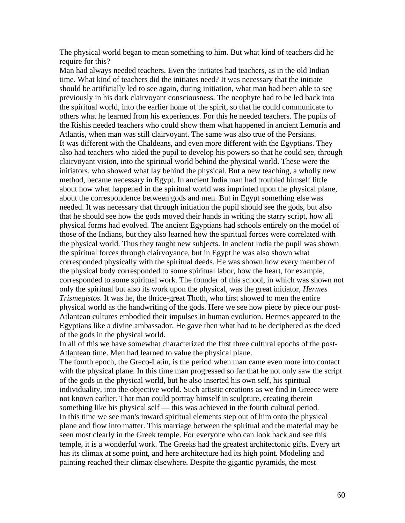The physical world began to mean something to him. But what kind of teachers did he require for this?

Man had always needed teachers. Even the initiates had teachers, as in the old Indian time. What kind of teachers did the initiates need? It was necessary that the initiate should be artificially led to see again, during initiation, what man had been able to see previously in his dark clairvoyant consciousness. The neophyte had to be led back into the spiritual world, into the earlier home of the spirit, so that he could communicate to others what he learned from his experiences. For this he needed teachers. The pupils of the Rishis needed teachers who could show them what happened in ancient Lemuria and Atlantis, when man was still clairvoyant. The same was also true of the Persians. It was different with the Chaldeans, and even more different with the Egyptians. They also had teachers who aided the pupil to develop his powers so that he could see, through clairvoyant vision, into the spiritual world behind the physical world. These were the initiators, who showed what lay behind the physical. But a new teaching, a wholly new method, became necessary in Egypt. In ancient India man had troubled himself little about how what happened in the spiritual world was imprinted upon the physical plane, about the correspondence between gods and men. But in Egypt something else was needed. It was necessary that through initiation the pupil should see the gods, but also that he should see how the gods moved their hands in writing the starry script, how all physical forms had evolved. The ancient Egyptians had schools entirely on the model of those of the Indians, but they also learned how the spiritual forces were correlated with the physical world. Thus they taught new subjects. In ancient India the pupil was shown the spiritual forces through clairvoyance, but in Egypt he was also shown what corresponded physically with the spiritual deeds. He was shown how every member of the physical body corresponded to some spiritual labor, how the heart, for example, corresponded to some spiritual work. The founder of this school, in which was shown not only the spiritual but also its work upon the physical, was the great initiator*, Hermes Trismegistos.* It was he, the thrice-great Thoth, who first showed to men the entire physical world as the handwriting of the gods. Here we see how piece by piece our post-Atlantean cultures embodied their impulses in human evolution. Hermes appeared to the Egyptians like a divine ambassador. He gave then what had to be deciphered as the deed of the gods in the physical world.

In all of this we have somewhat characterized the first three cultural epochs of the post-Atlantean time. Men had learned to value the physical plane.

The fourth epoch, the Greco-Latin, is the period when man came even more into contact with the physical plane. In this time man progressed so far that he not only saw the script of the gods in the physical world, but he also inserted his own self, his spiritual individuality, into the objective world. Such artistic creations as we find in Greece were not known earlier. That man could portray himself in sculpture, creating therein something like his physical self — this was achieved in the fourth cultural period. In this time we see man's inward spiritual elements step out of him onto the physical plane and flow into matter. This marriage between the spiritual and the material may be seen most clearly in the Greek temple. For everyone who can look back and see this temple, it is a wonderful work. The Greeks had the greatest architectonic gifts. Every art has its climax at some point, and here architecture had its high point. Modeling and painting reached their climax elsewhere. Despite the gigantic pyramids, the most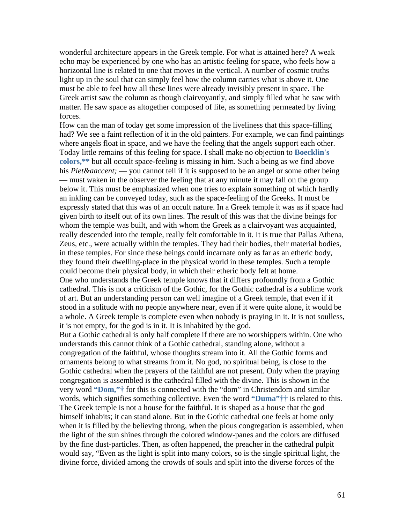wonderful architecture appears in the Greek temple. For what is attained here? A weak echo may be experienced by one who has an artistic feeling for space, who feels how a horizontal line is related to one that moves in the vertical. A number of cosmic truths light up in the soul that can simply feel how the column carries what is above it. One must be able to feel how all these lines were already invisibly present in space. The Greek artist saw the column as though clairvoyantly, and simply filled what he saw with matter. He saw space as altogether composed of life, as something permeated by living forces.

How can the man of today get some impression of the liveliness that this space-filling had? We see a faint reflection of it in the old painters. For example, we can find paintings where angels float in space, and we have the feeling that the angels support each other. Today little remains of this feeling for space. I shall make no objection to **[Boecklin's](http://wn.elib.com/Steiner/Lectures/EgyptMyth/#_note2)  [colors,\\*\\*](http://wn.elib.com/Steiner/Lectures/EgyptMyth/#_note2)** but all occult space-feeling is missing in him. Such a being as we find above his *Piet&aaccent;* — you cannot tell if it is supposed to be an angel or some other being — must waken in the observer the feeling that at any minute it may fall on the group below it. This must be emphasized when one tries to explain something of which hardly an inkling can be conveyed today, such as the space-feeling of the Greeks. It must be expressly stated that this was of an occult nature. In a Greek temple it was as if space had given birth to itself out of its own lines. The result of this was that the divine beings for whom the temple was built, and with whom the Greek as a clairvoyant was acquainted, really descended into the temple, really felt comfortable in it. It is true that Pallas Athena, Zeus, etc., were actually within the temples. They had their bodies, their material bodies, in these temples. For since these beings could incarnate only as far as an etheric body, they found their dwelling-place in the physical world in these temples. Such a temple could become their physical body, in which their etheric body felt at home. One who understands the Greek temple knows that it differs profoundly from a Gothic cathedral. This is not a criticism of the Gothic, for the Gothic cathedral is a sublime work of art. But an understanding person can well imagine of a Greek temple, that even if it stood in a solitude with no people anywhere near, even if it were quite alone, it would be a whole. A Greek temple is complete even when nobody is praying in it. It is not soulless, it is not empty, for the god is in it. It is inhabited by the god.

But a Gothic cathedral is only half complete if there are no worshippers within. One who understands this cannot think of a Gothic cathedral, standing alone, without a congregation of the faithful, whose thoughts stream into it. All the Gothic forms and ornaments belong to what streams from it. No god, no spiritual being, is close to the Gothic cathedral when the prayers of the faithful are not present. Only when the praying congregation is assembled is the cathedral filled with the divine. This is shown in the very word **["Dom,"†](http://wn.elib.com/Steiner/Lectures/EgyptMyth/#_note3)** for this is connected with the "dom" in Christendom and similar words, which signifies something collective. Even the word **["Duma"††](http://wn.elib.com/Steiner/Lectures/EgyptMyth/#_note4)** is related to this. The Greek temple is not a house for the faithful. It is shaped as a house that the god himself inhabits; it can stand alone. But in the Gothic cathedral one feels at home only when it is filled by the believing throng, when the pious congregation is assembled, when the light of the sun shines through the colored window-panes and the colors are diffused by the fine dust-particles. Then, as often happened, the preacher in the cathedral pulpit would say, "Even as the light is split into many colors, so is the single spiritual light, the divine force, divided among the crowds of souls and split into the diverse forces of the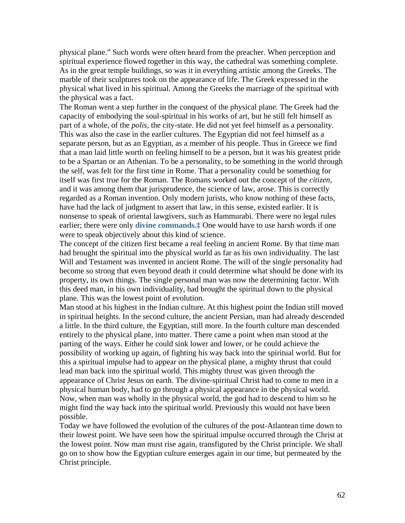physical plane." Such words were often heard from the preacher. When perception and spiritual experience flowed together in this way, the cathedral was something complete. As in the great temple buildings, so was it in everything artistic among the Greeks. The marble of their sculptures took on the appearance of life. The Greek expressed in the physical what lived in his spiritual. Among the Greeks the marriage of the spiritual with the physical was a fact.

The Roman went a step further in the conquest of the physical plane. The Greek had the capacity of embodying the soul-spiritual in his works of art, but he still felt himself as part of a whole, of the *polis,* the city-state. He did not yet feel himself as a personality. This was also the case in the earlier cultures. The Egyptian did not feel himself as a separate person, but as an Egyptian, as a member of his people. Thus in Greece we find that a man laid little worth on feeling himself to be a person, but it was his greatest pride to be a Spartan or an Athenian. To be a personality, to be something in the world through the self, was felt for the first time in Rome. That a personality could be something for itself was first true for the Roman. The Romans worked out the concept of the *citizen,*  and it was among them that jurisprudence, the science of law, arose. This is correctly regarded as a Roman invention. Only modern jurists, who know nothing of these facts, have had the lack of judgment to assert that law, in this sense, existed earlier. It is nonsense to speak of oriental lawgivers, such as Hammurabi. There were no legal rules earlier; there were only **[divine commands.‡](http://wn.elib.com/Steiner/Lectures/EgyptMyth/#_note5)** One would have to use harsh words if one were to speak objectively about this kind of science.

The concept of the citizen first became a real feeling in ancient Rome. By that time man had brought the spiritual into the physical world as far as his own individuality. The last Will and Testament was invented in ancient Rome. The will of the single personality had become so strong that even beyond death it could determine what should be done with its property, its own things. The single personal man was now the determining factor. With this deed man, in his own individuality, had brought the spiritual down to the physical plane. This was the lowest point of evolution.

Man stood at his highest in the Indian culture. At this highest point the Indian still moved in spiritual heights. In the second culture, the ancient Persian, man had already descended a little. In the third culture, the Egyptian, still more. In the fourth culture man descended entirely to the physical plane, into matter. There came a point when man stood at the parting of the ways. Either he could sink lower and lower, or he could achieve the possibility of working up again, of fighting his way back into the spiritual world. But for this a spiritual impulse had to appear on the physical plane, a mighty thrust that could lead man back into the spiritual world. This mighty thrust was given through the appearance of Christ Jesus on earth. The divine-spiritual Christ had to come to men in a physical human body, had to go through a physical appearance in the physical world. Now, when man was wholly in the physical world, the god had to descend to him so he might find the way back into the spiritual world. Previously this would not have been possible.

Today we have followed the evolution of the cultures of the post-Atlantean time down to their lowest point. We have seen how the spiritual impulse occurred through the Christ at the lowest point. Now man must rise again, transfigured by the Christ principle. We shall go on to show how the Egyptian culture emerges again in our time, but permeated by the Christ principle.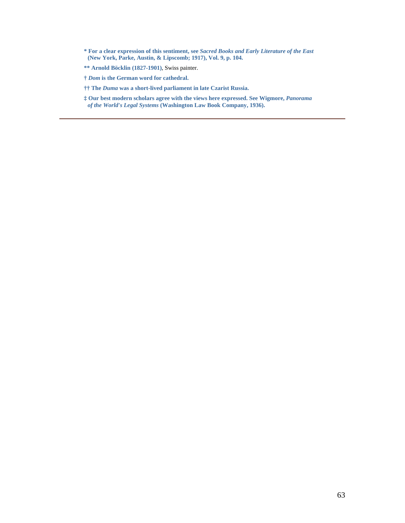- **\* For a clear expression of this sentiment, see** *Sacred Books and Early Literature of the East* **(New York, Parke, Austin, & Lipscomb; 1917), Vol. 9, p. 104.**
- **\*\* [Arnold Böcklin \(1827-1901\)](http://fineart.elib.com/fineart.php?dir=Site_index/Bocklin_Arnold)**, Swiss painter.
- **†** *Dom* **is the German word for cathedral.**
- **†† The** *Duma* **was a short-lived parliament in late Czarist Russia.**
- **‡ Our best modern scholars agree with the views here expressed. See Wigmore,** *Panorama of the World's Legal Systems* **(Washington Law Book Company, 1936).**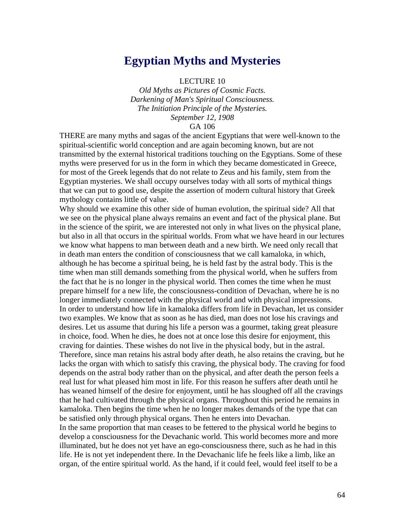### **Egyptian Myths and Mysteries**

LECTURE 10

*Old Myths as Pictures of Cosmic Facts. Darkening of Man's Spiritual Consciousness. The Initiation Principle of the Mysteries. September 12, 1908*

GA 106

THERE are many myths and sagas of the ancient Egyptians that were well-known to the spiritual-scientific world conception and are again becoming known, but are not transmitted by the external historical traditions touching on the Egyptians. Some of these myths were preserved for us in the form in which they became domesticated in Greece, for most of the Greek legends that do not relate to Zeus and his family, stem from the Egyptian mysteries. We shall occupy ourselves today with all sorts of mythical things that we can put to good use, despite the assertion of modern cultural history that Greek mythology contains little of value.

Why should we examine this other side of human evolution, the spiritual side? All that we see on the physical plane always remains an event and fact of the physical plane. But in the science of the spirit, we are interested not only in what lives on the physical plane, but also in all that occurs in the spiritual worlds. From what we have heard in our lectures we know what happens to man between death and a new birth. We need only recall that in death man enters the condition of consciousness that we call kamaloka, in which, although he has become a spiritual being, he is held fast by the astral body. This is the time when man still demands something from the physical world, when he suffers from the fact that he is no longer in the physical world. Then comes the time when he must prepare himself for a new life, the consciousness-condition of Devachan, where he is no longer immediately connected with the physical world and with physical impressions. In order to understand how life in kamaloka differs from life in Devachan, let us consider two examples. We know that as soon as he has died, man does not lose his cravings and desires. Let us assume that during his life a person was a gourmet, taking great pleasure in choice, food. When he dies, he does not at once lose this desire for enjoyment, this craving for dainties. These wishes do not live in the physical body, but in the astral. Therefore, since man retains his astral body after death, he also retains the craving, but he lacks the organ with which to satisfy this craving, the physical body. The craving for food depends on the astral body rather than on the physical, and after death the person feels a real lust for what pleased him most in life. For this reason he suffers after death until he has weaned himself of the desire for enjoyment, until he has sloughed off all the cravings that he had cultivated through the physical organs. Throughout this period he remains in kamaloka. Then begins the time when he no longer makes demands of the type that can be satisfied only through physical organs. Then he enters into Devachan.

In the same proportion that man ceases to be fettered to the physical world he begins to develop a consciousness for the Devachanic world. This world becomes more and more illuminated, but he does not yet have an ego-consciousness there, such as he had in this life. He is not yet independent there. In the Devachanic life he feels like a limb, like an organ, of the entire spiritual world. As the hand, if it could feel, would feel itself to be a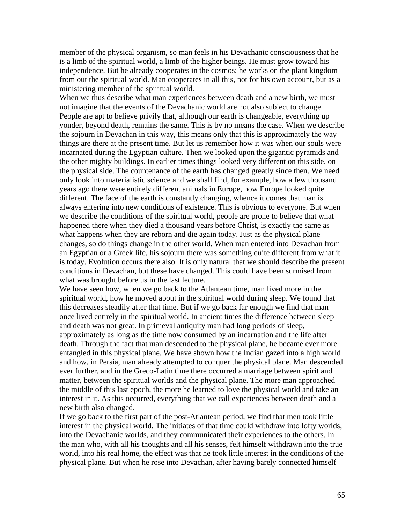member of the physical organism, so man feels in his Devachanic consciousness that he is a limb of the spiritual world, a limb of the higher beings. He must grow toward his independence. But he already cooperates in the cosmos; he works on the plant kingdom from out the spiritual world. Man cooperates in all this, not for his own account, but as a ministering member of the spiritual world.

When we thus describe what man experiences between death and a new birth, we must not imagine that the events of the Devachanic world are not also subject to change. People are apt to believe privily that, although our earth is changeable, everything up yonder, beyond death, remains the same. This is by no means the case. When we describe the sojourn in Devachan in this way, this means only that this is approximately the way things are there at the present time. But let us remember how it was when our souls were incarnated during the Egyptian culture. Then we looked upon the gigantic pyramids and the other mighty buildings. In earlier times things looked very different on this side, on the physical side. The countenance of the earth has changed greatly since then. We need only look into materialistic science and we shall find, for example, how a few thousand years ago there were entirely different animals in Europe, how Europe looked quite different. The face of the earth is constantly changing, whence it comes that man is always entering into new conditions of existence. This is obvious to everyone. But when we describe the conditions of the spiritual world, people are prone to believe that what happened there when they died a thousand years before Christ, is exactly the same as what happens when they are reborn and die again today. Just as the physical plane changes, so do things change in the other world. When man entered into Devachan from an Egyptian or a Greek life, his sojourn there was something quite different from what it is today. Evolution occurs there also. It is only natural that we should describe the present conditions in Devachan, but these have changed. This could have been surmised from what was brought before us in the last lecture.

We have seen how, when we go back to the Atlantean time, man lived more in the spiritual world, how he moved about in the spiritual world during sleep. We found that this decreases steadily after that time. But if we go back far enough we find that man once lived entirely in the spiritual world. In ancient times the difference between sleep and death was not great. In primeval antiquity man had long periods of sleep, approximately as long as the time now consumed by an incarnation and the life after death. Through the fact that man descended to the physical plane, he became ever more entangled in this physical plane. We have shown how the Indian gazed into a high world and how, in Persia, man already attempted to conquer the physical plane. Man descended ever further, and in the Greco-Latin time there occurred a marriage between spirit and matter, between the spiritual worlds and the physical plane. The more man approached the middle of this last epoch, the more he learned to love the physical world and take an interest in it. As this occurred, everything that we call experiences between death and a new birth also changed.

If we go back to the first part of the post-Atlantean period, we find that men took little interest in the physical world. The initiates of that time could withdraw into lofty worlds, into the Devachanic worlds, and they communicated their experiences to the others. In the man who, with all his thoughts and all his senses, felt himself withdrawn into the true world, into his real home, the effect was that he took little interest in the conditions of the physical plane. But when he rose into Devachan, after having barely connected himself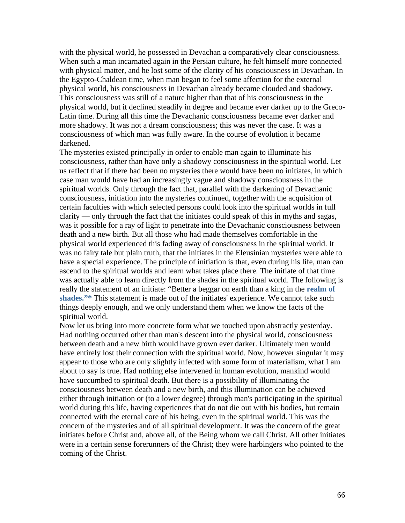with the physical world, he possessed in Devachan a comparatively clear consciousness. When such a man incarnated again in the Persian culture, he felt himself more connected with physical matter, and he lost some of the clarity of his consciousness in Devachan. In the Egypto-Chaldean time, when man began to feel some affection for the external physical world, his consciousness in Devachan already became clouded and shadowy. This consciousness was still of a nature higher than that of his consciousness in the physical world, but it declined steadily in degree and became ever darker up to the Greco-Latin time. During all this time the Devachanic consciousness became ever darker and more shadowy. It was not a dream consciousness; this was never the case. It was a consciousness of which man was fully aware. In the course of evolution it became darkened.

The mysteries existed principally in order to enable man again to illuminate his consciousness, rather than have only a shadowy consciousness in the spiritual world. Let us reflect that if there had been no mysteries there would have been no initiates, in which case man would have had an increasingly vague and shadowy consciousness in the spiritual worlds. Only through the fact that, parallel with the darkening of Devachanic consciousness, initiation into the mysteries continued, together with the acquisition of certain faculties with which selected persons could look into the spiritual worlds in full clarity — only through the fact that the initiates could speak of this in myths and sagas, was it possible for a ray of light to penetrate into the Devachanic consciousness between death and a new birth. But all those who had made themselves comfortable in the physical world experienced this fading away of consciousness in the spiritual world. It was no fairy tale but plain truth, that the initiates in the Eleusinian mysteries were able to have a special experience. The principle of initiation is that, even during his life, man can ascend to the spiritual worlds and learn what takes place there. The initiate of that time was actually able to learn directly from the shades in the spiritual world. The following is really the statement of an initiate: "Better a beggar on earth than a king in the **[realm of](http://wn.elib.com/Steiner/Lectures/EgyptMyth/#_note1)  [shades."\\*](http://wn.elib.com/Steiner/Lectures/EgyptMyth/#_note1)** This statement is made out of the initiates' experience. We cannot take such things deeply enough, and we only understand them when we know the facts of the spiritual world.

Now let us bring into more concrete form what we touched upon abstractly yesterday. Had nothing occurred other than man's descent into the physical world, consciousness between death and a new birth would have grown ever darker. Ultimately men would have entirely lost their connection with the spiritual world. Now, however singular it may appear to those who are only slightly infected with some form of materialism, what I am about to say is true. Had nothing else intervened in human evolution, mankind would have succumbed to spiritual death. But there is a possibility of illuminating the consciousness between death and a new birth, and this illumination can be achieved either through initiation or (to a lower degree) through man's participating in the spiritual world during this life, having experiences that do not die out with his bodies, but remain connected with the eternal core of his being, even in the spiritual world. This was the concern of the mysteries and of all spiritual development. It was the concern of the great initiates before Christ and, above all, of the Being whom we call Christ. All other initiates were in a certain sense forerunners of the Christ; they were harbingers who pointed to the coming of the Christ.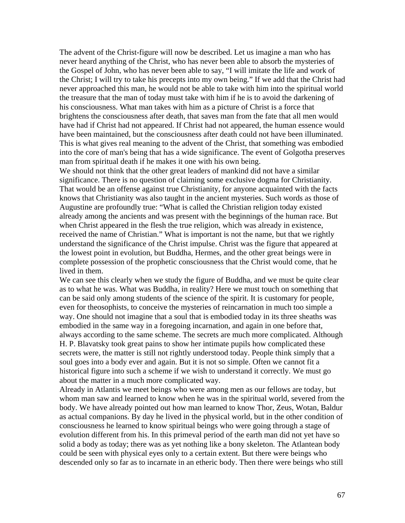The advent of the Christ-figure will now be described. Let us imagine a man who has never heard anything of the Christ, who has never been able to absorb the mysteries of the Gospel of John, who has never been able to say, "I will imitate the life and work of the Christ; I will try to take his precepts into my own being." If we add that the Christ had never approached this man, he would not be able to take with him into the spiritual world the treasure that the man of today must take with him if he is to avoid the darkening of his consciousness. What man takes with him as a picture of Christ is a force that brightens the consciousness after death, that saves man from the fate that all men would have had if Christ had not appeared. If Christ had not appeared, the human essence would have been maintained, but the consciousness after death could not have been illuminated. This is what gives real meaning to the advent of the Christ, that something was embodied into the core of man's being that has a wide significance. The event of Golgotha preserves man from spiritual death if he makes it one with his own being.

We should not think that the other great leaders of mankind did not have a similar significance. There is no question of claiming some exclusive dogma for Christianity. That would be an offense against true Christianity, for anyone acquainted with the facts knows that Christianity was also taught in the ancient mysteries. Such words as those of Augustine are profoundly true: "What is called the Christian religion today existed already among the ancients and was present with the beginnings of the human race. But when Christ appeared in the flesh the true religion, which was already in existence, received the name of Christian." What is important is not the name, but that we rightly understand the significance of the Christ impulse. Christ was the figure that appeared at the lowest point in evolution, but Buddha, Hermes, and the other great beings were in complete possession of the prophetic consciousness that the Christ would come, that he lived in them.

We can see this clearly when we study the figure of Buddha, and we must be quite clear as to what he was. What was Buddha, in reality? Here we must touch on something that can be said only among students of the science of the spirit. It is customary for people, even for theosophists, to conceive the mysteries of reincarnation in much too simple a way. One should not imagine that a soul that is embodied today in its three sheaths was embodied in the same way in a foregoing incarnation, and again in one before that, always according to the same scheme. The secrets are much more complicated. Although H. P. Blavatsky took great pains to show her intimate pupils how complicated these secrets were, the matter is still not rightly understood today. People think simply that a soul goes into a body ever and again. But it is not so simple. Often we cannot fit a historical figure into such a scheme if we wish to understand it correctly. We must go about the matter in a much more complicated way.

Already in Atlantis we meet beings who were among men as our fellows are today, but whom man saw and learned to know when he was in the spiritual world, severed from the body. We have already pointed out how man learned to know Thor, Zeus, Wotan, Baldur as actual companions. By day he lived in the physical world, but in the other condition of consciousness he learned to know spiritual beings who were going through a stage of evolution different from his. In this primeval period of the earth man did not yet have so solid a body as today; there was as yet nothing like a bony skeleton. The Atlantean body could be seen with physical eyes only to a certain extent. But there were beings who descended only so far as to incarnate in an etheric body. Then there were beings who still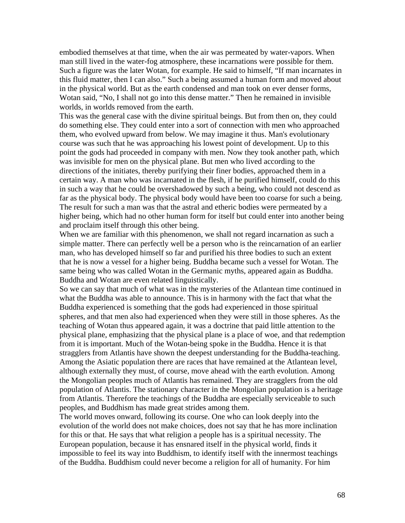embodied themselves at that time, when the air was permeated by water-vapors. When man still lived in the water-fog atmosphere, these incarnations were possible for them. Such a figure was the later Wotan, for example. He said to himself, "If man incarnates in this fluid matter, then I can also." Such a being assumed a human form and moved about in the physical world. But as the earth condensed and man took on ever denser forms, Wotan said, "No, I shall not go into this dense matter." Then he remained in invisible worlds, in worlds removed from the earth.

This was the general case with the divine spiritual beings. But from then on, they could do something else. They could enter into a sort of connection with men who approached them, who evolved upward from below. We may imagine it thus. Man's evolutionary course was such that he was approaching his lowest point of development. Up to this point the gods had proceeded in company with men. Now they took another path, which was invisible for men on the physical plane. But men who lived according to the directions of the initiates, thereby purifying their finer bodies, approached them in a certain way. A man who was incarnated in the flesh, if he purified himself, could do this in such a way that he could be overshadowed by such a being, who could not descend as far as the physical body. The physical body would have been too coarse for such a being. The result for such a man was that the astral and etheric bodies were permeated by a higher being, which had no other human form for itself but could enter into another being and proclaim itself through this other being.

When we are familiar with this phenomenon, we shall not regard incarnation as such a simple matter. There can perfectly well be a person who is the reincarnation of an earlier man, who has developed himself so far and purified his three bodies to such an extent that he is now a vessel for a higher being. Buddha became such a vessel for Wotan. The same being who was called Wotan in the Germanic myths, appeared again as Buddha. Buddha and Wotan are even related linguistically.

So we can say that much of what was in the mysteries of the Atlantean time continued in what the Buddha was able to announce. This is in harmony with the fact that what the Buddha experienced is something that the gods had experienced in those spiritual spheres, and that men also had experienced when they were still in those spheres. As the teaching of Wotan thus appeared again, it was a doctrine that paid little attention to the physical plane, emphasizing that the physical plane is a place of woe, and that redemption from it is important. Much of the Wotan-being spoke in the Buddha. Hence it is that stragglers from Atlantis have shown the deepest understanding for the Buddha-teaching. Among the Asiatic population there are races that have remained at the Atlantean level, although externally they must, of course, move ahead with the earth evolution. Among the Mongolian peoples much of Atlantis has remained. They are stragglers from the old population of Atlantis. The stationary character in the Mongolian population is a heritage from Atlantis. Therefore the teachings of the Buddha are especially serviceable to such peoples, and Buddhism has made great strides among them.

The world moves onward, following its course. One who can look deeply into the evolution of the world does not make choices, does not say that he has more inclination for this or that. He says that what religion a people has is a spiritual necessity. The European population, because it has ensnared itself in the physical world, finds it impossible to feel its way into Buddhism, to identify itself with the innermost teachings of the Buddha. Buddhism could never become a religion for all of humanity. For him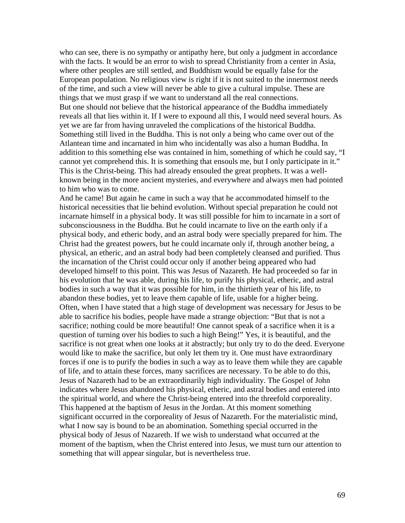who can see, there is no sympathy or antipathy here, but only a judgment in accordance with the facts. It would be an error to wish to spread Christianity from a center in Asia, where other peoples are still settled, and Buddhism would be equally false for the European population. No religious view is right if it is not suited to the innermost needs of the time, and such a view will never be able to give a cultural impulse. These are things that we must grasp if we want to understand all the real connections. But one should not believe that the historical appearance of the Buddha immediately reveals all that lies within it. If I were to expound all this, I would need several hours. As yet we are far from having unraveled the complications of the historical Buddha. Something still lived in the Buddha. This is not only a being who came over out of the Atlantean time and incarnated in him who incidentally was also a human Buddha. In addition to this something else was contained in him, something of which he could say, "I cannot yet comprehend this. It is something that ensouls me, but I only participate in it." This is the Christ-being. This had already ensouled the great prophets. It was a wellknown being in the more ancient mysteries, and everywhere and always men had pointed to him who was to come.

And he came! But again he came in such a way that he accommodated himself to the historical necessities that lie behind evolution. Without special preparation he could not incarnate himself in a physical body. It was still possible for him to incarnate in a sort of subconsciousness in the Buddha. But he could incarnate to live on the earth only if a physical body, and etheric body, and an astral body were specially prepared for him. The Christ had the greatest powers, but he could incarnate only if, through another being, a physical, an etheric, and an astral body had been completely cleansed and purified. Thus the incarnation of the Christ could occur only if another being appeared who had developed himself to this point. This was Jesus of Nazareth. He had proceeded so far in his evolution that he was able, during his life, to purify his physical, etheric, and astral bodies in such a way that it was possible for him, in the thirtieth year of his life, to abandon these bodies, yet to leave them capable of life, usable for a higher being. Often, when I have stated that a high stage of development was necessary for Jesus to be able to sacrifice his bodies, people have made a strange objection: "But that is not a sacrifice; nothing could be more beautiful! One cannot speak of a sacrifice when it is a question of turning over his bodies to such a high Being!" Yes, it is beautiful, and the sacrifice is not great when one looks at it abstractly; but only try to do the deed. Everyone would like to make the sacrifice, but only let them try it. One must have extraordinary forces if one is to purify the bodies in such a way as to leave them while they are capable of life, and to attain these forces, many sacrifices are necessary. To be able to do this, Jesus of Nazareth had to be an extraordinarily high individuality. The Gospel of John indicates where Jesus abandoned his physical, etheric, and astral bodies and entered into the spiritual world, and where the Christ-being entered into the threefold corporeality. This happened at the baptism of Jesus in the Jordan. At this moment something significant occurred in the corporeality of Jesus of Nazareth. For the materialistic mind, what I now say is bound to be an abomination. Something special occurred in the physical body of Jesus of Nazareth. If we wish to understand what occurred at the moment of the baptism, when the Christ entered into Jesus, we must turn our attention to something that will appear singular, but is nevertheless true.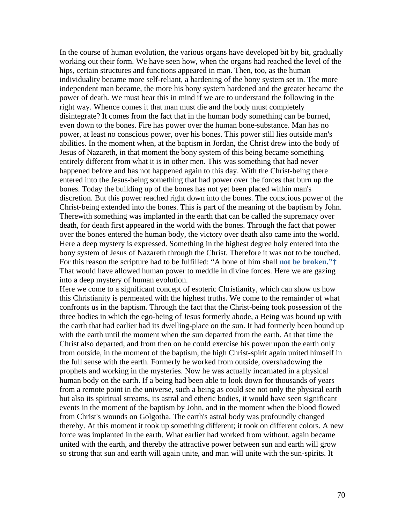In the course of human evolution, the various organs have developed bit by bit, gradually working out their form. We have seen how, when the organs had reached the level of the hips, certain structures and functions appeared in man. Then, too, as the human individuality became more self-reliant, a hardening of the bony system set in. The more independent man became, the more his bony system hardened and the greater became the power of death. We must bear this in mind if we are to understand the following in the right way. Whence comes it that man must die and the body must completely disintegrate? It comes from the fact that in the human body something can be burned, even down to the bones. Fire has power over the human bone-substance. Man has no power, at least no conscious power, over his bones. This power still lies outside man's abilities. In the moment when, at the baptism in Jordan, the Christ drew into the body of Jesus of Nazareth, in that moment the bony system of this being became something entirely different from what it is in other men. This was something that had never happened before and has not happened again to this day. With the Christ-being there entered into the Jesus-being something that had power over the forces that burn up the bones. Today the building up of the bones has not yet been placed within man's discretion. But this power reached right down into the bones. The conscious power of the Christ-being extended into the bones. This is part of the meaning of the baptism by John. Therewith something was implanted in the earth that can be called the supremacy over death, for death first appeared in the world with the bones. Through the fact that power over the bones entered the human body, the victory over death also came into the world. Here a deep mystery is expressed. Something in the highest degree holy entered into the bony system of Jesus of Nazareth through the Christ. Therefore it was not to be touched. For this reason the scripture had to be fulfilled: "A bone of him shall **not be broken."**† That would have allowed human power to meddle in divine forces. Here we are gazing into a deep mystery of human evolution.

Here we come to a significant concept of esoteric Christianity, which can show us how this Christianity is permeated with the highest truths. We come to the remainder of what confronts us in the baptism. Through the fact that the Christ-being took possession of the three bodies in which the ego-being of Jesus formerly abode, a Being was bound up with the earth that had earlier had its dwelling-place on the sun. It had formerly been bound up with the earth until the moment when the sun departed from the earth. At that time the Christ also departed, and from then on he could exercise his power upon the earth only from outside, in the moment of the baptism, the high Christ-spirit again united himself in the full sense with the earth. Formerly he worked from outside, overshadowing the prophets and working in the mysteries. Now he was actually incarnated in a physical human body on the earth. If a being had been able to look down for thousands of years from a remote point in the universe, such a being as could see not only the physical earth but also its spiritual streams, its astral and etheric bodies, it would have seen significant events in the moment of the baptism by John, and in the moment when the blood flowed from Christ's wounds on Golgotha. The earth's astral body was profoundly changed thereby. At this moment it took up something different; it took on different colors. A new force was implanted in the earth. What earlier had worked from without, again became united with the earth, and thereby the attractive power between sun and earth will grow so strong that sun and earth will again unite, and man will unite with the sun-spirits. It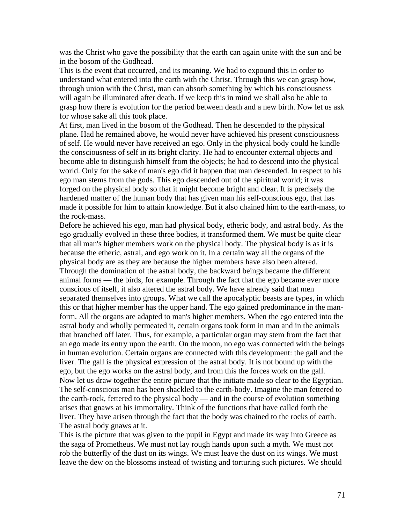was the Christ who gave the possibility that the earth can again unite with the sun and be in the bosom of the Godhead.

This is the event that occurred, and its meaning. We had to expound this in order to understand what entered into the earth with the Christ. Through this we can grasp how, through union with the Christ, man can absorb something by which his consciousness will again be illuminated after death. If we keep this in mind we shall also be able to grasp how there is evolution for the period between death and a new birth. Now let us ask for whose sake all this took place.

At first, man lived in the bosom of the Godhead. Then he descended to the physical plane. Had he remained above, he would never have achieved his present consciousness of self. He would never have received an ego. Only in the physical body could he kindle the consciousness of self in its bright clarity. He had to encounter external objects and become able to distinguish himself from the objects; he had to descend into the physical world. Only for the sake of man's ego did it happen that man descended. In respect to his ego man stems from the gods. This ego descended out of the spiritual world; it was forged on the physical body so that it might become bright and clear. It is precisely the hardened matter of the human body that has given man his self-conscious ego, that has made it possible for him to attain knowledge. But it also chained him to the earth-mass, to the rock-mass.

Before he achieved his ego, man had physical body, etheric body, and astral body. As the ego gradually evolved in these three bodies, it transformed them. We must be quite clear that all man's higher members work on the physical body. The physical body is as it is because the etheric, astral, and ego work on it. In a certain way all the organs of the physical body are as they are because the higher members have also been altered. Through the domination of the astral body, the backward beings became the different animal forms — the birds, for example. Through the fact that the ego became ever more conscious of itself, it also altered the astral body. We have already said that men separated themselves into groups. What we call the apocalyptic beasts are types, in which this or that higher member has the upper hand. The ego gained predominance in the manform. All the organs are adapted to man's higher members. When the ego entered into the astral body and wholly permeated it, certain organs took form in man and in the animals that branched off later. Thus, for example, a particular organ may stem from the fact that an ego made its entry upon the earth. On the moon, no ego was connected with the beings in human evolution. Certain organs are connected with this development: the gall and the liver. The gall is the physical expression of the astral body. It is not bound up with the ego, but the ego works on the astral body, and from this the forces work on the gall. Now let us draw together the entire picture that the initiate made so clear to the Egyptian. The self-conscious man has been shackled to the earth-body. Imagine the man fettered to the earth-rock, fettered to the physical body — and in the course of evolution something arises that gnaws at his immortality. Think of the functions that have called forth the liver. They have arisen through the fact that the body was chained to the rocks of earth. The astral body gnaws at it.

This is the picture that was given to the pupil in Egypt and made its way into Greece as the saga of Prometheus. We must not lay rough hands upon such a myth. We must not rob the butterfly of the dust on its wings. We must leave the dust on its wings. We must leave the dew on the blossoms instead of twisting and torturing such pictures. We should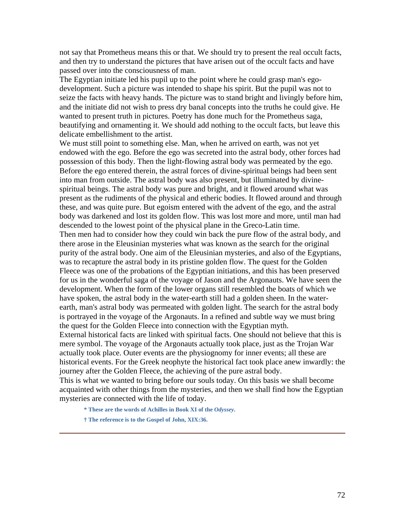not say that Prometheus means this or that. We should try to present the real occult facts, and then try to understand the pictures that have arisen out of the occult facts and have passed over into the consciousness of man.

The Egyptian initiate led his pupil up to the point where he could grasp man's egodevelopment. Such a picture was intended to shape his spirit. But the pupil was not to seize the facts with heavy hands. The picture was to stand bright and livingly before him, and the initiate did not wish to press dry banal concepts into the truths he could give. He wanted to present truth in pictures. Poetry has done much for the Prometheus saga, beautifying and ornamenting it. We should add nothing to the occult facts, but leave this delicate embellishment to the artist.

We must still point to something else. Man, when he arrived on earth, was not yet endowed with the ego. Before the ego was secreted into the astral body, other forces had possession of this body. Then the light-flowing astral body was permeated by the ego. Before the ego entered therein, the astral forces of divine-spiritual beings had been sent into man from outside. The astral body was also present, but illuminated by divinespiritual beings. The astral body was pure and bright, and it flowed around what was present as the rudiments of the physical and etheric bodies. It flowed around and through these, and was quite pure. But egoism entered with the advent of the ego, and the astral body was darkened and lost its golden flow. This was lost more and more, until man had descended to the lowest point of the physical plane in the Greco-Latin time. Then men had to consider how they could win back the pure flow of the astral body, and there arose in the Eleusinian mysteries what was known as the search for the original purity of the astral body. One aim of the Eleusinian mysteries, and also of the Egyptians, was to recapture the astral body in its pristine golden flow. The quest for the Golden Fleece was one of the probations of the Egyptian initiations, and this has been preserved for us in the wonderful saga of the voyage of Jason and the Argonauts. We have seen the development. When the form of the lower organs still resembled the boats of which we have spoken, the astral body in the water-earth still had a golden sheen. In the waterearth, man's astral body was permeated with golden light. The search for the astral body is portrayed in the voyage of the Argonauts. In a refined and subtle way we must bring the quest for the Golden Fleece into connection with the Egyptian myth. External historical facts are linked with spiritual facts. One should not believe that this is mere symbol. The voyage of the Argonauts actually took place, just as the Trojan War actually took place. Outer events are the physiognomy for inner events; all these are historical events. For the Greek neophyte the historical fact took place anew inwardly: the journey after the Golden Fleece, the achieving of the pure astral body. This is what we wanted to bring before our souls today. On this basis we shall become

acquainted with other things from the mysteries, and then we shall find how the Egyptian mysteries are connected with the life of today.

- **\* These are the words of Achilles in Book XI of the** *Odyssey***.**
- **† The reference is to the Gospel of John, XIX:36.**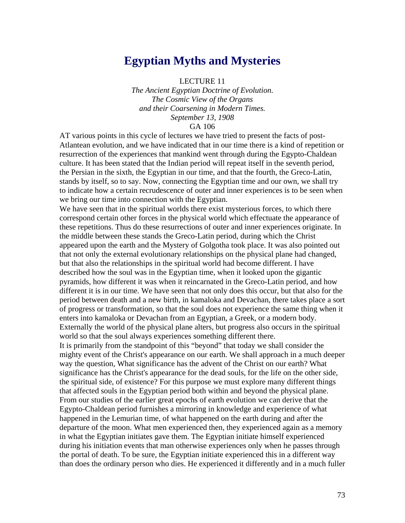## **Egyptian Myths and Mysteries**

LECTURE 11

*The Ancient Egyptian Doctrine of Evolution. The Cosmic View of the Organs and their Coarsening in Modern Times. September 13, 1908* GA 106

AT various points in this cycle of lectures we have tried to present the facts of post-Atlantean evolution, and we have indicated that in our time there is a kind of repetition or resurrection of the experiences that mankind went through during the Egypto-Chaldean culture. It has been stated that the Indian period will repeat itself in the seventh period, the Persian in the sixth, the Egyptian in our time, and that the fourth, the Greco-Latin, stands by itself, so to say. Now, connecting the Egyptian time and our own, we shall try to indicate how a certain recrudescence of outer and inner experiences is to be seen when we bring our time into connection with the Egyptian.

We have seen that in the spiritual worlds there exist mysterious forces, to which there correspond certain other forces in the physical world which effectuate the appearance of these repetitions. Thus do these resurrections of outer and inner experiences originate. In the middle between these stands the Greco-Latin period, during which the Christ appeared upon the earth and the Mystery of Golgotha took place. It was also pointed out that not only the external evolutionary relationships on the physical plane had changed, but that also the relationships in the spiritual world had become different. I have described how the soul was in the Egyptian time, when it looked upon the gigantic pyramids, how different it was when it reincarnated in the Greco-Latin period, and how different it is in our time. We have seen that not only does this occur, but that also for the period between death and a new birth, in kamaloka and Devachan, there takes place a sort of progress or transformation, so that the soul does not experience the same thing when it enters into kamaloka or Devachan from an Egyptian, a Greek, or a modern body. Externally the world of the physical plane alters, but progress also occurs in the spiritual world so that the soul always experiences something different there.

It is primarily from the standpoint of this "beyond" that today we shall consider the mighty event of the Christ's appearance on our earth. We shall approach in a much deeper way the question, What significance has the advent of the Christ on our earth? What significance has the Christ's appearance for the dead souls, for the life on the other side, the spiritual side, of existence? For this purpose we must explore many different things that affected souls in the Egyptian period both within and beyond the physical plane. From our studies of the earlier great epochs of earth evolution we can derive that the Egypto-Chaldean period furnishes a mirroring in knowledge and experience of what happened in the Lemurian time, of what happened on the earth during and after the departure of the moon. What men experienced then, they experienced again as a memory in what the Egyptian initiates gave them. The Egyptian initiate himself experienced during his initiation events that man otherwise experiences only when he passes through the portal of death. To be sure, the Egyptian initiate experienced this in a different way than does the ordinary person who dies. He experienced it differently and in a much fuller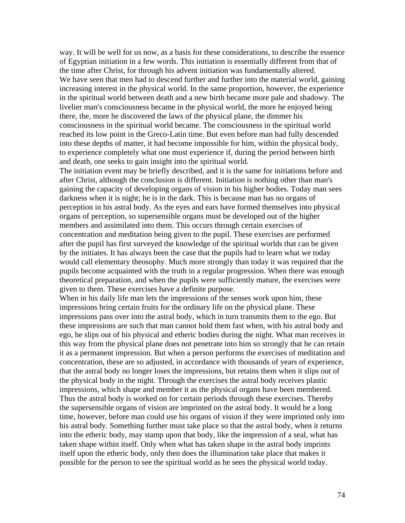way. It will be well for us now, as a basis for these considerations, to describe the essence of Egyptian initiation in a few words. This initiation is essentially different from that of the time after Christ, for through his advent initiation was fundamentally altered. We have seen that men had to descend further and further into the material world, gaining increasing interest in the physical world. In the same proportion, however, the experience in the spiritual world between death and a new birth became more pale and shadowy. The livelier man's consciousness became in the physical world, the more he enjoyed being there, the, more he discovered the laws of the physical plane, the dimmer his consciousness in the spiritual world became. The consciousness in the spiritual world reached its low point in the Greco-Latin time. But even before man had fully descended into these depths of matter, it had become impossible for him, within the physical body, to experience completely what one must experience if, during the period between birth and death, one seeks to gain insight into the spiritual world.

The initiation event may be briefly described, and it is the same for initiations before and after Christ, although the conclusion is different. Initiation is nothing other than man's gaining the capacity of developing organs of vision in his higher bodies. Today man sees darkness when it is night; he is in the dark. This is because man has no organs of perception in his astral body. As the eyes and ears have formed themselves into physical organs of perception, so supersensible organs must be developed out of the higher members and assimilated into them. This occurs through certain exercises of concentration and meditation being given to the pupil. These exercises are performed after the pupil has first surveyed the knowledge of the spiritual worlds that can be given by the initiates. It has always been the case that the pupils had to learn what we today would call elementary theosophy. Much more strongly than today it was required that the pupils become acquainted with the truth in a regular progression. When there was enough theoretical preparation, and when the pupils were sufficiently mature, the exercises were given to them. These exercises have a definite purpose.

When in his daily life man lets the impressions of the senses work upon him, these impressions bring certain fruits for the ordinary life on the physical plane. These impressions pass over into the astral body, which in turn transmits them to the ego. But these impressions are such that man cannot hold them fast when, with his astral body and ego, he slips out of his physical and etheric bodies during the night. What man receives in this way from the physical plane does not penetrate into him so strongly that he can retain it as a permanent impression. But when a person performs the exercises of meditation and concentration, these are so adjusted, in accordance with thousands of years of experience, that the astral body no longer loses the impressions, but retains them when it slips out of the physical body in the night. Through the exercises the astral body receives plastic impressions, which shape and member it as the physical organs have been membered. Thus the astral body is worked on for certain periods through these exercises. Thereby the supersensible organs of vision are imprinted on the astral body. It would be a long time, however, before man could use his organs of vision if they were imprinted only into his astral body. Something further must take place so that the astral body, when it returns into the etheric body, may stamp upon that body, like the impression of a seal, what has taken shape within itself. Only when what has taken shape in the astral body imprints itself upon the etheric body, only then does the illumination take place that makes it possible for the person to see the spiritual world as he sees the physical world today.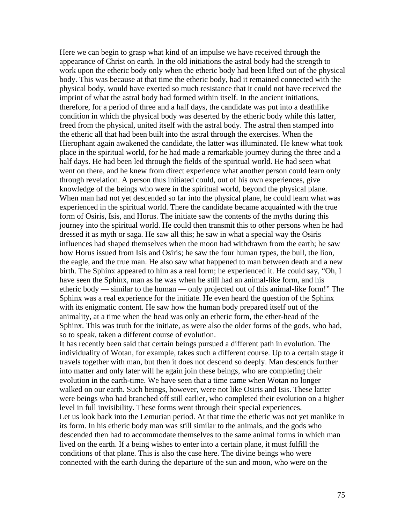Here we can begin to grasp what kind of an impulse we have received through the appearance of Christ on earth. In the old initiations the astral body had the strength to work upon the etheric body only when the etheric body had been lifted out of the physical body. This was because at that time the etheric body, had it remained connected with the physical body, would have exerted so much resistance that it could not have received the imprint of what the astral body had formed within itself. In the ancient initiations, therefore, for a period of three and a half days, the candidate was put into a deathlike condition in which the physical body was deserted by the etheric body while this latter, freed from the physical, united itself with the astral body. The astral then stamped into the etheric all that had been built into the astral through the exercises. When the Hierophant again awakened the candidate, the latter was illuminated. He knew what took place in the spiritual world, for he had made a remarkable journey during the three and a half days. He had been led through the fields of the spiritual world. He had seen what went on there, and he knew from direct experience what another person could learn only through revelation. A person thus initiated could, out of his own experiences, give knowledge of the beings who were in the spiritual world, beyond the physical plane. When man had not yet descended so far into the physical plane, he could learn what was experienced in the spiritual world. There the candidate became acquainted with the true form of Osiris, Isis, and Horus. The initiate saw the contents of the myths during this journey into the spiritual world. He could then transmit this to other persons when he had dressed it as myth or saga. He saw all this; he saw in what a special way the Osiris influences had shaped themselves when the moon had withdrawn from the earth; he saw how Horus issued from Isis and Osiris; he saw the four human types, the bull, the lion, the eagle, and the true man. He also saw what happened to man between death and a new birth. The Sphinx appeared to him as a real form; he experienced it. He could say, "Oh, I have seen the Sphinx, man as he was when he still had an animal-like form, and his etheric body — similar to the human — only projected out of this animal-like form!" The Sphinx was a real experience for the initiate. He even heard the question of the Sphinx with its enigmatic content. He saw how the human body prepared itself out of the animality, at a time when the head was only an etheric form, the ether-head of the Sphinx. This was truth for the initiate, as were also the older forms of the gods, who had, so to speak, taken a different course of evolution.

It has recently been said that certain beings pursued a different path in evolution. The individuality of Wotan, for example, takes such a different course. Up to a certain stage it travels together with man, but then it does not descend so deeply. Man descends further into matter and only later will he again join these beings, who are completing their evolution in the earth-time. We have seen that a time came when Wotan no longer walked on our earth. Such beings, however, were not like Osiris and Isis. These latter were beings who had branched off still earlier, who completed their evolution on a higher level in full invisibility. These forms went through their special experiences. Let us look back into the Lemurian period. At that time the etheric was not yet manlike in its form. In his etheric body man was still similar to the animals, and the gods who descended then had to accommodate themselves to the same animal forms in which man lived on the earth. If a being wishes to enter into a certain plane, it must fulfill the conditions of that plane. This is also the case here. The divine beings who were connected with the earth during the departure of the sun and moon, who were on the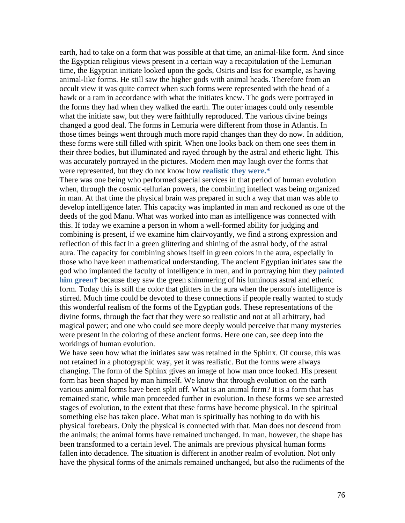earth, had to take on a form that was possible at that time, an animal-like form. And since the Egyptian religious views present in a certain way a recapitulation of the Lemurian time, the Egyptian initiate looked upon the gods, Osiris and Isis for example, as having animal-like forms. He still saw the higher gods with animal heads. Therefore from an occult view it was quite correct when such forms were represented with the head of a hawk or a ram in accordance with what the initiates knew. The gods were portrayed in the forms they had when they walked the earth. The outer images could only resemble what the initiate saw, but they were faithfully reproduced. The various divine beings changed a good deal. The forms in Lemuria were different from those in Atlantis. In those times beings went through much more rapid changes than they do now. In addition, these forms were still filled with spirit. When one looks back on them one sees them in their three bodies, but illuminated and rayed through by the astral and etheric light. This was accurately portrayed in the pictures. Modern men may laugh over the forms that were represented, but they do not know how **[realistic they were.\\*](http://wn.elib.com/Steiner/Lectures/EgyptMyth/#_note1)**

There was one being who performed special services in that period of human evolution when, through the cosmic-tellurian powers, the combining intellect was being organized in man. At that time the physical brain was prepared in such a way that man was able to develop intelligence later. This capacity was implanted in man and reckoned as one of the deeds of the god Manu. What was worked into man as intelligence was connected with this. If today we examine a person in whom a well-formed ability for judging and combining is present, if we examine him clairvoyantly, we find a strong expression and reflection of this fact in a green glittering and shining of the astral body, of the astral aura. The capacity for combining shows itself in green colors in the aura, especially in those who have keen mathematical understanding. The ancient Egyptian initiates saw the god who implanted the faculty of intelligence in men, and in portraying him they **[painted](http://wn.elib.com/Steiner/Lectures/EgyptMyth/#_note2)  [him green†](http://wn.elib.com/Steiner/Lectures/EgyptMyth/#_note2)** because they saw the green shimmering of his luminous astral and etheric form. Today this is still the color that glitters in the aura when the person's intelligence is stirred. Much time could be devoted to these connections if people really wanted to study this wonderful realism of the forms of the Egyptian gods. These representations of the divine forms, through the fact that they were so realistic and not at all arbitrary, had magical power; and one who could see more deeply would perceive that many mysteries were present in the coloring of these ancient forms. Here one can, see deep into the workings of human evolution.

We have seen how what the initiates saw was retained in the Sphinx. Of course, this was not retained in a photographic way, yet it was realistic. But the forms were always changing. The form of the Sphinx gives an image of how man once looked. His present form has been shaped by man himself. We know that through evolution on the earth various animal forms have been split off. What is an animal form? It is a form that has remained static, while man proceeded further in evolution. In these forms we see arrested stages of evolution, to the extent that these forms have become physical. In the spiritual something else has taken place. What man is spiritually has nothing to do with his physical forebears. Only the physical is connected with that. Man does not descend from the animals; the animal forms have remained unchanged. In man, however, the shape has been transformed to a certain level. The animals are previous physical human forms fallen into decadence. The situation is different in another realm of evolution. Not only have the physical forms of the animals remained unchanged, but also the rudiments of the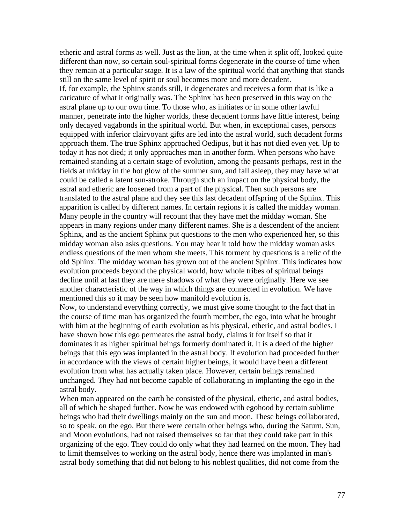etheric and astral forms as well. Just as the lion, at the time when it split off, looked quite different than now, so certain soul-spiritual forms degenerate in the course of time when they remain at a particular stage. It is a law of the spiritual world that anything that stands still on the same level of spirit or soul becomes more and more decadent. If, for example, the Sphinx stands still, it degenerates and receives a form that is like a caricature of what it originally was. The Sphinx has been preserved in this way on the astral plane up to our own time. To those who, as initiates or in some other lawful manner, penetrate into the higher worlds, these decadent forms have little interest, being only decayed vagabonds in the spiritual world. But when, in exceptional cases, persons equipped with inferior clairvoyant gifts are led into the astral world, such decadent forms approach them. The true Sphinx approached Oedipus, but it has not died even yet. Up to today it has not died; it only approaches man in another form. When persons who have remained standing at a certain stage of evolution, among the peasants perhaps, rest in the fields at midday in the hot glow of the summer sun, and fall asleep, they may have what could be called a latent sun-stroke. Through such an impact on the physical body, the astral and etheric are loosened from a part of the physical. Then such persons are translated to the astral plane and they see this last decadent offspring of the Sphinx. This apparition is called by different names. In certain regions it is called the midday woman. Many people in the country will recount that they have met the midday woman. She appears in many regions under many different names. She is a descendent of the ancient Sphinx, and as the ancient Sphinx put questions to the men who experienced her, so this midday woman also asks questions. You may hear it told how the midday woman asks endless questions of the men whom she meets. This torment by questions is a relic of the old Sphinx. The midday woman has grown out of the ancient Sphinx. This indicates how evolution proceeds beyond the physical world, how whole tribes of spiritual beings decline until at last they are mere shadows of what they were originally. Here we see another characteristic of the way in which things are connected in evolution. We have mentioned this so it may be seen how manifold evolution is.

Now, to understand everything correctly, we must give some thought to the fact that in the course of time man has organized the fourth member, the ego, into what he brought with him at the beginning of earth evolution as his physical, etheric, and astral bodies. I have shown how this ego permeates the astral body, claims it for itself so that it dominates it as higher spiritual beings formerly dominated it. It is a deed of the higher beings that this ego was implanted in the astral body. If evolution had proceeded further in accordance with the views of certain higher beings, it would have been a different evolution from what has actually taken place. However, certain beings remained unchanged. They had not become capable of collaborating in implanting the ego in the astral body.

When man appeared on the earth he consisted of the physical, etheric, and astral bodies, all of which he shaped further. Now he was endowed with egohood by certain sublime beings who had their dwellings mainly on the sun and moon. These beings collaborated, so to speak, on the ego. But there were certain other beings who, during the Saturn, Sun, and Moon evolutions, had not raised themselves so far that they could take part in this organizing of the ego. They could do only what they had learned on the moon. They had to limit themselves to working on the astral body, hence there was implanted in man's astral body something that did not belong to his noblest qualities, did not come from the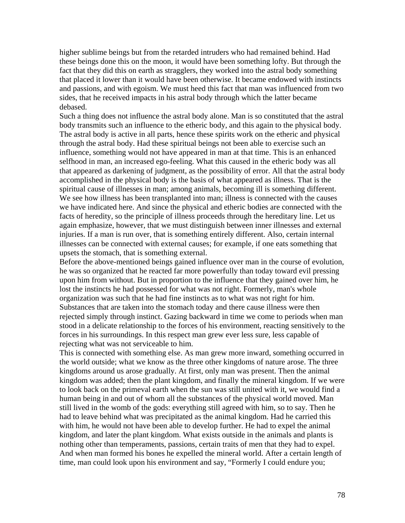higher sublime beings but from the retarded intruders who had remained behind. Had these beings done this on the moon, it would have been something lofty. But through the fact that they did this on earth as stragglers, they worked into the astral body something that placed it lower than it would have been otherwise. It became endowed with instincts and passions, and with egoism. We must heed this fact that man was influenced from two sides, that he received impacts in his astral body through which the latter became debased.

Such a thing does not influence the astral body alone. Man is so constituted that the astral body transmits such an influence to the etheric body, and this again to the physical body. The astral body is active in all parts, hence these spirits work on the etheric and physical through the astral body. Had these spiritual beings not been able to exercise such an influence, something would not have appeared in man at that time. This is an enhanced selfhood in man, an increased ego-feeling. What this caused in the etheric body was all that appeared as darkening of judgment, as the possibility of error. All that the astral body accomplished in the physical body is the basis of what appeared as illness. That is the spiritual cause of illnesses in man; among animals, becoming ill is something different. We see how illness has been transplanted into man; illness is connected with the causes we have indicated here. And since the physical and etheric bodies are connected with the facts of heredity, so the principle of illness proceeds through the hereditary line. Let us again emphasize, however, that we must distinguish between inner illnesses and external injuries. If a man is run over, that is something entirely different. Also, certain internal illnesses can be connected with external causes; for example, if one eats something that upsets the stomach, that is something external.

Before the above-mentioned beings gained influence over man in the course of evolution, he was so organized that he reacted far more powerfully than today toward evil pressing upon him from without. But in proportion to the influence that they gained over him, he lost the instincts he had possessed for what was not right. Formerly, man's whole organization was such that he had fine instincts as to what was not right for him. Substances that are taken into the stomach today and there cause illness were then rejected simply through instinct. Gazing backward in time we come to periods when man stood in a delicate relationship to the forces of his environment, reacting sensitively to the forces in his surroundings. In this respect man grew ever less sure, less capable of rejecting what was not serviceable to him.

This is connected with something else. As man grew more inward, something occurred in the world outside; what we know as the three other kingdoms of nature arose. The three kingdoms around us arose gradually. At first, only man was present. Then the animal kingdom was added; then the plant kingdom, and finally the mineral kingdom. If we were to look back on the primeval earth when the sun was still united with it, we would find a human being in and out of whom all the substances of the physical world moved. Man still lived in the womb of the gods: everything still agreed with him, so to say. Then he had to leave behind what was precipitated as the animal kingdom. Had he carried this with him, he would not have been able to develop further. He had to expel the animal kingdom, and later the plant kingdom. What exists outside in the animals and plants is nothing other than temperaments, passions, certain traits of men that they had to expel. And when man formed his bones he expelled the mineral world. After a certain length of time, man could look upon his environment and say, "Formerly I could endure you;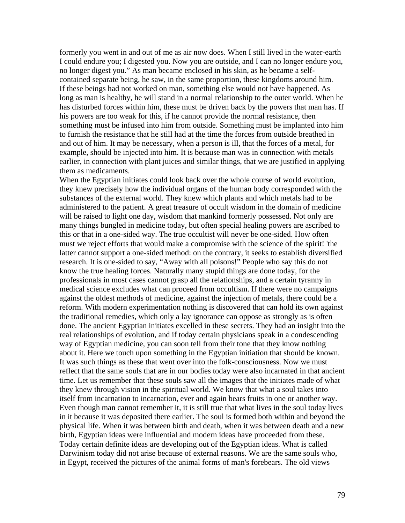formerly you went in and out of me as air now does. When I still lived in the water-earth I could endure you; I digested you. Now you are outside, and I can no longer endure you, no longer digest you." As man became enclosed in his skin, as he became a selfcontained separate being, he saw, in the same proportion, these kingdoms around him. If these beings had not worked on man, something else would not have happened. As long as man is healthy, he will stand in a normal relationship to the outer world. When he has disturbed forces within him, these must be driven back by the powers that man has. If his powers are too weak for this, if he cannot provide the normal resistance, then something must be infused into him from outside. Something must be implanted into him to furnish the resistance that he still had at the time the forces from outside breathed in and out of him. It may be necessary, when a person is ill, that the forces of a metal, for example, should be injected into him. It is because man was in connection with metals earlier, in connection with plant juices and similar things, that we are justified in applying them as medicaments.

When the Egyptian initiates could look back over the whole course of world evolution, they knew precisely how the individual organs of the human body corresponded with the substances of the external world. They knew which plants and which metals had to be administered to the patient. A great treasure of occult wisdom in the domain of medicine will be raised to light one day, wisdom that mankind formerly possessed. Not only are many things bungled in medicine today, but often special healing powers are ascribed to this or that in a one-sided way. The true occultist will never be one-sided. How often must we reject efforts that would make a compromise with the science of the spirit! 'the latter cannot support a one-sided method: on the contrary, it seeks to establish diversified research. It is one-sided to say, "Away with all poisons!" People who say this do not know the true healing forces. Naturally many stupid things are done today, for the professionals in most cases cannot grasp all the relationships, and a certain tyranny in medical science excludes what can proceed from occultism. If there were no campaigns against the oldest methods of medicine, against the injection of metals, there could be a reform. With modern experimentation nothing is discovered that can hold its own against the traditional remedies, which only a lay ignorance can oppose as strongly as is often done. The ancient Egyptian initiates excelled in these secrets. They had an insight into the real relationships of evolution, and if today certain physicians speak in a condescending way of Egyptian medicine, you can soon tell from their tone that they know nothing about it. Here we touch upon something in the Egyptian initiation that should be known. It was such things as these that went over into the folk-consciousness. Now we must reflect that the same souls that are in our bodies today were also incarnated in that ancient time. Let us remember that these souls saw all the images that the initiates made of what they knew through vision in the spiritual world. We know that what a soul takes into itself from incarnation to incarnation, ever and again bears fruits in one or another way. Even though man cannot remember it, it is still true that what lives in the soul today lives in it because it was deposited there earlier. The soul is formed both within and beyond the physical life. When it was between birth and death, when it was between death and a new birth, Egyptian ideas were influential and modern ideas have proceeded from these. Today certain definite ideas are developing out of the Egyptian ideas. What is called Darwinism today did not arise because of external reasons. We are the same souls who, in Egypt, received the pictures of the animal forms of man's forebears. The old views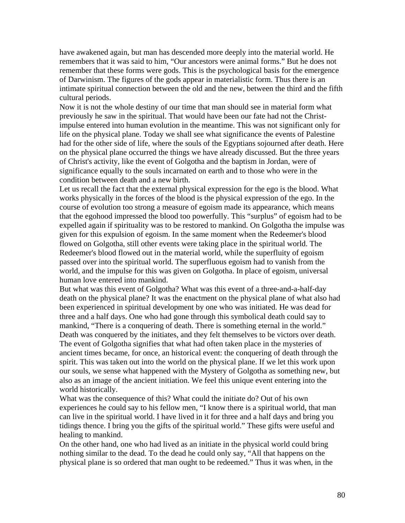have awakened again, but man has descended more deeply into the material world. He remembers that it was said to him, "Our ancestors were animal forms." But he does not remember that these forms were gods. This is the psychological basis for the emergence of Darwinism. The figures of the gods appear in materialistic form. Thus there is an intimate spiritual connection between the old and the new, between the third and the fifth cultural periods.

Now it is not the whole destiny of our time that man should see in material form what previously he saw in the spiritual. That would have been our fate had not the Christimpulse entered into human evolution in the meantime. This was not significant only for life on the physical plane. Today we shall see what significance the events of Palestine had for the other side of life, where the souls of the Egyptians sojourned after death. Here on the physical plane occurred the things we have already discussed. But the three years of Christ's activity, like the event of Golgotha and the baptism in Jordan, were of significance equally to the souls incarnated on earth and to those who were in the condition between death and a new birth.

Let us recall the fact that the external physical expression for the ego is the blood. What works physically in the forces of the blood is the physical expression of the ego. In the course of evolution too strong a measure of egoism made its appearance, which means that the egohood impressed the blood too powerfully. This "surplus" of egoism had to be expelled again if spirituality was to be restored to mankind. On Golgotha the impulse was given for this expulsion of egoism. In the same moment when the Redeemer's blood flowed on Golgotha, still other events were taking place in the spiritual world. The Redeemer's blood flowed out in the material world, while the superfluity of egoism passed over into the spiritual world. The superfluous egoism had to vanish from the world, and the impulse for this was given on Golgotha. In place of egoism, universal human love entered into mankind.

But what was this event of Golgotha? What was this event of a three-and-a-half-day death on the physical plane? It was the enactment on the physical plane of what also had been experienced in spiritual development by one who was initiated. He was dead for three and a half days. One who had gone through this symbolical death could say to mankind, "There is a conquering of death. There is something eternal in the world." Death was conquered by the initiates, and they felt themselves to be victors over death. The event of Golgotha signifies that what had often taken place in the mysteries of ancient times became, for once, an historical event: the conquering of death through the spirit. This was taken out into the world on the physical plane. If we let this work upon our souls, we sense what happened with the Mystery of Golgotha as something new, but also as an image of the ancient initiation. We feel this unique event entering into the world historically.

What was the consequence of this? What could the initiate do? Out of his own experiences he could say to his fellow men, "I know there is a spiritual world, that man can live in the spiritual world. I have lived in it for three and a half days and bring you tidings thence. I bring you the gifts of the spiritual world." These gifts were useful and healing to mankind.

On the other hand, one who had lived as an initiate in the physical world could bring nothing similar to the dead. To the dead he could only say, "All that happens on the physical plane is so ordered that man ought to be redeemed." Thus it was when, in the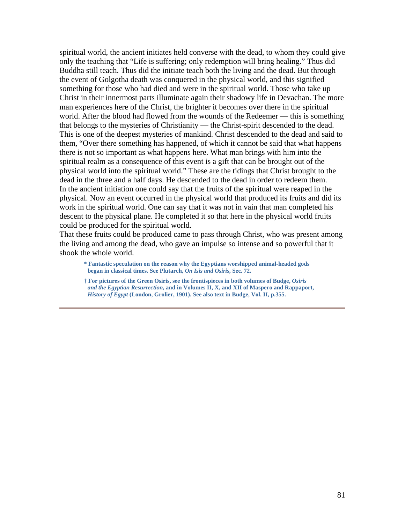spiritual world, the ancient initiates held converse with the dead, to whom they could give only the teaching that "Life is suffering; only redemption will bring healing." Thus did Buddha still teach. Thus did the initiate teach both the living and the dead. But through the event of Golgotha death was conquered in the physical world, and this signified something for those who had died and were in the spiritual world. Those who take up Christ in their innermost parts illuminate again their shadowy life in Devachan. The more man experiences here of the Christ, the brighter it becomes over there in the spiritual world. After the blood had flowed from the wounds of the Redeemer — this is something that belongs to the mysteries of Christianity — the Christ-spirit descended to the dead. This is one of the deepest mysteries of mankind. Christ descended to the dead and said to them, "Over there something has happened, of which it cannot be said that what happens there is not so important as what happens here. What man brings with him into the spiritual realm as a consequence of this event is a gift that can be brought out of the physical world into the spiritual world." These are the tidings that Christ brought to the dead in the three and a half days. He descended to the dead in order to redeem them. In the ancient initiation one could say that the fruits of the spiritual were reaped in the physical. Now an event occurred in the physical world that produced its fruits and did its work in the spiritual world. One can say that it was not in vain that man completed his descent to the physical plane. He completed it so that here in the physical world fruits could be produced for the spiritual world.

That these fruits could be produced came to pass through Christ, who was present among the living and among the dead, who gave an impulse so intense and so powerful that it shook the whole world.

- **\* Fantastic speculation on the reason why the Egyptians worshipped animal-headed gods began in classical times. See Plutarch,** *On Isis and Osiris***, Sec. 72.**
- **† For pictures of the Green Osiris, see the frontispieces in both volumes of Budge,** *Osiris and the Egyptian Resurrection***, and in Volumes II, X, and XII of Maspero and Rappaport,**  *History of Egypt* **(London, Grolier, 1901). See also text in Budge, Vol. II, p.355.**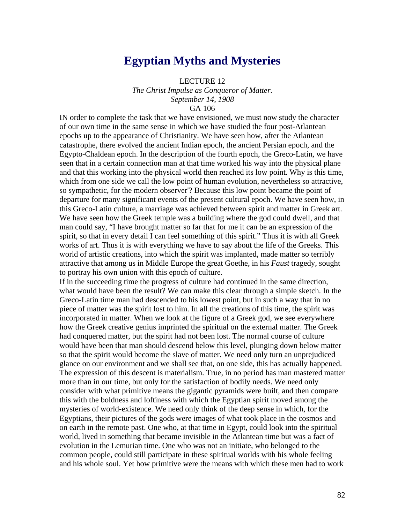## **Egyptian Myths and Mysteries**

LECTURE 12

*The Christ Impulse as Conqueror of Matter. September 14, 1908* GA 106

IN order to complete the task that we have envisioned, we must now study the character of our own time in the same sense in which we have studied the four post-Atlantean epochs up to the appearance of Christianity. We have seen how, after the Atlantean catastrophe, there evolved the ancient Indian epoch, the ancient Persian epoch, and the Egypto-Chaldean epoch. In the description of the fourth epoch, the Greco-Latin, we have seen that in a certain connection man at that time worked his way into the physical plane and that this working into the physical world then reached its low point. Why is this time, which from one side we call the low point of human evolution, nevertheless so attractive, so sympathetic, for the modern observer'? Because this low point became the point of departure for many significant events of the present cultural epoch. We have seen how, in this Greco-Latin culture, a marriage was achieved between spirit and matter in Greek art. We have seen how the Greek temple was a building where the god could dwell, and that man could say, "I have brought matter so far that for me it can be an expression of the spirit, so that in every detail I can feel something of this spirit." Thus it is with all Greek works of art. Thus it is with everything we have to say about the life of the Greeks. This world of artistic creations, into which the spirit was implanted, made matter so terribly attractive that among us in Middle Europe the great Goethe, in his *Faust* tragedy, sought to portray his own union with this epoch of culture.

If in the succeeding time the progress of culture had continued in the same direction, what would have been the result? We can make this clear through a simple sketch. In the Greco-Latin time man had descended to his lowest point, but in such a way that in no piece of matter was the spirit lost to him. In all the creations of this time, the spirit was incorporated in matter. When we look at the figure of a Greek god, we see everywhere how the Greek creative genius imprinted the spiritual on the external matter. The Greek had conquered matter, but the spirit had not been lost. The normal course of culture would have been that man should descend below this level, plunging down below matter so that the spirit would become the slave of matter. We need only turn an unprejudiced glance on our environment and we shall see that, on one side, this has actually happened. The expression of this descent is materialism. True, in no period has man mastered matter more than in our time, but only for the satisfaction of bodily needs. We need only consider with what primitive means the gigantic pyramids were built, and then compare this with the boldness and loftiness with which the Egyptian spirit moved among the mysteries of world-existence. We need only think of the deep sense in which, for the Egyptians, their pictures of the gods were images of what took place in the cosmos and on earth in the remote past. One who, at that time in Egypt, could look into the spiritual world, lived in something that became invisible in the Atlantean time but was a fact of evolution in the Lemurian time. One who was not an initiate, who belonged to the common people, could still participate in these spiritual worlds with his whole feeling and his whole soul. Yet how primitive were the means with which these men had to work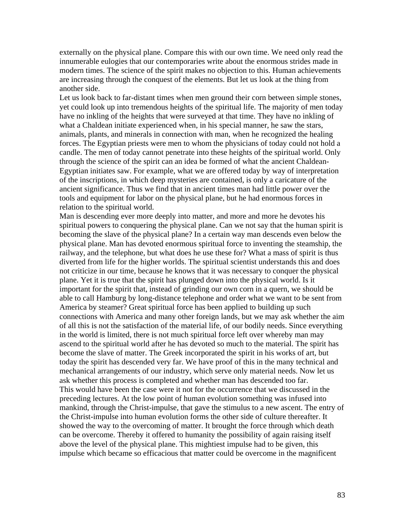externally on the physical plane. Compare this with our own time. We need only read the innumerable eulogies that our contemporaries write about the enormous strides made in modern times. The science of the spirit makes no objection to this. Human achievements are increasing through the conquest of the elements. But let us look at the thing from another side.

Let us look back to far-distant times when men ground their corn between simple stones, yet could look up into tremendous heights of the spiritual life. The majority of men today have no inkling of the heights that were surveyed at that time. They have no inkling of what a Chaldean initiate experienced when, in his special manner, he saw the stars, animals, plants, and minerals in connection with man, when he recognized the healing forces. The Egyptian priests were men to whom the physicians of today could not hold a candle. The men of today cannot penetrate into these heights of the spiritual world. Only through the science of the spirit can an idea be formed of what the ancient Chaldean-Egyptian initiates saw. For example, what we are offered today by way of interpretation of the inscriptions, in which deep mysteries are contained, is only a caricature of the ancient significance. Thus we find that in ancient times man had little power over the tools and equipment for labor on the physical plane, but he had enormous forces in relation to the spiritual world.

Man is descending ever more deeply into matter, and more and more he devotes his spiritual powers to conquering the physical plane. Can we not say that the human spirit is becoming the slave of the physical plane? In a certain way man descends even below the physical plane. Man has devoted enormous spiritual force to inventing the steamship, the railway, and the telephone, but what does he use these for? What a mass of spirit is thus diverted from life for the higher worlds. The spiritual scientist understands this and does not criticize in our time, because he knows that it was necessary to conquer the physical plane. Yet it is true that the spirit has plunged down into the physical world. Is it important for the spirit that, instead of grinding our own corn in a quern, we should be able to call Hamburg by long-distance telephone and order what we want to be sent from America by steamer? Great spiritual force has been applied to building up such connections with America and many other foreign lands, but we may ask whether the aim of all this is not the satisfaction of the material life, of our bodily needs. Since everything in the world is limited, there is not much spiritual force left over whereby man may ascend to the spiritual world after he has devoted so much to the material. The spirit has become the slave of matter. The Greek incorporated the spirit in his works of art, but today the spirit has descended very far. We have proof of this in the many technical and mechanical arrangements of our industry, which serve only material needs. Now let us ask whether this process is completed and whether man has descended too far. This would have been the case were it not for the occurrence that we discussed in the preceding lectures. At the low point of human evolution something was infused into mankind, through the Christ-impulse, that gave the stimulus to a new ascent. The entry of the Christ-impulse into human evolution forms the other side of culture thereafter. It showed the way to the overcoming of matter. It brought the force through which death can be overcome. Thereby it offered to humanity the possibility of again raising itself above the level of the physical plane. This mightiest impulse had to be given, this impulse which became so efficacious that matter could be overcome in the magnificent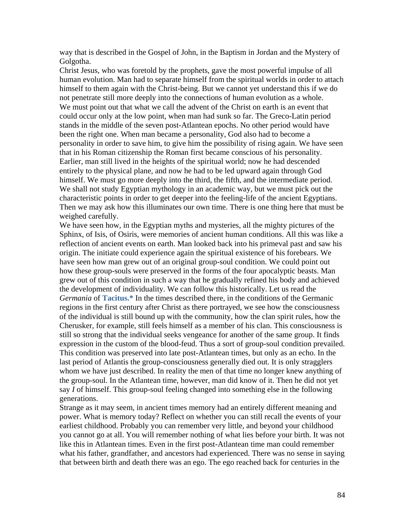way that is described in the Gospel of John, in the Baptism in Jordan and the Mystery of Golgotha.

Christ Jesus, who was foretold by the prophets, gave the most powerful impulse of all human evolution. Man had to separate himself from the spiritual worlds in order to attach himself to them again with the Christ-being. But we cannot yet understand this if we do not penetrate still more deeply into the connections of human evolution as a whole. We must point out that what we call the advent of the Christ on earth is an event that could occur only at the low point, when man had sunk so far. The Greco-Latin period stands in the middle of the seven post-Atlantean epochs. No other period would have been the right one. When man became a personality, God also had to become a personality in order to save him, to give him the possibility of rising again. We have seen that in his Roman citizenship the Roman first became conscious of his personality. Earlier, man still lived in the heights of the spiritual world; now he had descended entirely to the physical plane, and now he had to be led upward again through God himself. We must go more deeply into the third, the fifth, and the intermediate period. We shall not study Egyptian mythology in an academic way, but we must pick out the characteristic points in order to get deeper into the feeling-life of the ancient Egyptians. Then we may ask how this illuminates our own time. There is one thing here that must be weighed carefully.

We have seen how, in the Egyptian myths and mysteries, all the mighty pictures of the Sphinx, of Isis, of Osiris, were memories of ancient human conditions. All this was like a reflection of ancient events on earth. Man looked back into his primeval past and saw his origin. The initiate could experience again the spiritual existence of his forebears. We have seen how man grew out of an original group-soul condition. We could point out how these group-souls were preserved in the forms of the four apocalyptic beasts. Man grew out of this condition in such a way that he gradually refined his body and achieved the development of individuality. We can follow this historically. Let us read the *Germania* of **[Tacitus.\\*](http://wn.elib.com/Steiner/Lectures/EgyptMyth/#_note1)** In the times described there, in the conditions of the Germanic regions in the first century after Christ as there portrayed, we see how the consciousness of the individual is still bound up with the community, how the clan spirit rules, how the Cherusker, for example, still feels himself as a member of his clan. This consciousness is still so strong that the individual seeks vengeance for another of the same group. It finds expression in the custom of the blood-feud. Thus a sort of group-soul condition prevailed. This condition was preserved into late post-Atlantean times, but only as an echo. In the last period of Atlantis the group-consciousness generally died out. It is only stragglers whom we have just described. In reality the men of that time no longer knew anything of the group-soul. In the Atlantean time, however, man did know of it. Then he did not yet say *I* of himself. This group-soul feeling changed into something else in the following generations.

Strange as it may seem, in ancient times memory had an entirely different meaning and power. What is memory today? Reflect on whether you can still recall the events of your earliest childhood. Probably you can remember very little, and beyond your childhood you cannot go at all. You will remember nothing of what lies before your birth. It was not like this in Atlantean times. Even in the first post-Atlantean time man could remember what his father, grandfather, and ancestors had experienced. There was no sense in saying that between birth and death there was an ego. The ego reached back for centuries in the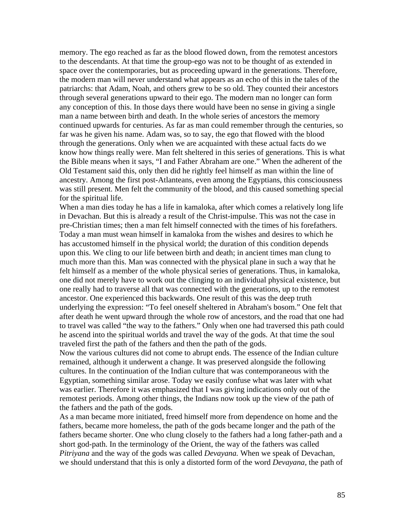memory. The ego reached as far as the blood flowed down, from the remotest ancestors to the descendants. At that time the group-ego was not to be thought of as extended in space over the contemporaries, but as proceeding upward in the generations. Therefore, the modern man will never understand what appears as an echo of this in the tales of the patriarchs: that Adam, Noah, and others grew to be so old. They counted their ancestors through several generations upward to their ego. The modern man no longer can form any conception of this. In those days there would have been no sense in giving a single man a name between birth and death. In the whole series of ancestors the memory continued upwards for centuries. As far as man could remember through the centuries, so far was he given his name. Adam was, so to say, the ego that flowed with the blood through the generations. Only when we are acquainted with these actual facts do we know how things really were. Man felt sheltered in this series of generations. This is what the Bible means when it says, "I and Father Abraham are one." When the adherent of the Old Testament said this, only then did he rightly feel himself as man within the line of ancestry. Among the first post-Atlanteans, even among the Egyptians, this consciousness was still present. Men felt the community of the blood, and this caused something special for the spiritual life.

When a man dies today he has a life in kamaloka, after which comes a relatively long life in Devachan. But this is already a result of the Christ-impulse. This was not the case in pre-Christian times; then a man felt himself connected with the times of his forefathers. Today a man must wean himself in kamaloka from the wishes and desires to which he has accustomed himself in the physical world; the duration of this condition depends upon this. We cling to our life between birth and death; in ancient times man clung to much more than this. Man was connected with the physical plane in such a way that he felt himself as a member of the whole physical series of generations. Thus, in kamaloka, one did not merely have to work out the clinging to an individual physical existence, but one really had to traverse all that was connected with the generations, up to the remotest ancestor. One experienced this backwards. One result of this was the deep truth underlying the expression: "To feel oneself sheltered in Abraham's bosom." One felt that after death he went upward through the whole row of ancestors, and the road that one had to travel was called "the way to the fathers." Only when one had traversed this path could he ascend into the spiritual worlds and travel the way of the gods. At that time the soul traveled first the path of the fathers and then the path of the gods.

Now the various cultures did not come to abrupt ends. The essence of the Indian culture remained, although it underwent a change. It was preserved alongside the following cultures. In the continuation of the Indian culture that was contemporaneous with the Egyptian, something similar arose. Today we easily confuse what was later with what was earlier. Therefore it was emphasized that I was giving indications only out of the remotest periods. Among other things, the Indians now took up the view of the path of the fathers and the path of the gods.

As a man became more initiated, freed himself more from dependence on home and the fathers, became more homeless, the path of the gods became longer and the path of the fathers became shorter. One who clung closely to the fathers had a long father-path and a short god-path. In the terminology of the Orient, the way of the fathers was called *Pitriyana* and the way of the gods was called *Devayana.* When we speak of Devachan, we should understand that this is only a distorted form of the word *Devayana,* the path of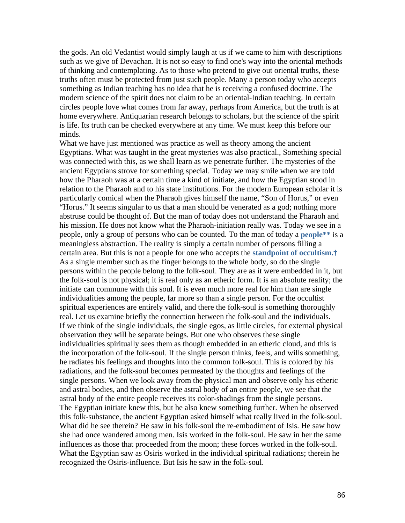the gods. An old Vedantist would simply laugh at us if we came to him with descriptions such as we give of Devachan. It is not so easy to find one's way into the oriental methods of thinking and contemplating. As to those who pretend to give out oriental truths, these truths often must be protected from just such people. Many a person today who accepts something as Indian teaching has no idea that he is receiving a confused doctrine. The modern science of the spirit does not claim to be an oriental-Indian teaching. In certain circles people love what comes from far away, perhaps from America, but the truth is at home everywhere. Antiquarian research belongs to scholars, but the science of the spirit is life. Its truth can be checked everywhere at any time. We must keep this before our minds.

What we have just mentioned was practice as well as theory among the ancient Egyptians. What was taught in the great mysteries was also practical., Something special was connected with this, as we shall learn as we penetrate further. The mysteries of the ancient Egyptians strove for something special. Today we may smile when we are told how the Pharaoh was at a certain time a kind of initiate, and how the Egyptian stood in relation to the Pharaoh and to his state institutions. For the modern European scholar it is particularly comical when the Pharaoh gives himself the name, "Son of Horus," or even "Horus." It seems singular to us that a man should be venerated as a god; nothing more abstruse could be thought of. But the man of today does not understand the Pharaoh and his mission. He does not know what the Pharaoh-initiation really was. Today we see in a people, only a group of persons who can be counted. To the man of today a **[people\\*\\*](http://wn.elib.com/Steiner/Lectures/EgyptMyth/#_note2)** is a meaningless abstraction. The reality is simply a certain number of persons filling a certain area. But this is not a people for one who accepts the **[standpoint of occultism.†](http://wn.elib.com/Steiner/Lectures/EgyptMyth/#_note3)** As a single member such as the finger belongs to the whole body, so do the single persons within the people belong to the folk-soul. They are as it were embedded in it, but the folk-soul is not physical; it is real only as an etheric form. It is an absolute reality; the initiate can commune with this soul. It is even much more real for him than are single individualities among the people, far more so than a single person. For the occultist spiritual experiences are entirely valid, and there the folk-soul is something thoroughly real. Let us examine briefly the connection between the folk-soul and the individuals. If we think of the single individuals, the single egos, as little circles, for external physical observation they will be separate beings. But one who observes these single individualities spiritually sees them as though embedded in an etheric cloud, and this is the incorporation of the folk-soul. If the single person thinks, feels, and wills something, he radiates his feelings and thoughts into the common folk-soul. This is colored by his radiations, and the folk-soul becomes permeated by the thoughts and feelings of the single persons. When we look away from the physical man and observe only his etheric and astral bodies, and then observe the astral body of an entire people, we see that the astral body of the entire people receives its color-shadings from the single persons. The Egyptian initiate knew this, but he also knew something further. When he observed this folk-substance, the ancient Egyptian asked himself what really lived in the folk-soul. What did he see therein? He saw in his folk-soul the re-embodiment of Isis. He saw how she had once wandered among men. Isis worked in the folk-soul. He saw in her the same influences as those that proceeded from the moon; these forces worked in the folk-soul. What the Egyptian saw as Osiris worked in the individual spiritual radiations; therein he recognized the Osiris-influence. But Isis he saw in the folk-soul.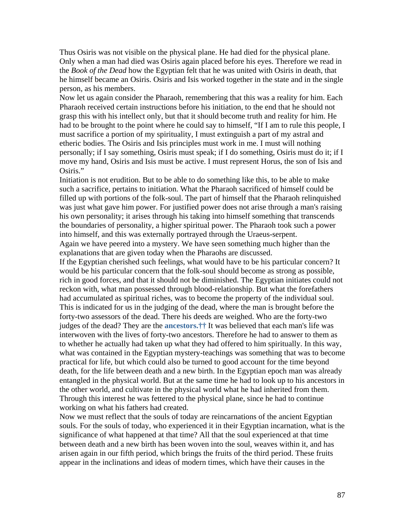Thus Osiris was not visible on the physical plane. He had died for the physical plane. Only when a man had died was Osiris again placed before his eyes. Therefore we read in the *Book of the Dead* how the Egyptian felt that he was united with Osiris in death, that he himself became an Osiris. Osiris and Isis worked together in the state and in the single person, as his members.

Now let us again consider the Pharaoh, remembering that this was a reality for him. Each Pharaoh received certain instructions before his initiation, to the end that he should not grasp this with his intellect only, but that it should become truth and reality for him. He had to be brought to the point where he could say to himself, "If I am to rule this people, I must sacrifice a portion of my spirituality, I must extinguish a part of my astral and etheric bodies. The Osiris and Isis principles must work in me. I must will nothing personally; if I say something, Osiris must speak; if I do something, Osiris must do it; if I move my hand, Osiris and Isis must be active. I must represent Horus, the son of Isis and Osiris."

Initiation is not erudition. But to be able to do something like this, to be able to make such a sacrifice, pertains to initiation. What the Pharaoh sacrificed of himself could be filled up with portions of the folk-soul. The part of himself that the Pharaoh relinquished was just what gave him power. For justified power does not arise through a man's raising his own personality; it arises through his taking into himself something that transcends the boundaries of personality, a higher spiritual power. The Pharaoh took such a power into himself, and this was externally portrayed through the Uraeus-serpent.

Again we have peered into a mystery. We have seen something much higher than the explanations that are given today when the Pharaohs are discussed.

If the Egyptian cherished such feelings, what would have to be his particular concern? It would be his particular concern that the folk-soul should become as strong as possible, rich in good forces, and that it should not be diminished. The Egyptian initiates could not reckon with, what man possessed through blood-relationship. But what the forefathers had accumulated as spiritual riches, was to become the property of the individual soul. This is indicated for us in the judging of the dead, where the man is brought before the forty-two assessors of the dead. There his deeds are weighed. Who are the forty-two judges of the dead? They are the **[ancestors.††](http://wn.elib.com/Steiner/Lectures/EgyptMyth/#_note4)** It was believed that each man's life was interwoven with the lives of forty-two ancestors. Therefore he had to answer to them as to whether he actually had taken up what they had offered to him spiritually. In this way, what was contained in the Egyptian mystery-teachings was something that was to become practical for life, but which could also be turned to good account for the time beyond death, for the life between death and a new birth. In the Egyptian epoch man was already entangled in the physical world. But at the same time he had to look up to his ancestors in the other world, and cultivate in the physical world what he had inherited from them. Through this interest he was fettered to the physical plane, since he had to continue working on what his fathers had created.

Now we must reflect that the souls of today are reincarnations of the ancient Egyptian souls. For the souls of today, who experienced it in their Egyptian incarnation, what is the significance of what happened at that time? All that the soul experienced at that time between death and a new birth has been woven into the soul, weaves within it, and has arisen again in our fifth period, which brings the fruits of the third period. These fruits appear in the inclinations and ideas of modern times, which have their causes in the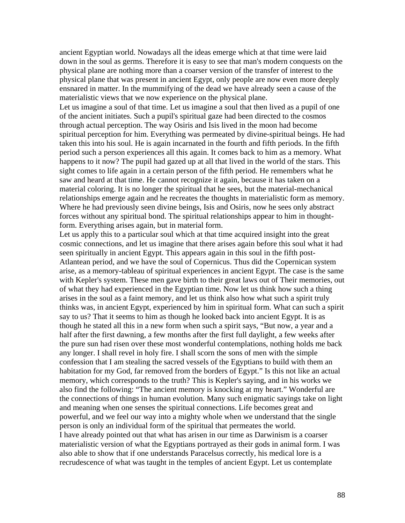ancient Egyptian world. Nowadays all the ideas emerge which at that time were laid down in the soul as germs. Therefore it is easy to see that man's modern conquests on the physical plane are nothing more than a coarser version of the transfer of interest to the physical plane that was present in ancient Egypt, only people are now even more deeply ensnared in matter. In the mummifying of the dead we have already seen a cause of the materialistic views that we now experience on the physical plane.

Let us imagine a soul of that time. Let us imagine a soul that then lived as a pupil of one of the ancient initiates. Such a pupil's spiritual gaze had been directed to the cosmos through actual perception. The way Osiris and Isis lived in the moon had become spiritual perception for him. Everything was permeated by divine-spiritual beings. He had taken this into his soul. He is again incarnated in the fourth and fifth periods. In the fifth period such a person experiences all this again. It comes back to him as a memory. What happens to it now? The pupil had gazed up at all that lived in the world of the stars. This sight comes to life again in a certain person of the fifth period. He remembers what he saw and heard at that time. He cannot recognize it again, because it has taken on a material coloring. It is no longer the spiritual that he sees, but the material-mechanical relationships emerge again and he recreates the thoughts in materialistic form as memory. Where he had previously seen divine beings, Isis and Osiris, now he sees only abstract forces without any spiritual bond. The spiritual relationships appear to him in thoughtform. Everything arises again, but in material form.

Let us apply this to a particular soul which at that time acquired insight into the great cosmic connections, and let us imagine that there arises again before this soul what it had seen spiritually in ancient Egypt. This appears again in this soul in the fifth post-Atlantean period, and we have the soul of Copernicus. Thus did the Copernican system arise, as a memory-tableau of spiritual experiences in ancient Egypt. The case is the same with Kepler's system. These men gave birth to their great laws out of Their memories, out of what they had experienced in the Egyptian time. Now let us think how such a thing arises in the soul as a faint memory, and let us think also how what such a spirit truly thinks was, in ancient Egypt, experienced by him in spiritual form. What can such a spirit say to us? That it seems to him as though he looked back into ancient Egypt. It is as though he stated all this in a new form when such a spirit says, "But now, a year and a half after the first dawning, a few months after the first full daylight, a few weeks after the pure sun had risen over these most wonderful contemplations, nothing holds me back any longer. I shall revel in holy fire. I shall scorn the sons of men with the simple confession that I am stealing the sacred vessels of the Egyptians to build with them an habitation for my God, far removed from the borders of Egypt." Is this not like an actual memory, which corresponds to the truth? This is Kepler's saying, and in his works we also find the following: "The ancient memory is knocking at my heart." Wonderful are the connections of things in human evolution. Many such enigmatic sayings take on light and meaning when one senses the spiritual connections. Life becomes great and powerful, and we feel our way into a mighty whole when we understand that the single person is only an individual form of the spiritual that permeates the world. I have already pointed out that what has arisen in our time as Darwinism is a coarser materialistic version of what the Egyptians portrayed as their gods in animal form. I was also able to show that if one understands Paracelsus correctly, his medical lore is a recrudescence of what was taught in the temples of ancient Egypt. Let us contemplate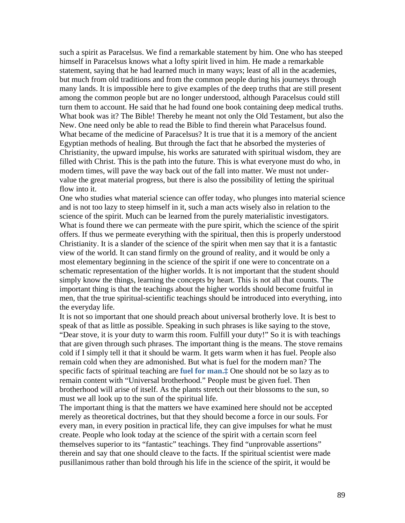such a spirit as Paracelsus. We find a remarkable statement by him. One who has steeped himself in Paracelsus knows what a lofty spirit lived in him. He made a remarkable statement, saying that he had learned much in many ways; least of all in the academies, but much from old traditions and from the common people during his journeys through many lands. It is impossible here to give examples of the deep truths that are still present among the common people but are no longer understood, although Paracelsus could still turn them to account. He said that he had found one book containing deep medical truths. What book was it? The Bible! Thereby he meant not only the Old Testament, but also the New. One need only be able to read the Bible to find therein what Paracelsus found. What became of the medicine of Paracelsus? It is true that it is a memory of the ancient Egyptian methods of healing. But through the fact that he absorbed the mysteries of Christianity, the upward impulse, his works are saturated with spiritual wisdom, they are filled with Christ. This is the path into the future. This is what everyone must do who, in modern times, will pave the way back out of the fall into matter. We must not undervalue the great material progress, but there is also the possibility of letting the spiritual flow into it.

One who studies what material science can offer today, who plunges into material science and is not too lazy to steep himself in it, such a man acts wisely also in relation to the science of the spirit. Much can be learned from the purely materialistic investigators. What is found there we can permeate with the pure spirit, which the science of the spirit offers. If thus we permeate everything with the spiritual, then this is properly understood Christianity. It is a slander of the science of the spirit when men say that it is a fantastic view of the world. It can stand firmly on the ground of reality, and it would be only a most elementary beginning in the science of the spirit if one were to concentrate on a schematic representation of the higher worlds. It is not important that the student should simply know the things, learning the concepts by heart. This is not all that counts. The important thing is that the teachings about the higher worlds should become fruitful in men, that the true spiritual-scientific teachings should be introduced into everything, into the everyday life.

It is not so important that one should preach about universal brotherly love. It is best to speak of that as little as possible. Speaking in such phrases is like saying to the stove, "Dear stove, it is your duty to warm this room. Fulfill your duty!" So it is with teachings that are given through such phrases. The important thing is the means. The stove remains cold if I simply tell it that it should be warm. It gets warm when it has fuel. People also remain cold when they are admonished. But what is fuel for the modern man? The specific facts of spiritual teaching are **[fuel for man.‡](http://wn.elib.com/Steiner/Lectures/EgyptMyth/#_note5)** One should not be so lazy as to remain content with "Universal brotherhood." People must be given fuel. Then brotherhood will arise of itself. As the plants stretch out their blossoms to the sun, so must we all look up to the sun of the spiritual life.

The important thing is that the matters we have examined here should not be accepted merely as theoretical doctrines, but that they should become a force in our souls. For every man, in every position in practical life, they can give impulses for what he must create. People who look today at the science of the spirit with a certain scorn feel themselves superior to its "fantastic" teachings. They find "unprovable assertions" therein and say that one should cleave to the facts. If the spiritual scientist were made pusillanimous rather than bold through his life in the science of the spirit, it would be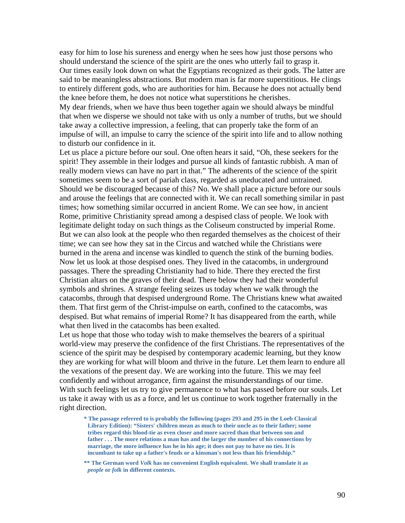easy for him to lose his sureness and energy when he sees how just those persons who should understand the science of the spirit are the ones who utterly fail to grasp it. Our times easily look down on what the Egyptians recognized as their gods. The latter are said to be meaningless abstractions. But modern man is far more superstitious. He clings to entirely different gods, who are authorities for him. Because he does not actually bend the knee before them, he does not notice what superstitions he cherishes.

My dear friends, when we have thus been together again we should always be mindful that when we disperse we should not take with us only a number of truths, but we should take away a collective impression, a feeling, that can properly take the form of an impulse of will, an impulse to carry the science of the spirit into life and to allow nothing to disturb our confidence in it.

Let us place a picture before our soul. One often hears it said, "Oh, these seekers for the spirit! They assemble in their lodges and pursue all kinds of fantastic rubbish. A man of really modern views can have no part in that." The adherents of the science of the spirit sometimes seem to be a sort of pariah class, regarded as uneducated and untrained. Should we be discouraged because of this? No. We shall place a picture before our souls and arouse the feelings that are connected with it. We can recall something similar in past times; how something similar occurred in ancient Rome. We can see how, in ancient Rome, primitive Christianity spread among a despised class of people. We look with legitimate delight today on such things as the Coliseum constructed by imperial Rome. But we can also look at the people who then regarded themselves as the choicest of their time; we can see how they sat in the Circus and watched while the Christians were burned in the arena and incense was kindled to quench the stink of the burning bodies. Now let us look at those despised ones. They lived in the catacombs, in underground passages. There the spreading Christianity had to hide. There they erected the first Christian altars on the graves of their dead. There below they had their wonderful symbols and shrines. A strange feeling seizes us today when we walk through the catacombs, through that despised underground Rome. The Christians knew what awaited them. That first germ of the Christ-impulse on earth, confined to the catacombs, was despised. But what remains of imperial Rome? It has disappeared from the earth, while what then lived in the catacombs has been exalted.

Let us hope that those who today wish to make themselves the bearers of a spiritual world-view may preserve the confidence of the first Christians. The representatives of the science of the spirit may be despised by contemporary academic learning, but they know they are working for what will bloom and thrive in the future. Let them learn to endure all the vexations of the present day. We are working into the future. This we may feel confidently and without arrogance, firm against the misunderstandings of our time. With such feelings let us try to give permanence to what has passed before our souls. Let us take it away with us as a force, and let us continue to work together fraternally in the right direction.

**\* The passage referred to is probably the following (pages 293 and 295 in the Loeb Classical Library Edition): "Sisters' children mean as much to their uncle as to their father; some tribes regard this blood-tie as even closer and more sacred than that between son and father . . . The more relations a man has and the larger the number of his connections by marriage, the more influence has he in his age; it does not pay to have no ties. It is incumbant to take up a father's feuds or a kinsman's not less than his friendship."**

**\*\* The German word** *Volk* **has no convenient English equivalent. We shall translate it as**  *people* **or** *folk* **in different contexts.**